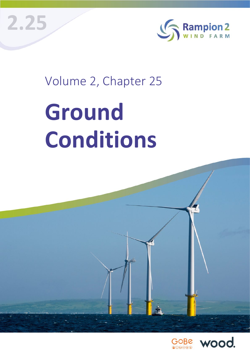



## Volume 2, Chapter 25

# **Ground Conditions**

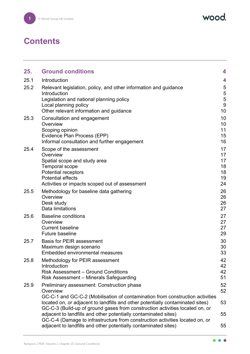wood.

## **Contents**

| 25.  | <b>Ground conditions</b>                                                                                                                                                                                                          | 4                                      |
|------|-----------------------------------------------------------------------------------------------------------------------------------------------------------------------------------------------------------------------------------|----------------------------------------|
| 25.1 | Introduction                                                                                                                                                                                                                      | 4                                      |
| 25.2 | Relevant legislation, policy, and other information and guidance<br>Introduction<br>Legislation and national planning policy<br>Local planning policy<br>Other relevant information and guidance                                  | 5<br>5<br>$\overline{5}$<br>9<br>10    |
| 25.3 | Consultation and engagement<br>Overview<br>Scoping opinion<br>Evidence Plan Process (EPP)<br>Informal consultation and further engagement                                                                                         | 10<br>10<br>11<br>15<br>16             |
| 25.4 | Scope of the assessment<br>Overview<br>Spatial scope and study area<br><b>Temporal scope</b><br><b>Potential receptors</b><br><b>Potential effects</b><br>Activities or impacts scoped out of assessment                          | 17<br>17<br>17<br>18<br>18<br>19<br>24 |
| 25.5 | Methodology for baseline data gathering<br>Overview<br>Desk study<br>Data limitations                                                                                                                                             | 26<br>26<br>26<br>27                   |
| 25.6 | <b>Baseline conditions</b><br>Overview<br><b>Current baseline</b><br><b>Future baseline</b>                                                                                                                                       | 27<br>27<br>27<br>29                   |
| 25.7 | <b>Basis for PEIR assessment</b><br>Maximum design scenario<br>Embedded environmental measures                                                                                                                                    | 30<br>30<br>33                         |
| 25.8 | Methodology for PEIR assessment<br>Introduction<br><b>Risk Assessment - Ground Conditions</b><br>Risk Assessment - Minerals Safeguarding                                                                                          | 42<br>42<br>42<br>51                   |
| 25.9 | <b>Preliminary assessment: Construction phase</b><br>Overview<br>GC-C-1 and GC-C-2 (Mobilisation of contamination from construction activities                                                                                    | 52<br>52                               |
|      | located on, or adjacent to landfills and other potentially contaminated sites)<br>GC-C-3 (Build-up of ground gases from construction activities located on, or<br>adjacent to landfills and other potentially contaminated sites) | 53<br>55                               |
|      | GC-C-4 (Damage to infrastructure from construction activities located on, or<br>adjacent to landfills and other potentially contaminated sites)                                                                                   | 55                                     |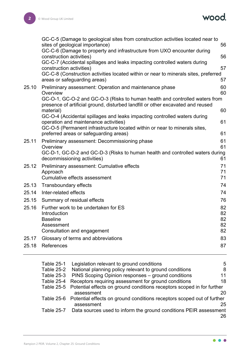

|       | GC-C-5 (Damage to geological sites from construction activities located near to<br>sites of geological importance)                                             | 56       |
|-------|----------------------------------------------------------------------------------------------------------------------------------------------------------------|----------|
|       | GC-C-6 (Damage to property and infrastructure from UXO encounter during<br>construction activities)                                                            | 56       |
|       | GC-C-7 (Accidental spillages and leaks impacting controlled waters during<br>construction activities)                                                          | 57       |
|       | GC-C-8 (Construction activities located within or near to minerals sites, preferred<br>areas or safeguarding areas)                                            | 57       |
| 25.10 | Preliminary assessment: Operation and maintenance phase<br>Overview                                                                                            | 60<br>60 |
|       | GC-O-1, GC-O-2 and GC-O-3 (Risks to human health and controlled waters from<br>presence of artificial ground, disturbed landfill or other excavated and reused |          |
|       | material)                                                                                                                                                      | 60       |
|       | GC-O-4 (Accidental spillages and leaks impacting controlled waters during<br>operation and maintenance activities)                                             | 61       |
|       | GC-O-5 (Permanent infrastructure located within or near to minerals sites,<br>preferred areas or safeguarding areas)                                           | 61       |
| 25.11 | Preliminary assessment: Decommissioning phase                                                                                                                  | 61       |
|       | Overview<br>GC-D-1, GC-D-2 and GC-D-3 (Risks to human health and controlled waters during                                                                      | 61       |
|       | decommissioning activities)                                                                                                                                    | 61       |
| 25.12 | Preliminary assessment: Cumulative effects                                                                                                                     | 71       |
|       | Approach<br>Cumulative effects assessment                                                                                                                      | 71<br>71 |
| 25.13 | Transboundary effects                                                                                                                                          | 74       |
| 25.14 | Inter-related effects                                                                                                                                          | 74       |
| 25.15 | Summary of residual effects                                                                                                                                    | 76       |
| 25.16 | Further work to be undertaken for ES                                                                                                                           | 82       |
|       | Introduction                                                                                                                                                   | 82       |
|       | <b>Baseline</b>                                                                                                                                                | 82       |
|       | Assessment                                                                                                                                                     | 82       |
|       | Consultation and engagement                                                                                                                                    | 82       |
| 25.17 | Glossary of terms and abbreviations                                                                                                                            | 83       |
| 25.18 | References                                                                                                                                                     | 87       |

| Table 25-1        | Legislation relevant to ground conditions                                         | 5  |
|-------------------|-----------------------------------------------------------------------------------|----|
| Table 25-2        | National planning policy relevant to ground conditions                            | 8  |
| <b>Table 25-3</b> | PINS Scoping Opinion responses - ground conditions                                | 11 |
| Table 25-4        | Receptors requiring assessment for ground conditions                              | 18 |
|                   | Table 25-5 Potential effects on ground conditions receptors scoped in for further |    |
|                   | assessment                                                                        | 20 |
|                   | Table 25-6 Potential effects on ground conditions receptors scoped out of further |    |
|                   | assessment                                                                        | 25 |
| Table 25-7        | Data sources used to inform the ground conditions PEIR assessment                 |    |
|                   |                                                                                   | 26 |

 $\bullet$   $\bullet$   $\bullet$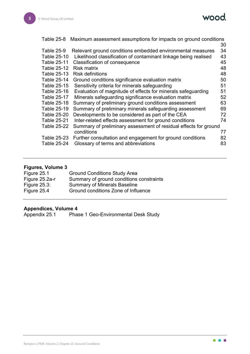

|                    | Table 25-8 Maximum assessment assumptions for impacts on ground conditions |    |
|--------------------|----------------------------------------------------------------------------|----|
|                    |                                                                            | 30 |
| <b>Table 25-9</b>  | Relevant ground conditions embedded environmental measures                 | 34 |
| <b>Table 25-10</b> | Likelihood classification of contaminant linkage being realised            | 43 |
| Table 25-11        | Classification of consequence                                              | 45 |
| Table 25-12        | <b>Risk matrix</b>                                                         | 48 |
| <b>Table 25-13</b> | <b>Risk definitions</b>                                                    | 48 |
| <b>Table 25-14</b> | Ground conditions significance evaluation matrix                           | 50 |
| Table 25-15        | Sensitivity criteria for minerals safeguarding                             | 51 |
| Table 25-16        | Evaluation of magnitude of effects for minerals safeguarding               | 51 |
| Table 25-17        | Minerals safeguarding significance evaluation matrix                       | 52 |
| <b>Table 25-18</b> | Summary of preliminary ground conditions assessment                        | 63 |
| Table 25-19        | Summary of preliminary minerals safeguarding assessment                    | 69 |
| <b>Table 25-20</b> | Developments to be considered as part of the CEA                           | 72 |
| <b>Table 25-21</b> | Inter-related effects assessment for ground conditions                     | 74 |
| <b>Table 25-22</b> | Summary of preliminary assessment of residual effects for ground           |    |
|                    | conditions                                                                 | 77 |
| Table 25-23        | Further consultation and engagement for ground conditions                  | 82 |
| <b>Table 25-24</b> | Glossary of terms and abbreviations                                        | 83 |
|                    |                                                                            |    |

#### **Figures, Volume 3**

| Figure 25.1     | <b>Ground Conditions Study Area</b>      |
|-----------------|------------------------------------------|
| Figure 25.2a-r  | Summary of ground conditions constraints |
| Figure $25.3$ : | <b>Summary of Minerals Baseline</b>      |
| Figure 25.4     | Ground conditions Zone of Influence      |

**Appendices, Volume 4** Phase 1 Geo-Environmental Desk Study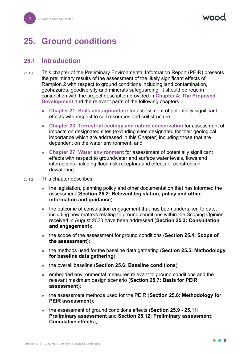## <span id="page-4-0"></span>**25. Ground conditions**

#### <span id="page-4-1"></span>**25.1 Introduction**

- 25.1.1 This chapter of the Preliminary Environmental Information Report (PEIR) presents the preliminary results of the assessment of the likely significant effects of Rampion 2 with respect to ground conditions including land contamination, geohazards, geodiversity and minerals safeguarding. It should be read in conjunction with the project description provided in **Chapter 4: The Proposed Development** and the relevant parts of the following chapters:
	- **Chapter 21: Soils and agriculture** for assessment of potentially significant effects with respect to soil resources and soil structure;
	- **Chapter 23: Terrestrial ecology and nature conservation** for assessment of impacts on designated sites (excluding sites designated for their geological importance which are addressed in this Chapter) including those that are dependent on the water environment; and
	- **Chapter 27: Water environment** for assessment of potentially significant effects with respect to groundwater and surface water levels, flows and interactions including flood risk receptors and effects of construction dewatering.
- 25.1.2 This chapter describes:
	- the legislation, planning policy and other documentation that has informed the assessment (**Section [25.2:](#page-5-0) Relevant legislation, policy and other information and guidance**);
	- the outcome of consultation engagement that has been undertaken to date, including how matters relating to ground conditions within the Scoping Opinion received in August 2020 have been addressed (**Section [25.3:](#page-10-1) Consultation and engagement**);
	- the scope of the assessment for ground conditions (**Section [25.4:](#page-17-0) Scope of the assessment**);
	- the methods used for the baseline data gathering (**Section [25.5:](#page-26-0) Methodology for baseline data gathering**);
	- the overall baseline (**Section [25.6:](#page-27-1) Baseline conditions**);
	- embedded environmental measures relevant to ground conditions and the relevant maximum design scenario (**Section [25.7:](#page-30-0) Basis for PEIR assessment**);
	- the assessment methods used for the PEIR (**Section [25.8:](#page-42-0) Methodology for PEIR assessment**);
	- the assessment of ground conditions effects (**Section [25.9](#page-52-0) - [25.11:](#page-61-2) Preliminary assessment** and **Section [25.12:](#page-71-0) Preliminary assessment: Cumulative effects**);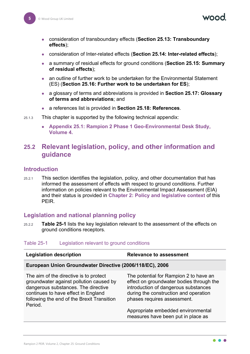- consideration of transboundary effects (**Section [25.13:](#page-74-0) Transboundary effects**);
- consideration of Inter-related effects (**Section [25.14:](#page-74-1) Inter-related effects**);
- a summary of residual effects for ground conditions (**Section [25.15:](#page-76-0) Summary of residual effects**);
- an outline of further work to be undertaken for the Environmental Statement (ES) (**Section [25.16:](#page-82-0) Further work to be undertaken for ES**);
- a glossary of terms and abbreviations is provided in **Section [25.17:](#page-83-0) Glossary of terms and abbreviations**; and
- a references list is provided in **Section [25.18:](#page-87-0) References**.
- 25.1.3 This chapter is supported by the following technical appendix:
	- **Appendix 25.1: Rampion 2 Phase 1 Geo-Environmental Desk Study, Volume 4.**

#### <span id="page-5-0"></span>**25.2 Relevant legislation, policy, and other information and guidance**

#### <span id="page-5-1"></span>**Introduction**

25.2.1 This section identifies the legislation, policy, and other documentation that has informed the assessment of effects with respect to ground conditions. Further information on policies relevant to the Environmental Impact Assessment (EIA) and their status is provided in **Chapter 2: Policy and legislative context** of this PEIR.

#### <span id="page-5-2"></span>**Legislation and national planning policy**

25.2.2 **[Table 25-1](#page-5-3)** lists the key legislation relevant to the assessment of the effects on ground conditions receptors.

#### <span id="page-5-3"></span>Table 25-1 Legislation relevant to ground conditions

| <b>Legislation description</b>                                                                                                                                                                                           | <b>Relevance to assessment</b>                                                                                                                                                                                                                                                 |  |
|--------------------------------------------------------------------------------------------------------------------------------------------------------------------------------------------------------------------------|--------------------------------------------------------------------------------------------------------------------------------------------------------------------------------------------------------------------------------------------------------------------------------|--|
| European Union Groundwater Directive (2006/118/EC), 2006                                                                                                                                                                 |                                                                                                                                                                                                                                                                                |  |
| The aim of the directive is to protect<br>groundwater against pollution caused by<br>dangerous substances. The directive<br>continues to have effect in England<br>following the end of the Brexit Transition<br>Period. | The potential for Rampion 2 to have an<br>effect on groundwater bodies through the<br>introduction of dangerous substances<br>during the construction and operation<br>phases requires assessment.<br>Appropriate embedded environmental<br>measures have been put in place as |  |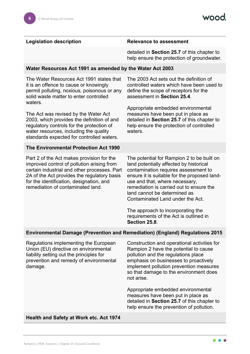#### **Legislation description Relevance to assessment**

detailed in **Section [25.7](#page-30-0)** of this chapter to help ensure the protection of groundwater.

#### **Water Resources Act 1991 as amended by the Water Act 2003**

The Water Resources Act 1991 states that it is an offence to cause or knowingly permit polluting, noxious, poisonous or any solid waste matter to enter controlled waters.

The Act was revised by the Water Act 2003, which provides the definition of and regulatory controls for the protection of water resources, including the quality standards expected for controlled waters.

#### **The Environmental Protection Act 1990**

Part 2 of the Act makes provision for the improved control of pollution arising from certain industrial and other processes. Part 2A of the Act provides the regulatory basis for the identification, designation, and remediation of contaminated land.

The 2003 Act sets out the definition of controlled waters which have been used to define the scope of receptors for the assessment in **Section [25.4](#page-17-0)**.

Appropriate embedded environmental measures have been put in place as detailed in **Section [25.7](#page-30-0)** of this chapter to help ensure the protection of controlled waters.

The potential for Rampion 2 to be built on land potentially affected by historical contamination requires assessment to ensure it is suitable for the proposed landuse and that, where necessary, remediation is carried out to ensure the land cannot be determined as Contaminated Land under the Act.

The approach to incorporating the requirements of the Act is outlined in **Section [25.8](#page-42-0)**.

#### **Environmental Damage (Prevention and Remediation) (England) Regulations 2015**

Regulations implementing the European Union (EU) directive on environmental liability setting out the principles for prevention and remedy of environmental damage.

Construction and operational activities for Rampion 2 have the potential to cause pollution and the regulations place emphasis on businesses to proactively implement pollution prevention measures so that damage to the environment does not arise.

Appropriate embedded environmental measures have been put in place as detailed in **Section [25.7](#page-30-0)** of this chapter to help ensure the prevention of pollution.

#### **Health and Safety at Work etc. Act 1974**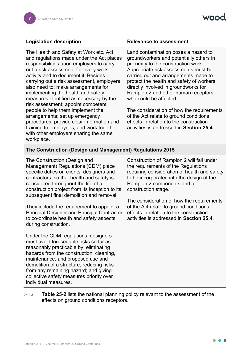The Health and Safety at Work etc. Act and regulations made under the Act places responsibilities upon employers to carry out a risk assessment for every work activity and to document it. Besides carrying out a risk assessment, employers also need to: make arrangements for implementing the health and safety measures identified as necessary by the risk assessment; appoint competent people to help them implement the arrangements; set up emergency procedures; provide clear information and training to employees; and work together with other employers sharing the same workplace.

#### **Legislation description Relevance to assessment**

Land contamination poses a hazard to groundworkers and potentially others in proximity to the construction work. Appropriate risk assessments must be carried out and arrangements made to protect the health and safety of workers directly involved in groundworks for Rampion 2 and other human receptors who could be affected.

The consideration of how the requirements of the Act relate to ground conditions effects in relation to the construction activities is addressed in **Section [25.4](#page-17-0)**.

#### **The Construction (Design and Management) Regulations 2015**

The Construction (Design and Management) Regulations (CDM) place specific duties on clients, designers and contractors, so that health and safety is considered throughout the life of a construction project from its inception to its subsequent final demolition and removal.

They include the requirement to appoint a Principal Designer and Principal Contractor to co-ordinate health and safety aspects during construction.

Under the CDM regulations, designers must avoid foreseeable risks so far as reasonably practicable by: eliminating hazards from the construction, cleaning, maintenance, and proposed use and demolition of a structure; reducing risks from any remaining hazard; and giving collective safety measures priority over individual measures.

Construction of Rampion 2 will fall under the requirements of the Regulations requiring consideration of health and safety to be incorporated into the design of the Rampion 2 components and at construction stage.

The consideration of how the requirements of the Act relate to ground conditions effects in relation to the construction activities is addressed in **Section [25.4](#page-17-0)**.

25.2.3 **[Table 25-2](#page-8-0)** lists the national planning policy relevant to the assessment of the effects on ground conditions receptors.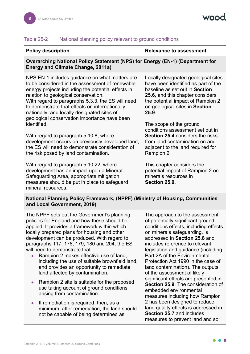#### **Overarching National Policy Statement (NPS) for Energy (EN-1) (Department for Energy and Climate Change, 2011a)**

<span id="page-8-0"></span>**Policy description Relevance to assessment** 

NPS EN-1 includes guidance on what matters are to be considered in the assessment of renewable energy projects including the potential effects in relation to geological conservation. With regard to paragraphs 5.3.3, the ES will need to demonstrate that effects on internationally, nationally, and locally designated sites of geological conservation importance have been identified.

With regard to paragraph 5.10.8, where development occurs on previously developed land, the ES will need to demonstrate consideration of the risk posed by land contamination.

With regard to paragraph 5.10.22, where development has an impact upon a Mineral Safeguarding Area, appropriate mitigation measures should be put in place to safeguard mineral resources.

Locally designated geological sites have been identified as part of the baseline as set out in **Section [25.6](#page-27-1)**, and this chapter considers the potential impact of Rampion 2 on geological sites in **Section [25.9](#page-52-0)**.

The scope of the ground conditions assessment set out in **Section [25.4](#page-17-0)** considers the risks from land contamination on and adjacent to the land required for Rampion 2.

This chapter considers the potential impact of Rampion 2 on minerals resources in **Section [25.9](#page-52-0)**.

#### **National Planning Policy Framework, (NPPF) (Ministry of Housing, Communities and Local Government, 2019)**

The NPPF sets out the Government's planning policies for England and how these should be applied. It provides a framework within which locally prepared plans for housing and other development can be produced. With regard to paragraphs 117, 178, 179, 180 and 204, the ES will need to demonstrate that:

- Rampion 2 makes effective use of land. including the use of suitable brownfield land, and provides an opportunity to remediate land affected by contamination.
- Rampion 2 site is suitable for the proposed use taking account of ground conditions arising from contamination.
- $\bullet$  If remediation is required, then, as a minimum, after remediation, the land should not be capable of being determined as

The approach to the assessment of potentially significant ground conditions effects, including effects on minerals safeguarding, is addressed in **Section [25.8](#page-42-0)** and includes reference to relevant legislation and guidance (including Part 2A of the Environmental Protection Act 1990 in the case of land contamination). The outputs of the assessment of likely significant effects are presented in **Section [25.9](#page-52-0)**. The consideration of embedded environmental measures including how Rampion 2 has been designed to reduce land quality effects is addressed in **Section [25.7](#page-30-0)** and includes measures to prevent land and soil

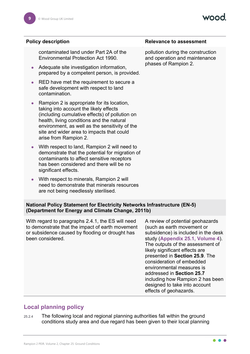VOOO

|                                                                                                                                      | <b>Policy description</b>                                                                                                                                                                                                                                                                                   | <b>Relevance to assessment</b>                                                                                                                                                |
|--------------------------------------------------------------------------------------------------------------------------------------|-------------------------------------------------------------------------------------------------------------------------------------------------------------------------------------------------------------------------------------------------------------------------------------------------------------|-------------------------------------------------------------------------------------------------------------------------------------------------------------------------------|
|                                                                                                                                      | contaminated land under Part 2A of the<br><b>Environmental Protection Act 1990.</b>                                                                                                                                                                                                                         | pollution during the construction<br>and operation and maintenance                                                                                                            |
| $\bullet$                                                                                                                            | Adequate site investigation information,<br>prepared by a competent person, is provided.                                                                                                                                                                                                                    | phases of Rampion 2.                                                                                                                                                          |
| $\bullet$                                                                                                                            | RED have met the requirement to secure a<br>safe development with respect to land<br>contamination.                                                                                                                                                                                                         |                                                                                                                                                                               |
| $\bullet$                                                                                                                            | Rampion 2 is appropriate for its location,<br>taking into account the likely effects<br>(including cumulative effects) of pollution on<br>health, living conditions and the natural<br>environment, as well as the sensitivity of the<br>site and wider area to impacts that could<br>arise from Rampion 2. |                                                                                                                                                                               |
|                                                                                                                                      | With respect to land, Rampion 2 will need to<br>demonstrate that the potential for migration of<br>contaminants to affect sensitive receptors<br>has been considered and there will be no<br>significant effects.                                                                                           |                                                                                                                                                                               |
| $\bullet$                                                                                                                            | With respect to minerals, Rampion 2 will<br>need to demonstrate that minerals resources<br>are not being needlessly sterilised.                                                                                                                                                                             |                                                                                                                                                                               |
| <b>National Policy Statement for Electricity Networks Infrastructure (EN-5)</b><br>(Department for Energy and Climate Change, 2011b) |                                                                                                                                                                                                                                                                                                             |                                                                                                                                                                               |
|                                                                                                                                      | With regard to paragraphs 2.4.1, the ES will need<br>to demonstrate that the impact of earth movement<br>or subsidence caused by flooding or drought has<br>been considered.                                                                                                                                | A review of potential geohazards<br>(such as earth movement or<br>subsidence) is included in the desk<br>study (Appendix 25.1, Volume 4).<br>The outputs of the assessment of |

<span id="page-9-0"></span>**Local planning policy**

25.2.4 The following local and regional planning authorities fall within the ground conditions study area and due regard has been given to their local planning

likely significant effects are presented in **Section [25.9](#page-52-0)**. The consideration of embedded environmental measures is addressed in **Section [25.7](#page-30-0)**

including how Rampion 2 has been

designed to take into account

effects of geohazards.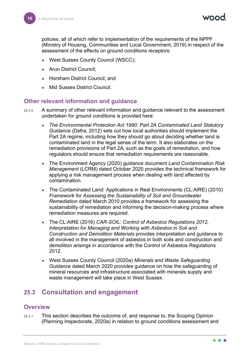policies, all of which refer to implementation of the requirements of the NPPF (Ministry of Housing, Communities and Local Government, 2019) in respect of the assessment of the effects on ground conditions receptors:

- West Sussex County Council (WSCC);
- Arun District Council;
- Horsham District Council; and
- **Mid Sussex District Council.**

#### <span id="page-10-0"></span>**Other relevant information and guidance**

- 25.2.5 A summary of other relevant information and guidance relevant to the assessment undertaken for ground conditions is provided here:
	- *The Environmental Protection Act 1990: Part 2A Contaminated Land Statutory Guidance* (Defra, 2012) sets out how local authorities should implement the Part 2A regime, including how they should go about deciding whether land is contaminated land in the legal sense of the term. It also elaborates on the remediation provisions of Part 2A, such as the goals of remediation, and how regulators should ensure that remediation requirements are reasonable.
	- The Environment Agency (2020) guidance document *Land Contamination Risk Management* (LCRM) dated October 2020 provides the technical framework for applying a risk management process when dealing with land affected by contamination.
	- The Contaminated Land: Applications in Real Environments (CL:AIRE) (2010) *Framework for Assessing the Sustainability of Soil and Groundwater Remediation* dated March 2010 provides a framework for assessing the sustainability of remediation and informing the decision-making process where remediation measures are required.
	- The CL:AIRE (2016) *CAR-SOIL: Control of Asbestos Regulations 2012, Interpretation for Managing and Working with Asbestos in Soil and Construction and Demolition Materials* provides interpretation and guidance to all involved in the management of asbestos in both soils and construction and demolition arisings in accordance with the Control of Asbestos Regulations 2012.
	- West Sussex County Council (2020a) *Minerals and Waste Safeguarding Guidance* dated March 2020 provides guidance on how the safeguarding of mineral resources and infrastructure associated with minerals supply and waste management will take place in West Sussex.

#### <span id="page-10-1"></span>**25.3 Consultation and engagement**

#### <span id="page-10-2"></span>**Overview**

25.3.1 This section describes the outcome of, and response to, the Scoping Opinion (Planning Inspectorate, 2020a) in relation to ground conditions assessment and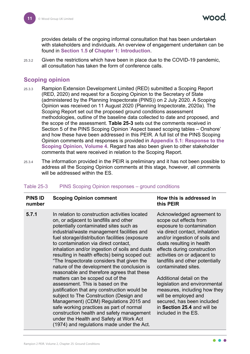provides details of the ongoing informal consultation that has been undertaken with stakeholders and individuals. An overview of engagement undertaken can be found in **Section 1.5** of **Chapter 1: Introduction**.

25.3.2 Given the restrictions which have been in place due to the COVID-19 pandemic, all consultation has taken the form of conference calls.

#### <span id="page-11-0"></span>**Scoping opinion**

- 25.3.3 Rampion Extension Development Limited (RED) submitted a Scoping Report (RED, 2020) and request for a Scoping Opinion to the Secretary of State (administered by the Planning Inspectorate (PINS)) on 2 July 2020. A Scoping Opinion was received on 11 August 2020 (Planning Inspectorate, 2020a). The Scoping Report set out the proposed ground conditions assessment methodologies, outline of the baseline data collected to date and proposed, and the scope of the assessment. **[Table 25-3](#page-11-1)** sets out the comments received in Section 5 of the PINS Scoping Opinion 'Aspect based scoping tables – Onshore' and how these have been addressed in this PEIR. A full list of the PINS Scoping Opinion comments and responses is provided in **Appendix 5.1: Response to the Scoping Opinion, Volume 4**. Regard has also been given to other stakeholder comments that were received in relation to the Scoping Report.
- 25.3.4 The information provided in the PEIR is preliminary and it has not been possible to address all the Scoping Opinion comments at this stage, however, all comments will be addressed within the ES.

| <b>PINS ID</b><br>number | <b>Scoping Opinion comment</b>                                                                                                                                                                                                                                                                                                                                                                                                                                                                                                                                                                                                                                                                                                                                                                                                                                                                                           | How this is addressed in<br>this PEIR                                                                                                                                                                                                                                                                                                                                                                                                                                                                              |
|--------------------------|--------------------------------------------------------------------------------------------------------------------------------------------------------------------------------------------------------------------------------------------------------------------------------------------------------------------------------------------------------------------------------------------------------------------------------------------------------------------------------------------------------------------------------------------------------------------------------------------------------------------------------------------------------------------------------------------------------------------------------------------------------------------------------------------------------------------------------------------------------------------------------------------------------------------------|--------------------------------------------------------------------------------------------------------------------------------------------------------------------------------------------------------------------------------------------------------------------------------------------------------------------------------------------------------------------------------------------------------------------------------------------------------------------------------------------------------------------|
| 5.7.1                    | In relation to construction activities located<br>on, or adjacent to landfills and other<br>potentially contaminated sites such as<br>industrial/waste management facilities and<br>fuel storage/distribution facilities (exposure<br>to contamination via direct contact,<br>inhalation and/or ingestion of soils and dusts<br>resulting in health effects) being scoped out:<br>"The Inspectorate considers that given the<br>nature of the development the conclusion is<br>reasonable and therefore agrees that these<br>matters can be scoped out of the<br>assessment. This is based on the<br>justification that any construction would be<br>subject to The Construction (Design and<br>Management) (CDM) Regulations 2015 and<br>safe working practices as part of normal<br>construction health and safety management<br>under the Health and Safety at Work Act<br>(1974) and regulations made under the Act. | Acknowledged agreement to<br>scope out effects from<br>exposure to contamination<br>via direct contact, inhalation<br>and/or ingestion of soils and<br>dusts resulting in health<br>effects during construction<br>activities on or adjacent to<br>landfills and other potentially<br>contaminated sites.<br>Additional detail on the<br>legislation and environmental<br>measures, including how they<br>will be employed and<br>secured, has been included<br>in Section 25.4 and will be<br>included in the ES. |

#### <span id="page-11-1"></span>Table 25-3 PINS Scoping Opinion responses – ground conditions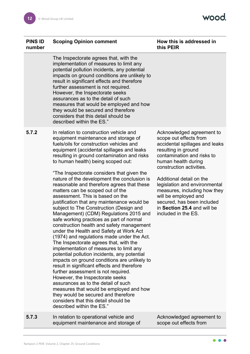wood.

 $\bullet$   $\bullet$ ●

| <b>PINS ID</b><br>number | <b>Scoping Opinion comment</b>                                                                                                                                                                                                                                                                                                                                                                                                                                                                                                                                                                                                                                                                                                                                                                                                                                                                                                                                                                                                                                                                                                                                                                                                                                                                                     | How this is addressed in<br>this PEIR                                                                                                                                                                                                                                                                                                                                                                  |
|--------------------------|--------------------------------------------------------------------------------------------------------------------------------------------------------------------------------------------------------------------------------------------------------------------------------------------------------------------------------------------------------------------------------------------------------------------------------------------------------------------------------------------------------------------------------------------------------------------------------------------------------------------------------------------------------------------------------------------------------------------------------------------------------------------------------------------------------------------------------------------------------------------------------------------------------------------------------------------------------------------------------------------------------------------------------------------------------------------------------------------------------------------------------------------------------------------------------------------------------------------------------------------------------------------------------------------------------------------|--------------------------------------------------------------------------------------------------------------------------------------------------------------------------------------------------------------------------------------------------------------------------------------------------------------------------------------------------------------------------------------------------------|
|                          | The Inspectorate agrees that, with the<br>implementation of measures to limit any<br>potential pollution incidents, any potential<br>impacts on ground conditions are unlikely to<br>result in significant effects and therefore<br>further assessment is not required.<br>However, the Inspectorate seeks<br>assurances as to the detail of such<br>measures that would be employed and how<br>they would be secured and therefore<br>considers that this detail should be<br>described within the ES."                                                                                                                                                                                                                                                                                                                                                                                                                                                                                                                                                                                                                                                                                                                                                                                                           |                                                                                                                                                                                                                                                                                                                                                                                                        |
| 5.7.2                    | In relation to construction vehicle and<br>equipment maintenance and storage of<br>fuels/oils for construction vehicles and<br>equipment (accidental spillages and leaks<br>resulting in ground contamination and risks<br>to human health) being scoped out:<br>"The Inspectorate considers that given the<br>nature of the development the conclusion is<br>reasonable and therefore agrees that these<br>matters can be scoped out of the<br>assessment. This is based on the<br>justification that any maintenance would be<br>subject to The Construction (Design and<br>Management) (CDM) Regulations 2015 and<br>safe working practices as part of normal<br>construction health and safety management<br>under the Health and Safety at Work Act<br>(1974) and regulations made under the Act.<br>The Inspectorate agrees that, with the<br>implementation of measures to limit any<br>potential pollution incidents, any potential<br>impacts on ground conditions are unlikely to<br>result in significant effects and therefore<br>further assessment is not required.<br>However, the Inspectorate seeks<br>assurances as to the detail of such<br>measures that would be employed and how<br>they would be secured and therefore<br>considers that this detail should be<br>described within the ES." | Acknowledged agreement to<br>scope out effects from<br>accidental spillages and leaks<br>resulting in ground<br>contamination and risks to<br>human health during<br>construction activities.<br>Additional detail on the<br>legislation and environmental<br>measures, including how they<br>will be employed and<br>secured, has been included<br>in Section 25.4 and will be<br>included in the ES. |
| 5.7.3                    | In relation to operational vehicle and<br>equipment maintenance and storage of                                                                                                                                                                                                                                                                                                                                                                                                                                                                                                                                                                                                                                                                                                                                                                                                                                                                                                                                                                                                                                                                                                                                                                                                                                     | Acknowledged agreement to<br>scope out effects from                                                                                                                                                                                                                                                                                                                                                    |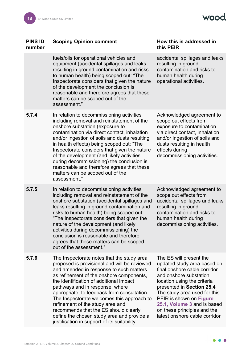wood.

| <b>PINS ID</b><br>number | <b>Scoping Opinion comment</b>                                                                                                                                                                                                                                                                                                                                                                                                                                                                                                          | How this is addressed in<br>this PEIR                                                                                                                                                                                                                                                                                                  |
|--------------------------|-----------------------------------------------------------------------------------------------------------------------------------------------------------------------------------------------------------------------------------------------------------------------------------------------------------------------------------------------------------------------------------------------------------------------------------------------------------------------------------------------------------------------------------------|----------------------------------------------------------------------------------------------------------------------------------------------------------------------------------------------------------------------------------------------------------------------------------------------------------------------------------------|
|                          | fuels/oils for operational vehicles and<br>equipment (accidental spillages and leaks<br>resulting in ground contamination and risks<br>to human health) being scoped out: "The<br>Inspectorate considers that given the nature<br>of the development the conclusion is<br>reasonable and therefore agrees that these<br>matters can be scoped out of the<br>assessment."                                                                                                                                                                | accidental spillages and leaks<br>resulting in ground<br>contamination and risks to<br>human health during<br>operational activities.                                                                                                                                                                                                  |
| 5.7.4                    | In relation to decommissioning activities<br>including removal and reinstatement of the<br>onshore substation (exposure to<br>contamination via direct contact, inhalation<br>and/or ingestion of soils and dusts resulting<br>in health effects) being scoped out: "The<br>Inspectorate considers that given the nature<br>of the development (and likely activities<br>during decommissioning) the conclusion is<br>reasonable and therefore agrees that these<br>matters can be scoped out of the<br>assessment."                    | Acknowledged agreement to<br>scope out effects from<br>exposure to contamination<br>via direct contact, inhalation<br>and/or ingestion of soils and<br>dusts resulting in health<br>effects during<br>decommissioning activities.                                                                                                      |
| 5.7.5                    | In relation to decommissioning activities<br>including removal and reinstatement of the<br>onshore substation (accidental spillages and<br>leaks resulting in ground contamination and<br>risks to human health) being scoped out:<br>"The Inspectorate considers that given the<br>nature of the development (and likely<br>activities during decommissioning) the<br>conclusion is reasonable and therefore<br>agrees that these matters can be scoped<br>out of the assessment."                                                     | Acknowledged agreement to<br>scope out effects from<br>accidental spillages and leaks<br>resulting in ground<br>contamination and risks to<br>human health during<br>decommissioning activities                                                                                                                                        |
| 5.7.6                    | The Inspectorate notes that the study area<br>proposed is provisional and will be reviewed<br>and amended in response to such matters<br>as refinement of the onshore components,<br>the identification of additional impact<br>pathways and in response, where<br>appropriate, to feedback from consultation.<br>The Inspectorate welcomes this approach to<br>refinement of the study area and<br>recommends that the ES should clearly<br>define the chosen study area and provide a<br>justification in support of its suitability. | The ES will present the<br>updated study area based on<br>final onshore cable corridor<br>and onshore substation<br>location using the criteria<br>presented in Section 25.4<br>The study area used for this<br>PEIR is shown on Figure<br>25.1, Volume 3 and is based<br>on these principles and the<br>latest onshore cable corridor |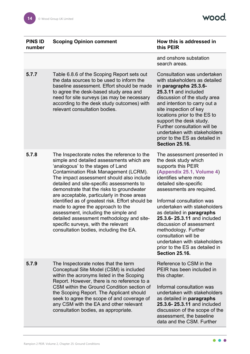wood.

| <b>PINS ID</b><br>number | <b>Scoping Opinion comment</b>                                                                                                                                                                                                                                                                                                                                                                                                                                                                                                                                                                                              | How this is addressed in<br>this PEIR                                                                                                                                                                                                                                                                                                                                                                                                                                                  |
|--------------------------|-----------------------------------------------------------------------------------------------------------------------------------------------------------------------------------------------------------------------------------------------------------------------------------------------------------------------------------------------------------------------------------------------------------------------------------------------------------------------------------------------------------------------------------------------------------------------------------------------------------------------------|----------------------------------------------------------------------------------------------------------------------------------------------------------------------------------------------------------------------------------------------------------------------------------------------------------------------------------------------------------------------------------------------------------------------------------------------------------------------------------------|
|                          |                                                                                                                                                                                                                                                                                                                                                                                                                                                                                                                                                                                                                             | and onshore substation<br>search areas.                                                                                                                                                                                                                                                                                                                                                                                                                                                |
| 5.7.7                    | Table 6.8.6 of the Scoping Report sets out<br>the data sources to be used to inform the<br>baseline assessment. Effort should be made<br>to agree the desk-based study area and<br>need for site surveys (as may be necessary<br>according to the desk study outcomes) with<br>relevant consultation bodies.                                                                                                                                                                                                                                                                                                                | Consultation was undertaken<br>with stakeholders as detailed<br>in paragraphs 25.3.6-<br>25.3.11 and included<br>discussion of the study area<br>and intention to carry out a<br>site inspection of key<br>locations prior to the ES to<br>support the desk study.<br>Further consultation will be<br>undertaken with stakeholders<br>prior to the ES as detailed in<br><b>Section 25.16.</b>                                                                                          |
| 5.7.8                    | The Inspectorate notes the reference to the<br>simple and detailed assessments which are<br>'analogous' to the stages of Land<br>Contamination Risk Management (LCRM).<br>The impact assessment should also include<br>detailed and site-specific assessments to<br>demonstrate that the risks to groundwater<br>are acceptable, particularly in those areas<br>identified as of greatest risk. Effort should be<br>made to agree the approach to the<br>assessment, including the simple and<br>detailed assessment methodology and site-<br>specific surveys, with the relevant<br>consultation bodies, including the EA. | The assessment presented in<br>the desk study which<br>supports this PEIR<br>(Appendix 25.1, Volume 4)<br>identifies where more<br>detailed site-specific<br>assessments are required.<br>Informal consultation was<br>undertaken with stakeholders<br>as detailed in paragraphs<br>25.3.6-25.3.11 and included<br>discussion of assessment<br>methodology. Further<br>consultation will be<br>undertaken with stakeholders<br>prior to the ES as detailed in<br><b>Section 25.16.</b> |
| 5.7.9                    | The Inspectorate notes that the term<br>Conceptual Site Model (CSM) is included<br>within the acronyms listed in the Scoping<br>Report. However, there is no reference to a<br>CSM within the Ground Condition section of<br>the Scoping Report. The Applicant should<br>seek to agree the scope of and coverage of<br>any CSM with the EA and other relevant<br>consultation bodies, as appropriate.                                                                                                                                                                                                                       | Reference to CSM in the<br>PEIR has been included in<br>this chapter.<br>Informal consultation was<br>undertaken with stakeholders<br>as detailed in paragraphs<br>25.3.6-25.3.11 and included<br>discussion of the scope of the<br>assessment, the baseline<br>data and the CSM. Further                                                                                                                                                                                              |
|                          |                                                                                                                                                                                                                                                                                                                                                                                                                                                                                                                                                                                                                             |                                                                                                                                                                                                                                                                                                                                                                                                                                                                                        |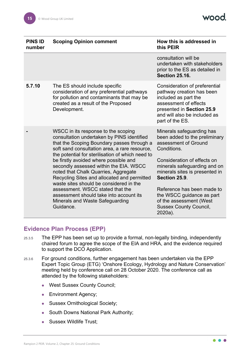| <b>PINS ID</b><br>number | <b>Scoping Opinion comment</b>                                                                                                                                                                                                                                                                                                                                                                                                                                                                                                                                                           | How this is addressed in<br>this PEIR                                                                                                                                                                                                                                                                                                                 |
|--------------------------|------------------------------------------------------------------------------------------------------------------------------------------------------------------------------------------------------------------------------------------------------------------------------------------------------------------------------------------------------------------------------------------------------------------------------------------------------------------------------------------------------------------------------------------------------------------------------------------|-------------------------------------------------------------------------------------------------------------------------------------------------------------------------------------------------------------------------------------------------------------------------------------------------------------------------------------------------------|
|                          |                                                                                                                                                                                                                                                                                                                                                                                                                                                                                                                                                                                          | consultation will be<br>undertaken with stakeholders<br>prior to the ES as detailed in<br><b>Section 25.16.</b>                                                                                                                                                                                                                                       |
| 5.7.10                   | The ES should include specific<br>consideration of any preferential pathways<br>for pollution and contaminants that may be<br>created as a result of the Proposed<br>Development.                                                                                                                                                                                                                                                                                                                                                                                                        | Consideration of preferential<br>pathway creation has been<br>included as part the<br>assessment of effects<br>presented in Section 25.9<br>and will also be included as<br>part of the ES.                                                                                                                                                           |
|                          | WSCC in its response to the scoping<br>consultation undertaken by PINS identified<br>that the Scoping Boundary passes through a<br>soft sand consultation area, a rare resource,<br>the potential for sterilisation of which need to<br>be firstly avoided where possible and<br>secondly assessed within the EIA. WSCC<br>noted that Chalk Quarries, Aggregate<br>Recycling Sites and allocated and permitted<br>waste sites should be considered in the<br>assessment. WSCC stated that the<br>assessment should take into account its<br>Minerals and Waste Safeguarding<br>Guidance. | Minerals safeguarding has<br>been added to the preliminary<br>assessment of Ground<br>Conditions.<br>Consideration of effects on<br>minerals safeguarding and on<br>minerals sites is presented in<br>Section 25.9.<br>Reference has been made to<br>the WSCC guidance as part<br>of the assessment (West<br><b>Sussex County Council,</b><br>2020a). |

#### <span id="page-15-0"></span>**Evidence Plan Process (EPP)**

- 25.3.5 The EPP has been set up to provide a formal, non-legally binding, independently chaired forum to agree the scope of the EIA and HRA, and the evidence required to support the DCO Application.
- <span id="page-15-1"></span>25.3.6 For ground conditions, further engagement has been undertaken via the EPP Expert Topic Group (ETG) 'Onshore Ecology, Hydrology and Nature Conservation' meeting held by conference call on 28 October 2020. The conference call as attended by the following stakeholders:
	- West Sussex County Council;
	- **Environment Agency;**
	- Sussex Ornithological Society;
	- South Downs National Park Authority;
	- Sussex Wildlife Trust;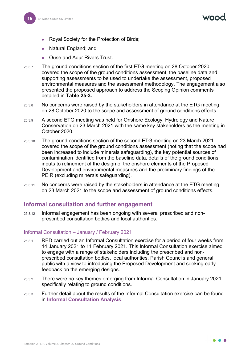- Royal Society for the Protection of Birds;
- Natural England; and
- Ouse and Adur Rivers Trust.
- 25.3.7 The ground conditions section of the first ETG meeting on 28 October 2020 covered the scope of the ground conditions assessment, the baseline data and supporting assessments to be used to undertake the assessment, proposed environmental measures and the assessment methodology. The engagement also presented the proposed approach to address the Scoping Opinion comments detailed in **[Table 25-3.](#page-11-1)**
- 25.3.8 No concerns were raised by the stakeholders in attendance at the ETG meeting on 28 October 2020 to the scope and assessment of ground conditions effects.
- 25.3.9 A second ETG meeting was held for Onshore Ecology, Hydrology and Nature Conservation on 23 March 2021 with the same key stakeholders as the meeting in October 2020.
- 25.3.10 The ground conditions section of the second ETG meeting on 23 March 2021 covered the scope of the ground conditions assessment (noting that the scope had been increased to include minerals safeguarding), the key potential sources of contamination identified from the baseline data, details of the ground conditions inputs to refinement of the design of the onshore elements of the Proposed Development and environmental measures and the preliminary findings of the PEIR (excluding minerals safeguarding).
- <span id="page-16-1"></span>25.3.11 No concerns were raised by the stakeholders in attendance at the ETG meeting on 23 March 2021 to the scope and assessment of ground conditions effects.

#### <span id="page-16-0"></span>**Informal consultation and further engagement**

25.3.12 Informal engagement has been ongoing with several prescribed and nonprescribed consultation bodies and local authorities*.*

#### Informal Consultation – January / February 2021

- 25.3.1 RED carried out an Informal Consultation exercise for a period of four weeks from 14 January 2021 to 11 February 2021. This Informal Consultation exercise aimed to engage with a range of stakeholders including the prescribed and nonprescribed consultation bodies, local authorities, Parish Councils and general public with a view to introducing the Proposed Development and seeking early feedback on the emerging designs.
- 25.3.2 There were no key themes emerging from Informal Consultation in January 2021 specifically relating to ground conditions.
- 25.3.3 Further detail about the results of the Informal Consultation exercise can be found in **Informal Consultation Analysis**.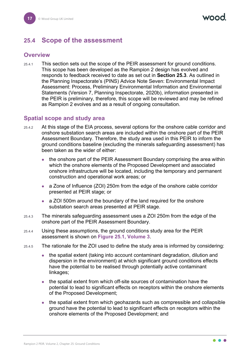### <span id="page-17-0"></span>**25.4 Scope of the assessment**

#### <span id="page-17-1"></span>**Overview**

25.4.1 This section sets out the scope of the PEIR assessment for ground conditions. This scope has been developed as the Rampion 2 design has evolved and responds to feedback received to date as set out in **Section [25.3](#page-10-1)**. As outlined in the Planning Inspectorate's (PINS) Advice Note Seven: Environmental Impact Assessment: Process, Preliminary Environmental Information and Environmental Statements (Version 7, Planning Inspectorate, 2020b), information presented in the PEIR is preliminary, therefore, this scope will be reviewed and may be refined as Rampion 2 evolves and as a result of ongoing consultation.

#### <span id="page-17-2"></span>**Spatial scope and study area**

- 25.4.2 At this stage of the EIA process, several options for the onshore cable corridor and onshore substation search areas are included within the onshore part of the PEIR Assessment Boundary. Therefore, the study area used in this PEIR to inform the ground conditions baseline (excluding the minerals safeguarding assessment) has been taken as the wider of either:
	- the onshore part of the PEIR Assessment Boundary comprising the area within which the onshore elements of the Proposed Development and associated onshore infrastructure will be located, including the temporary and permanent construction and operational work areas; or
	- a Zone of Influence (ZOI) 250m from the edge of the onshore cable corridor presented at PEIR stage; or
	- a ZOI 500m around the boundary of the land required for the onshore substation search areas presented at PEIR stage.
- 25.4.3 The minerals safeguarding assessment uses a ZOI 250m from the edge of the onshore part of the PEIR Assessment Boundary.
- 25.4.4 Using these assumptions, the ground conditions study area for the PEIR assessment is shown on **Figure 25.1, Volume 3**.
- 25.4.5 The rationale for the ZOI used to define the study area is informed by considering:
	- the spatial extent (taking into account contaminant degradation, dilution and dispersion in the environment) at which significant ground conditions effects have the potential to be realised through potentially active contaminant linkages;
	- the spatial extent from which off-site sources of contamination have the potential to lead to significant effects on receptors within the onshore elements of the Proposed Development;
	- the spatial extent from which geohazards such as compressible and collapsible ground have the potential to lead to significant effects on receptors within the onshore elements of the Proposed Development; and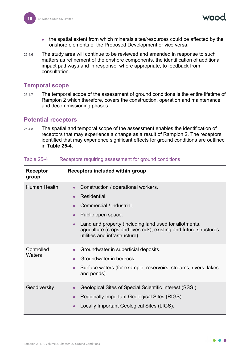- the spatial extent from which minerals sites/resources could be affected by the onshore elements of the Proposed Development or vice versa.
- 25.4.6 The study area will continue to be reviewed and amended in response to such matters as refinement of the onshore components, the identification of additional impact pathways and in response, where appropriate, to feedback from consultation.

#### <span id="page-18-0"></span>**Temporal scope**

25.4.7 The temporal scope of the assessment of ground conditions is the entire lifetime of Rampion 2 which therefore, covers the construction, operation and maintenance, and decommissioning phases.

#### <span id="page-18-1"></span>**Potential receptors**

25.4.8 The spatial and temporal scope of the assessment enables the identification of receptors that may experience a change as a result of Rampion 2. The receptors identified that may experience significant effects for ground conditions are outlined in **[Table 25-4](#page-18-2)**.

| Receptor<br>group    | <b>Receptors included within group</b>                                                                                                                                                                                                                                                                                      |
|----------------------|-----------------------------------------------------------------------------------------------------------------------------------------------------------------------------------------------------------------------------------------------------------------------------------------------------------------------------|
| <b>Human Health</b>  | Construction / operational workers.<br>Residential.<br>$\bullet$<br>Commercial / industrial.<br>$\bullet$<br>Public open space.<br>$\bullet$<br>Land and property (including land used for allotments,<br>$\bullet$<br>agriculture (crops and livestock), existing and future structures,<br>utilities and infrastructure). |
| Controlled<br>Waters | Groundwater in superficial deposits.<br>$\bullet$<br>Groundwater in bedrock.<br>$\bullet$<br>Surface waters (for example, reservoirs, streams, rivers, lakes<br>$\bullet$<br>and ponds).                                                                                                                                    |
| Geodiversity         | Geological Sites of Special Scientific Interest (SSSI).<br>$\bullet$<br>Regionally Important Geological Sites (RIGS).<br>$\bullet$<br>Locally Important Geological Sites (LIGS).<br>$\bullet$                                                                                                                               |

#### <span id="page-18-2"></span>Table 25-4 Receptors requiring assessment for ground conditions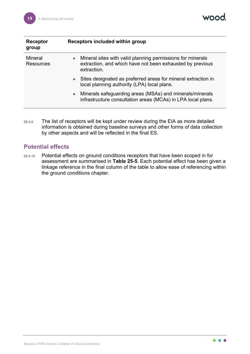vood

| Receptor<br>group           | Receptors included within group                                                                                                          |
|-----------------------------|------------------------------------------------------------------------------------------------------------------------------------------|
| Mineral<br><b>Resources</b> | • Mineral sites with valid planning permissions for minerals<br>extraction, and which have not been exhausted by previous<br>extraction. |
|                             | Sites designated as preferred areas for mineral extraction in<br>$\bullet$<br>local planning authority (LPA) local plans.                |
|                             | Minerals safeguarding areas (MSAs) and minerals/minerals<br>$\bullet$<br>infrastructure consultation areas (MCAs) in LPA local plans.    |

25.4.9 The list of receptors will be kept under review during the EIA as more detailed information is obtained during baseline surveys and other forms of data collection by other aspects and will be reflected in the final ES.

#### <span id="page-19-0"></span>**Potential effects**

25.4.10 Potential effects on ground conditions receptors that have been scoped in for assessment are summarised in **[Table 25-5](#page-20-0)**. Each potential effect has been given a linkage reference in the final column of the table to allow ease of referencing within the ground conditions chapter.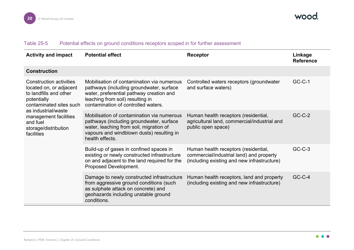#### Table 25-5 Potential effects on ground conditions receptors scoped in for further assessment

<span id="page-20-0"></span>

| <b>Activity and impact</b>                                                                                                                                                                                                      | <b>Potential effect</b>                                                                                                                                                                                       | Receptor                                                                                                                        | Linkage<br><b>Reference</b> |
|---------------------------------------------------------------------------------------------------------------------------------------------------------------------------------------------------------------------------------|---------------------------------------------------------------------------------------------------------------------------------------------------------------------------------------------------------------|---------------------------------------------------------------------------------------------------------------------------------|-----------------------------|
| <b>Construction</b>                                                                                                                                                                                                             |                                                                                                                                                                                                               |                                                                                                                                 |                             |
| <b>Construction activities</b><br>located on, or adjacent<br>to landfills and other<br>potentially<br>contaminated sites such<br>as industrial/waste<br>management facilities<br>and fuel<br>storage/distribution<br>facilities | Mobilisation of contamination via numerous<br>pathways (including groundwater, surface<br>water, preferential pathway creation and<br>leaching from soil) resulting in<br>contamination of controlled waters. | Controlled waters receptors (groundwater<br>and surface waters)                                                                 | $GC-C-1$                    |
|                                                                                                                                                                                                                                 | Mobilisation of contamination via numerous<br>pathways (including groundwater, surface<br>water, leaching from soil, migration of<br>vapours and windblown dusts) resulting in<br>health effects.             | Human health receptors (residential,<br>agricultural land, commercial/industrial and<br>public open space)                      | $GC-C-2$                    |
|                                                                                                                                                                                                                                 | Build-up of gases in confined spaces in<br>existing or newly constructed infrastructure<br>on and adjacent to the land required for the<br>Proposed Development.                                              | Human health receptors (residential,<br>commercial/industrial land) and property<br>(including existing and new infrastructure) | $GC-C-3$                    |
|                                                                                                                                                                                                                                 | Damage to newly constructed infrastructure<br>from aggressive ground conditions (such<br>as sulphate attack on concrete) and<br>geohazards including unstable ground<br>conditions.                           | Human health receptors, land and property<br>(including existing and new infrastructure)                                        | $GC-C-4$                    |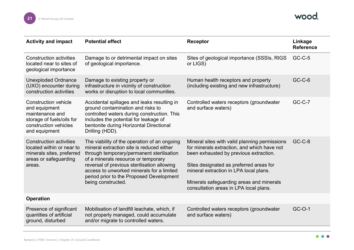

| <b>Activity and impact</b>                                                                                                             | <b>Potential effect</b>                                                                                                                                                                                                                                                                                                                     | <b>Receptor</b>                                                                                                                                                                                                                                                                                                   | Linkage<br><b>Reference</b> |
|----------------------------------------------------------------------------------------------------------------------------------------|---------------------------------------------------------------------------------------------------------------------------------------------------------------------------------------------------------------------------------------------------------------------------------------------------------------------------------------------|-------------------------------------------------------------------------------------------------------------------------------------------------------------------------------------------------------------------------------------------------------------------------------------------------------------------|-----------------------------|
| <b>Construction activities</b><br>located near to sites of<br>geological importance                                                    | Damage to or detrimental impact on sites<br>of geological importance.                                                                                                                                                                                                                                                                       | Sites of geological importance (SSSIs, RIGS<br>or LIGS)                                                                                                                                                                                                                                                           | <b>GC-C-5</b>               |
| <b>Unexploded Ordnance</b><br>(UXO) encounter during<br>construction activities                                                        | Damage to existing property or<br>infrastructure in vicinity of construction<br>works or disruption to local communities.                                                                                                                                                                                                                   | Human health receptors and property<br>(including existing and new infrastructure)                                                                                                                                                                                                                                | $GC-C-6$                    |
| <b>Construction vehicle</b><br>and equipment<br>maintenance and<br>storage of fuels/oils for<br>construction vehicles<br>and equipment | Accidental spillages and leaks resulting in<br>ground contamination and risks to<br>controlled waters during construction. This<br>includes the potential for leakage of<br>bentonite during Horizontal Directional<br>Drilling (HDD).                                                                                                      | Controlled waters receptors (groundwater<br>and surface waters)                                                                                                                                                                                                                                                   | $GC-C-7$                    |
| <b>Construction activities</b><br>located within or near to<br>minerals sites, preferred<br>areas or safeguarding<br>areas.            | The viability of the operation of an ongoing<br>mineral extraction site is reduced either<br>through temporary/permanent sterilisation<br>of a minerals resource or temporary<br>reversal of previous sterilisation allowing<br>access to unworked minerals for a limited<br>period prior to the Proposed Development<br>being constructed. | Mineral sites with valid planning permissions<br>for minerals extraction, and which have not<br>been exhausted by previous extraction.<br>Sites designated as preferred areas for<br>mineral extraction in LPA local plans.<br>Minerals safeguarding areas and minerals<br>consultation areas in LPA local plans. | <b>GC-C-8</b>               |
| <b>Operation</b>                                                                                                                       |                                                                                                                                                                                                                                                                                                                                             |                                                                                                                                                                                                                                                                                                                   |                             |
| Presence of significant<br>quantities of artificial<br>ground, disturbed                                                               | Mobilisation of landfill leachate, which, if<br>not properly managed, could accumulate<br>and/or migrate to controlled waters.                                                                                                                                                                                                              | Controlled waters receptors (groundwater<br>and surface waters)                                                                                                                                                                                                                                                   | GC-O-1                      |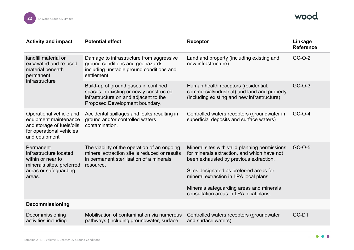| <b>Activity and impact</b>                                                                                                 | <b>Potential effect</b>                                                                                                                                    | Receptor                                                                                                                                                                                                                                                                                                          | Linkage<br><b>Reference</b> |
|----------------------------------------------------------------------------------------------------------------------------|------------------------------------------------------------------------------------------------------------------------------------------------------------|-------------------------------------------------------------------------------------------------------------------------------------------------------------------------------------------------------------------------------------------------------------------------------------------------------------------|-----------------------------|
| landfill material or<br>excavated and re-used<br>material beneath<br>permanent<br>infrastructure                           | Damage to infrastructure from aggressive<br>ground conditions and geohazards<br>including unstable ground conditions and<br>settlement.                    | Land and property (including existing and<br>new infrastructure)                                                                                                                                                                                                                                                  | GC-O-2                      |
|                                                                                                                            | Build-up of ground gases in confined<br>spaces in existing or newly constructed<br>infrastructure on and adjacent to the<br>Proposed Development boundary. | Human health receptors (residential,<br>commercial/industrial) and land and property<br>(including existing and new infrastructure)                                                                                                                                                                               | $GC-O-3$                    |
| Operational vehicle and<br>equipment maintenance<br>and storage of fuels/oils<br>for operational vehicles<br>and equipment | Accidental spillages and leaks resulting in<br>ground and/or controlled waters<br>contamination.                                                           | Controlled waters receptors (groundwater in<br>superficial deposits and surface waters)                                                                                                                                                                                                                           | GC-O-4                      |
| Permanent<br>infrastructure located<br>within or near to<br>minerals sites, preferred<br>areas or safeguarding<br>areas.   | The viability of the operation of an ongoing<br>mineral extraction site is reduced or results<br>in permanent sterilisation of a minerals<br>resource.     | Mineral sites with valid planning permissions<br>for minerals extraction, and which have not<br>been exhausted by previous extraction.<br>Sites designated as preferred areas for<br>mineral extraction in LPA local plans.<br>Minerals safeguarding areas and minerals<br>consultation areas in LPA local plans. | GC-O-5                      |
| <b>Decommissioning</b>                                                                                                     |                                                                                                                                                            |                                                                                                                                                                                                                                                                                                                   |                             |
| Decommissioning<br>activities including                                                                                    | Mobilisation of contamination via numerous<br>pathways (including groundwater, surface                                                                     | Controlled waters receptors (groundwater<br>and surface waters)                                                                                                                                                                                                                                                   | GC-D1                       |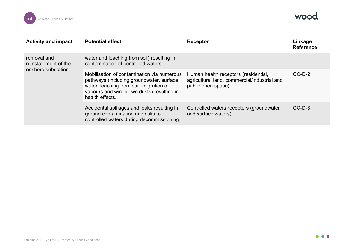

| <b>Activity and impact</b>                                | <b>Potential effect</b>                                                                                                                                                                           | Receptor                                                                                                   | Linkage<br><b>Reference</b> |
|-----------------------------------------------------------|---------------------------------------------------------------------------------------------------------------------------------------------------------------------------------------------------|------------------------------------------------------------------------------------------------------------|-----------------------------|
| removal and<br>reinstatement of the<br>onshore substation | water and leaching from soil) resulting in<br>contamination of controlled waters.                                                                                                                 |                                                                                                            |                             |
|                                                           | Mobilisation of contamination via numerous<br>pathways (including groundwater, surface<br>water, leaching from soil, migration of<br>vapours and windblown dusts) resulting in<br>health effects. | Human health receptors (residential,<br>agricultural land, commercial/industrial and<br>public open space) | $GC-D-2$                    |
|                                                           | Accidental spillages and leaks resulting in<br>ground contamination and risks to<br>controlled waters during decommissioning.                                                                     | Controlled waters receptors (groundwater<br>and surface waters)                                            | $GC-D-3$                    |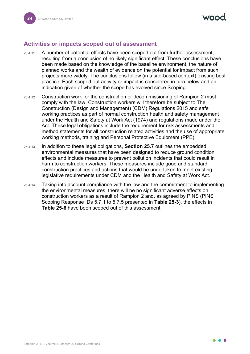#### <span id="page-24-0"></span>**Activities or impacts scoped out of assessment**

- 25.4.11 A number of potential effects have been scoped out from further assessment, resulting from a conclusion of no likely significant effect. These conclusions have been made based on the knowledge of the baseline environment, the nature of planned works and the wealth of evidence on the potential for impact from such projects more widely. The conclusions follow (in a site-based context) existing best practice. Each scoped out activity or impact is considered in turn below and an indication given of whether the scope has evolved since Scoping.
- 25.4.12 Construction work for the construction or decommissioning of Rampion 2 must comply with the law. Construction workers will therefore be subject to The Construction (Design and Management) (CDM) Regulations 2015 and safe working practices as part of normal construction health and safety management under the Health and Safety at Work Act (1974) and regulations made under the Act. These legal obligations include the requirement for risk assessments and method statements for all construction related activities and the use of appropriate working methods, training and Personal Protective Equipment (PPE).
- 25.4.13 In addition to these legal obligations, **Section [25.7](#page-30-0)** outlines the embedded environmental measures that have been designed to reduce ground condition effects and include measures to prevent pollution incidents that could result in harm to construction workers. These measures include good and standard construction practices and actions that would be undertaken to meet existing legislative requirements under CDM and the Health and Safety at Work Act.
- 25.4.14 Taking into account compliance with the law and the commitment to implementing the environmental measures, there will be no significant adverse effects on construction workers as a result of Rampion 2 and, as agreed by PINS (PINS Scoping Response IDs 5.7.1 to 5.7.5 presented in **[Table 25-3](#page-11-1)**), the effects in **[Table 25-6](#page-25-0)** have been scoped out of this assessment.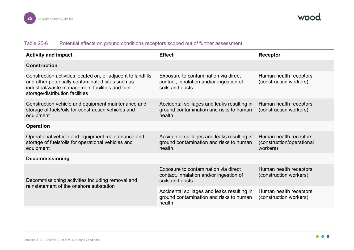#### Table 25-6 Potential effects on ground conditions receptors scoped out of further assessment

<span id="page-25-0"></span>

| <b>Activity and impact</b>                                                                                                                                                                             | <b>Effect</b>                                                                                      | Receptor                                                        |
|--------------------------------------------------------------------------------------------------------------------------------------------------------------------------------------------------------|----------------------------------------------------------------------------------------------------|-----------------------------------------------------------------|
| <b>Construction</b>                                                                                                                                                                                    |                                                                                                    |                                                                 |
| Construction activities located on, or adjacent to landfills<br>and other potentially contaminated sites such as<br>industrial/waste management facilities and fuel<br>storage/distribution facilities | Exposure to contamination via direct<br>contact, inhalation and/or ingestion of<br>soils and dusts | Human health receptors<br>(construction workers)                |
| Construction vehicle and equipment maintenance and<br>storage of fuels/oils for construction vehicles and<br>equipment                                                                                 | Accidental spillages and leaks resulting in<br>ground contamination and risks to human<br>health   | Human health receptors<br>(construction workers)                |
| <b>Operation</b>                                                                                                                                                                                       |                                                                                                    |                                                                 |
| Operational vehicle and equipment maintenance and<br>storage of fuels/oils for operational vehicles and<br>equipment                                                                                   | Accidental spillages and leaks resulting in<br>ground contamination and risks to human<br>health.  | Human health receptors<br>(construction/operational<br>workers) |
| <b>Decommissioning</b>                                                                                                                                                                                 |                                                                                                    |                                                                 |
| Decommissioning activities including removal and<br>reinstatement of the onshore substation                                                                                                            | Exposure to contamination via direct<br>contact, inhalation and/or ingestion of<br>soils and dusts | Human health receptors<br>(construction workers)                |
|                                                                                                                                                                                                        | Accidental spillages and leaks resulting in<br>ground contamination and risks to human<br>health   | Human health receptors<br>(construction workers)                |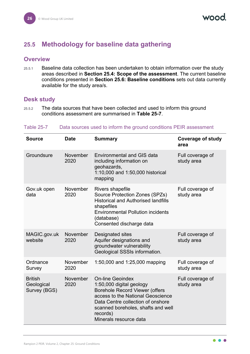VOOL

## <span id="page-26-0"></span>**25.5 Methodology for baseline data gathering**

#### <span id="page-26-1"></span>**Overview**

25.5.1 Baseline data collection has been undertaken to obtain information over the study areas described in **Section [25.4:](#page-17-0) Scope of the assessment**. The current baseline conditions presented in **Section [25.6:](#page-27-1) Baseline conditions** sets out data currently available for the study area/s.

#### <span id="page-26-2"></span>**Desk study**

25.5.2 The data sources that have been collected and used to inform this ground conditions assessment are summarised in **[Table 25-7](#page-26-3)**.

| <b>Source</b>                                | <b>Date</b>      | <b>Summary</b>                                                                                                                                                                                                                                     | <b>Coverage of study</b><br>area |
|----------------------------------------------|------------------|----------------------------------------------------------------------------------------------------------------------------------------------------------------------------------------------------------------------------------------------------|----------------------------------|
| Groundsure                                   | November<br>2020 | <b>Environmental and GIS data</b><br>including information on<br>geohazards,<br>1:10,000 and 1:50,000 historical<br>mapping                                                                                                                        | Full coverage of<br>study area   |
| Gov.uk open<br>data                          | November<br>2020 | <b>Rivers shapefile</b><br>Source Protection Zones (SPZs)<br><b>Historical and Authorised landfills</b><br>shapefiles<br><b>Environmental Pollution incidents</b><br>(database)<br>Consented discharge data                                        | Full coverage of<br>study area   |
| MAGIC.gov.uk<br>website                      | November<br>2020 | <b>Designated sites</b><br>Aquifer designations and<br>groundwater vulnerability<br>Geological SSSIs information.                                                                                                                                  | Full coverage of<br>study area   |
| Ordnance<br>Survey                           | November<br>2020 | 1:50,000 and 1:25,000 mapping                                                                                                                                                                                                                      | Full coverage of<br>study area   |
| <b>British</b><br>Geological<br>Survey (BGS) | November<br>2020 | <b>On-line Geoindex</b><br>1:50,000 digital geology<br><b>Borehole Record Viewer (offers</b><br>access to the National Geoscience<br>Data Centre collection of onshore<br>scanned boreholes, shafts and well<br>records)<br>Minerals resource data | Full coverage of<br>study area   |

#### <span id="page-26-3"></span>Table 25-7 Data sources used to inform the ground conditions PEIR assessment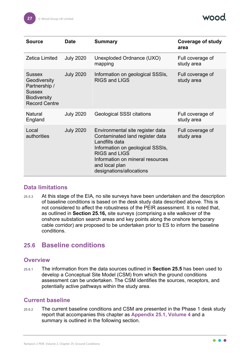

| <b>Source</b>                                                                                                  | <b>Date</b>      | <b>Summary</b>                                                                                                                                                                                                                      | <b>Coverage of study</b><br>area |
|----------------------------------------------------------------------------------------------------------------|------------------|-------------------------------------------------------------------------------------------------------------------------------------------------------------------------------------------------------------------------------------|----------------------------------|
| <b>Zetica Limited</b>                                                                                          | <b>July 2020</b> | Unexploded Ordnance (UXO)<br>mapping                                                                                                                                                                                                | Full coverage of<br>study area   |
| <b>Sussex</b><br>Geodiversity<br>Partnership /<br><b>Sussex</b><br><b>Biodiversity</b><br><b>Record Centre</b> | <b>July 2020</b> | Information on geological SSSIs,<br><b>RIGS and LIGS</b>                                                                                                                                                                            | Full coverage of<br>study area   |
| Natural<br>England                                                                                             | <b>July 2020</b> | <b>Geological SSSI citations</b>                                                                                                                                                                                                    | Full coverage of<br>study area   |
| Local<br>authorities                                                                                           | <b>July 2020</b> | Environmental site register data<br>Contaminated land register data<br>Landfills data<br>Information on geological SSSIs,<br><b>RIGS and LIGS</b><br>Information on mineral resources<br>and local plan<br>designations/allocations | Full coverage of<br>study area   |

#### <span id="page-27-0"></span>**Data limitations**

25.5.3 At this stage of the EIA, no site surveys have been undertaken and the description of baseline conditions is based on the desk study data described above. This is not considered to affect the robustness of the PEIR assessment. It is noted that, as outlined in **Section [25.16,](#page-82-0)** site surveys (comprising a site walkover of the onshore substation search areas and key points along the onshore temporary cable corridor) are proposed to be undertaken prior to ES to inform the baseline conditions.

#### <span id="page-27-1"></span>**25.6 Baseline conditions**

#### <span id="page-27-2"></span>**Overview**

25.6.1 The information from the data sources outlined in **Section [25.5](#page-26-0)** has been used to develop a Conceptual Site Model (CSM) from which the ground conditions assessment can be undertaken. The CSM identifies the sources, receptors, and potentially active pathways within the study area.

#### <span id="page-27-3"></span>**Current baseline**

25.6.2 The current baseline conditions and CSM are presented in the Phase 1 desk study report that accompanies this chapter as **Appendix 25.1, Volume 4** and a summary is outlined in the following section.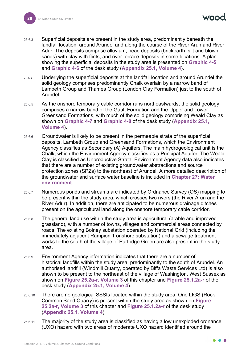nan

- 25.6.3 Superficial deposits are present in the study area, predominantly beneath the landfall location, around Arundel and along the course of the River Arun and River Adur. The deposits comprise alluvium, head deposits (brickearth, silt and blown sands) with clay with flints, and river terrace deposits in some locations. A plan showing the superficial deposits in the study area is presented on **Graphic 4-5** and **Graphic 4-6** of the desk study (**Appendix 25.1, Volume 4**).
- 25.6.4 Underlying the superficial deposits at the landfall location and around Arundel the solid geology comprises predominantly Chalk overlain by a narrow band of Lambeth Group and Thames Group (London Clay Formation) just to the south of Arundel.
- 25.6.5 As the onshore temporary cable corridor runs northeastwards, the solid geology comprises a narrow band of the Gault Formation and the Upper and Lower Greensand Formations, with much of the solid geology comprising Weald Clay as shown on **Graphic 4-7** and **Graphic 4-8** of the desk study (**Appendix 25.1, Volume 4**).
- 25.6.6 Groundwater is likely to be present in the permeable strata of the superficial deposits, Lambeth Group and Greensand Formations, which the Environment Agency classifies as Secondary (A) Aquifers. The main hydrogeological unit is the Chalk, which the Environment Agency classifies as a Principal Aquifer. The Weald Clay is classified as Unproductive Strata. Environment Agency data also indicates that there are a number of existing groundwater abstractions and source protection zones (SPZs) to the northeast of Arundel. A more detailed description of the groundwater and surface water baseline is included in **Chapter 27: Water environment**.
- 25.6.7 Numerous ponds and streams are indicated by Ordnance Survey (OS) mapping to be present within the study area, which crosses two rivers (the River Arun and the River Adur). In addition, there are anticipated to be numerous drainage ditches present on the agricultural land along the onshore temporary cable corridor.
- 25.6.8 The general land use within the study area is agricultural (arable and improved grassland), with a number of towns, villages and commercial areas connected by roads. The existing Bolney substation operated by National Grid (including the immediately adjacent Rampion 1 onshore substation) and a sewage treatment works to the south of the village of Partridge Green are also present in the study area.
- 25.6.9 Environment Agency information indicates that there are a number of historical landfills within the study area, predominantly to the south of Arundel. An authorised landfill (Windmill Quarry, operated by Biffa Waste Services Ltd) is also shown to be present to the northeast of the village of Washington, West Sussex as shown on **Figure 25.2a-r, Volume 3** of this chapter and **Figure 25.1.2a-r** of the desk study (**Appendix 25.1, Volume 4**).
- 25.6.10 There are no geological SSSIs located within the study area. One LIGS (Rock Common Sand Quarry) is present within the study area as shown on **Figure 25.2a-r, Volume 3** of this chapter and **Figure 25.1.2a-r** of the desk study (**Appendix 25.1, Volume 4**).
- 25.6.11 The majority of the study area is classified as having a low unexploded ordnance (UXO) hazard with two areas of moderate UXO hazard identified around the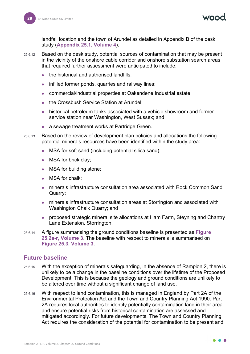landfall location and the town of Arundel as detailed in Appendix B of the desk study (**Appendix 25.1, Volume 4**).

- 25.6.12 Based on the desk study, potential sources of contamination that may be present in the vicinity of the onshore cable corridor and onshore substation search areas that required further assessment were anticipated to include:
	- the historical and authorised landfills;
	- infilled former ponds, quarries and railway lines;
	- commercial/industrial properties at Oakendene Industrial estate;
	- the Crossbush Service Station at Arundel;
	- historical petroleum tanks associated with a vehicle showroom and former service station near Washington, West Sussex; and
	- a sewage treatment works at Partridge Green.
- 25.6.13 Based on the review of development plan policies and allocations the following potential minerals resources have been identified within the study area:
	- MSA for soft sand (including potential silica sand);
	- MSA for brick clay;
	- MSA for building stone;
	- MSA for chalk;
	- minerals infrastructure consultation area associated with Rock Common Sand Quarry;
	- minerals infrastructure consultation areas at Storrington and associated with Washington Chalk Quarry; and
	- proposed strategic mineral site allocations at Ham Farm, Steyning and Chantry Lane Extension, Storrington.
- 25.6.14 A figure summarising the ground conditions baseline is presented as **Figure 25.2a-r, Volume 3**. The baseline with respect to minerals is summarised on **Figure 25.3, Volume 3**.

#### <span id="page-29-0"></span>**Future baseline**

- 25.6.15 With the exception of minerals safeguarding, in the absence of Rampion 2, there is unlikely to be a change in the baseline conditions over the lifetime of the Proposed Development. This is because the geology and ground conditions are unlikely to be altered over time without a significant change of land use.
- 25.6.16 With respect to land contamination, this is managed in England by Part 2A of the Environmental Protection Act and the Town and Country Planning Act 1990. Part 2A requires local authorities to identify potentially contamination land in their area and ensure potential risks from historical contamination are assessed and mitigated accordingly. For future developments, The Town and Country Planning Act requires the consideration of the potential for contamination to be present and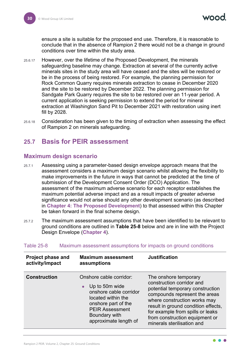ensure a site is suitable for the proposed end use. Therefore, it is reasonable to conclude that in the absence of Rampion 2 there would not be a change in ground conditions over time within the study area.

- 25.6.17 However, over the lifetime of the Proposed Development, the minerals safeguarding baseline may change. Extraction at several of the currently active minerals sites in the study area will have ceased and the sites will be restored or be in the process of being restored. For example, the planning permission for Rock Common Quarry requires minerals extraction to cease in December 2020 and the site to be restored by December 2022. The planning permission for Sandgate Park Quarry requires the site to be restored over an 11-year period. A current application is seeking permission to extend the period for mineral extraction at Washington Sand Pit to December 2021 with restoration using inert fill by 2028.
- 25.6.18 Consideration has been given to the timing of extraction when assessing the effect of Rampion 2 on minerals safeguarding.

#### <span id="page-30-0"></span>**25.7 Basis for PEIR assessment**

#### <span id="page-30-1"></span>**Maximum design scenario**

- 25.7.1 Assessing using a parameter-based design envelope approach means that the assessment considers a maximum design scenario whilst allowing the flexibility to make improvements in the future in ways that cannot be predicted at the time of submission of the Development Consent Order (DCO) Application. The assessment of the maximum adverse scenario for each receptor establishes the maximum potential adverse impact and as a result impacts of greater adverse significance would not arise should any other development scenario (as described in **Chapter 4: The Proposed Development**) to that assessed within this Chapter be taken forward in the final scheme design.
- 25.7.2 The maximum assessment assumptions that have been identified to be relevant to ground conditions are outlined in **[Table 25-8](#page-30-2)** below and are in line with the Project Design Envelope (**Chapter 4**).

| <b>Project phase and</b><br>activity/impact | <b>Maximum assessment</b><br>assumptions                                                                                                                                                          | <b>Justification</b>                                                                                                                                                                                                                                                                               |
|---------------------------------------------|---------------------------------------------------------------------------------------------------------------------------------------------------------------------------------------------------|----------------------------------------------------------------------------------------------------------------------------------------------------------------------------------------------------------------------------------------------------------------------------------------------------|
| <b>Construction</b>                         | Onshore cable corridor:<br>Up to 50m wide<br>$\bullet$<br>onshore cable corridor<br>located within the<br>onshore part of the<br><b>PEIR Assessment</b><br>Boundary with<br>approximate length of | The onshore temporary<br>construction corridor and<br>potential temporary construction<br>compounds represent the areas<br>where construction works may<br>result in ground condition effects,<br>for example from spills or leaks<br>from construction equipment or<br>minerals sterilisation and |

#### <span id="page-30-2"></span>Table 25-8 Maximum assessment assumptions for impacts on ground conditions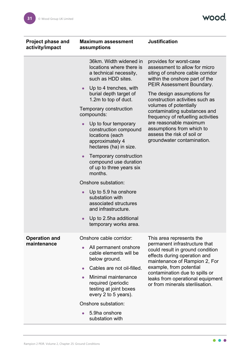wood.

| <b>Project phase and</b><br>activity/impact | <b>Maximum assessment</b><br>assumptions                                                                                                                                                                                                                                                                                                                                                                                                                                                                                                                                                                                         | <b>Justification</b>                                                                                                                                                                                                                                                                                                                                                                                                                                   |
|---------------------------------------------|----------------------------------------------------------------------------------------------------------------------------------------------------------------------------------------------------------------------------------------------------------------------------------------------------------------------------------------------------------------------------------------------------------------------------------------------------------------------------------------------------------------------------------------------------------------------------------------------------------------------------------|--------------------------------------------------------------------------------------------------------------------------------------------------------------------------------------------------------------------------------------------------------------------------------------------------------------------------------------------------------------------------------------------------------------------------------------------------------|
|                                             | 36km. Width widened in<br>locations where there is<br>a technical necessity,<br>such as HDD sites.<br>Up to 4 trenches, with<br>$\bullet$<br>burial depth target of<br>1.2m to top of duct.<br>Temporary construction<br>compounds:<br>Up to four temporary<br>construction compound<br>locations (each<br>approximately 4<br>hectares (ha) in size.<br>Temporary construction<br>$\bullet$<br>compound use duration<br>of up to three years six<br>months.<br>Onshore substation:<br>Up to 5.9 ha onshore<br>substation with<br>associated structures<br>and infrastructure.<br>Up to 2.5ha additional<br>temporary works area. | provides for worst-case<br>assessment to allow for micro<br>siting of onshore cable corridor<br>within the onshore part of the<br><b>PEIR Assessment Boundary.</b><br>The design assumptions for<br>construction activities such as<br>volumes of potentially<br>contaminating substances and<br>frequency of refuelling activities<br>are reasonable maximum<br>assumptions from which to<br>assess the risk of soil or<br>groundwater contamination. |
| <b>Operation and</b><br>maintenance         | Onshore cable corridor:<br>All permanent onshore<br>cable elements will be<br>below ground.<br>Cables are not oil-filled.<br>Minimal maintenance<br>required (periodic<br>testing at joint boxes<br>every 2 to 5 years).<br>Onshore substation:<br>5.9ha onshore<br>substation with                                                                                                                                                                                                                                                                                                                                              | This area represents the<br>permanent infrastructure that<br>could result in ground condition<br>effects during operation and<br>maintenance of Rampion 2, For<br>example, from potential<br>contamination due to spills or<br>leaks from operational equipment<br>or from minerals sterilisation.                                                                                                                                                     |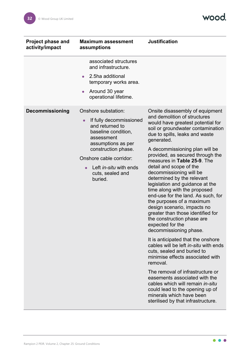wood.

| <b>Project phase and</b><br>activity/impact | <b>Maximum assessment</b><br>assumptions                                                                                                                                                                                                             | <b>Justification</b>                                                                                                                                                                                                                                                                                                                                                                                                                                                                                                                                                                                                                                                                                                                                                                                                                                                                                                                                                                                                                                |
|---------------------------------------------|------------------------------------------------------------------------------------------------------------------------------------------------------------------------------------------------------------------------------------------------------|-----------------------------------------------------------------------------------------------------------------------------------------------------------------------------------------------------------------------------------------------------------------------------------------------------------------------------------------------------------------------------------------------------------------------------------------------------------------------------------------------------------------------------------------------------------------------------------------------------------------------------------------------------------------------------------------------------------------------------------------------------------------------------------------------------------------------------------------------------------------------------------------------------------------------------------------------------------------------------------------------------------------------------------------------------|
|                                             | associated structures<br>and infrastructure.<br>2.5ha additional<br>$\bullet$<br>temporary works area.<br>Around 30 year<br>operational lifetime.                                                                                                    |                                                                                                                                                                                                                                                                                                                                                                                                                                                                                                                                                                                                                                                                                                                                                                                                                                                                                                                                                                                                                                                     |
| <b>Decommissioning</b>                      | Onshore substation:<br>If fully decommissioned<br>$\bullet$<br>and returned to<br>baseline condition,<br>assessment<br>assumptions as per<br>construction phase.<br>Onshore cable corridor:<br>Left in-situ with ends<br>cuts, sealed and<br>buried. | Onsite disassembly of equipment<br>and demolition of structures<br>would have greatest potential for<br>soil or groundwater contamination<br>due to spills, leaks and waste<br>generated.<br>A decommissioning plan will be<br>provided, as secured through the<br>measures in Table 25-9. The<br>detail and scope of the<br>decommissioning will be<br>determined by the relevant<br>legislation and guidance at the<br>time along with the proposed<br>end-use for the land. As such, for<br>the purposes of a maximum<br>design scenario, impacts no<br>greater than those identified for<br>the construction phase are<br>expected for the<br>decommissioning phase.<br>It is anticipated that the onshore<br>cables will be left in-situ with ends<br>cuts, sealed and buried to<br>minimise effects associated with<br>removal.<br>The removal of infrastructure or<br>easements associated with the<br>cables which will remain in-situ<br>could lead to the opening up of<br>minerals which have been<br>sterilised by that infrastructure. |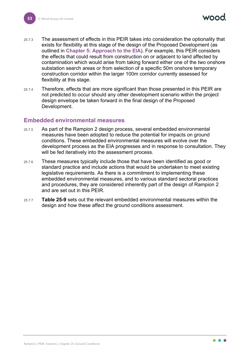- 25.7.3 The assessment of effects in this PEIR takes into consideration the optionality that exists for flexibility at this stage of the design of the Proposed Development (as outlined in **Chapter 5: Approach to the EIA**). For example, this PEIR considers the effects that could result from construction on or adjacent to land affected by contamination which would arise from taking forward either one of the two onshore substation search areas or from selection of a specific 50m onshore temporary construction corridor within the larger 100m corridor currently assessed for flexibility at this stage.
- 25.7.4 Therefore, effects that are more significant than those presented in this PEIR are not predicted to occur should any other development scenario within the project design envelope be taken forward in the final design of the Proposed Development.

#### <span id="page-33-0"></span>**Embedded environmental measures**

- 25.7.5 As part of the Rampion 2 design process, several embedded environmental measures have been adopted to reduce the potential for impacts on ground conditions. These embedded environmental measures will evolve over the development process as the EIA progresses and in response to consultation. They will be fed iteratively into the assessment process.
- 25.7.6 These measures typically include those that have been identified as good or standard practice and include actions that would be undertaken to meet existing legislative requirements. As there is a commitment to implementing these embedded environmental measures, and to various standard sectoral practices and procedures, they are considered inherently part of the design of Rampion 2 and are set out in this PEIR.
- 25.7.7 **[Table 25-9](#page-34-0)** sets out the relevant embedded environmental measures within the design and how these affect the ground conditions assessment.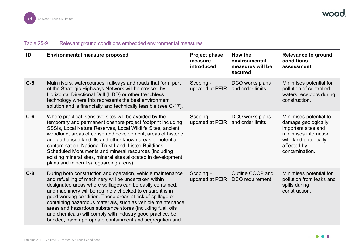| Table 25-9 |  | Relevant ground conditions embedded environmental measures |  |  |
|------------|--|------------------------------------------------------------|--|--|
|------------|--|------------------------------------------------------------|--|--|

<span id="page-34-0"></span>

| ID    | <b>Environmental measure proposed</b>                                                                                                                                                                                                                                                                                                                                                                                                                                                                                                                                | <b>Project phase</b><br>measure<br>introduced   | How the<br>environmental<br>measures will be<br>secured | <b>Relevance to ground</b><br>conditions<br>assessment                                                                                                  |
|-------|----------------------------------------------------------------------------------------------------------------------------------------------------------------------------------------------------------------------------------------------------------------------------------------------------------------------------------------------------------------------------------------------------------------------------------------------------------------------------------------------------------------------------------------------------------------------|-------------------------------------------------|---------------------------------------------------------|---------------------------------------------------------------------------------------------------------------------------------------------------------|
| $C-5$ | Main rivers, watercourses, railways and roads that form part<br>of the Strategic Highways Network will be crossed by<br>Horizontal Directional Drill (HDD) or other trenchless<br>technology where this represents the best environment<br>solution and is financially and technically feasible (see C-17).                                                                                                                                                                                                                                                          | Scoping -<br>updated at PEIR                    | DCO works plans<br>and order limits                     | Minimises potential for<br>pollution of controlled<br>waters receptors during<br>construction.                                                          |
| $C-6$ | Where practical, sensitive sites will be avoided by the<br>temporary and permanent onshore project footprint including<br>SSSIs, Local Nature Reserves, Local Wildlife Sites, ancient<br>woodland, areas of consented development, areas of historic<br>and authorised landfills and other known areas of potential<br>contamination, National Trust Land, Listed Buildings,<br>Scheduled Monuments and mineral resources (including<br>existing mineral sites, mineral sites allocated in development<br>plans and mineral safeguarding areas).                     | $Scoping -$<br>updated at PEIR and order limits | DCO works plans                                         | Minimises potential to<br>damage geologically<br>important sites and<br>minimises interaction<br>with land potentially<br>affected by<br>contamination. |
| $C-8$ | During both construction and operation, vehicle maintenance<br>and refuelling of machinery will be undertaken within<br>designated areas where spillages can be easily contained,<br>and machinery will be routinely checked to ensure it is in<br>good working condition. These areas at risk of spillage or<br>containing hazardous materials, such as vehicle maintenance<br>areas and hazardous substance stores (including fuel, oils<br>and chemicals) will comply with industry good practice, be<br>bunded, have appropriate containment and segregation and | $Scoping -$<br>updated at PEIR                  | Outline COCP and<br>DCO requirement                     | Minimises potential for<br>pollution from leaks and<br>spills during<br>construction.                                                                   |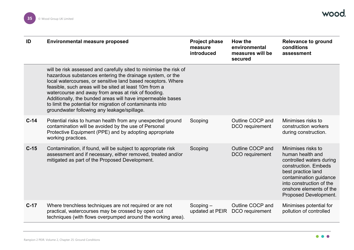| ID     | <b>Environmental measure proposed</b>                                                                                                                                                                                                                                                                                                                                                                                                                                                      | <b>Project phase</b><br>measure<br><b>introduced</b> | How the<br>environmental<br>measures will be<br>secured | <b>Relevance to ground</b><br>conditions<br>assessment                                                                                                                                                                     |
|--------|--------------------------------------------------------------------------------------------------------------------------------------------------------------------------------------------------------------------------------------------------------------------------------------------------------------------------------------------------------------------------------------------------------------------------------------------------------------------------------------------|------------------------------------------------------|---------------------------------------------------------|----------------------------------------------------------------------------------------------------------------------------------------------------------------------------------------------------------------------------|
|        | will be risk assessed and carefully sited to minimise the risk of<br>hazardous substances entering the drainage system, or the<br>local watercourses, or sensitive land based receptors. Where<br>feasible, such areas will be sited at least 10m from a<br>watercourse and away from areas at risk of flooding.<br>Additionally, the bunded areas will have impermeable bases<br>to limit the potential for migration of contaminants into<br>groundwater following any leakage/spillage. |                                                      |                                                         |                                                                                                                                                                                                                            |
| $C-14$ | Potential risks to human health from any unexpected ground<br>contamination will be avoided by the use of Personal<br>Protective Equipment (PPE) and by adopting appropriate<br>working practices.                                                                                                                                                                                                                                                                                         | Scoping                                              | Outline COCP and<br>DCO requirement                     | Minimises risks to<br>construction workers<br>during construction.                                                                                                                                                         |
| $C-15$ | Contamination, if found, will be subject to appropriate risk<br>assessment and if necessary, either removed, treated and/or<br>mitigated as part of the Proposed Development.                                                                                                                                                                                                                                                                                                              | Scoping                                              | Outline COCP and<br>DCO requirement                     | Minimises risks to<br>human health and<br>controlled waters during<br>construction. Embeds<br>best practice land<br>contamination guidance<br>into construction of the<br>onshore elements of the<br>Proposed Development. |
| $C-17$ | Where trenchless techniques are not required or are not<br>practical, watercourses may be crossed by open cut<br>techniques (with flows overpumped around the working area).                                                                                                                                                                                                                                                                                                               | $Scoping -$<br>updated at PEIR                       | Outline COCP and<br>DCO requirement                     | Minimises potential for<br>pollution of controlled                                                                                                                                                                         |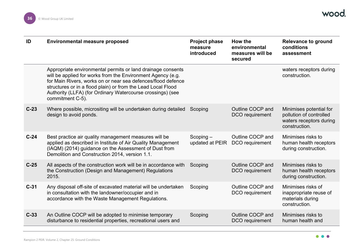| ID     | <b>Environmental measure proposed</b>                                                                                                                                                                                                                                                                                                        | <b>Project phase</b><br>measure<br>introduced | How the<br>environmental<br>measures will be<br>secured | <b>Relevance to ground</b><br>conditions<br>assessment                                         |
|--------|----------------------------------------------------------------------------------------------------------------------------------------------------------------------------------------------------------------------------------------------------------------------------------------------------------------------------------------------|-----------------------------------------------|---------------------------------------------------------|------------------------------------------------------------------------------------------------|
|        | Appropriate environmental permits or land drainage consents<br>will be applied for works from the Environment Agency (e.g.<br>for Main Rivers, works on or near sea defences/flood defence<br>structures or in a flood plain) or from the Lead Local Flood<br>Authority (LLFA) (for Ordinary Watercourse crossings) (see<br>commitment C-5). |                                               |                                                         | waters receptors during<br>construction.                                                       |
| $C-23$ | Where possible, micrositing will be undertaken during detailed<br>design to avoid ponds.                                                                                                                                                                                                                                                     | Scoping                                       | Outline COCP and<br>DCO requirement                     | Minimises potential for<br>pollution of controlled<br>waters receptors during<br>construction. |
| $C-24$ | Best practice air quality management measures will be<br>applied as described in Institute of Air Quality Management<br>(IAQM) (2014) guidance on the Assessment of Dust from<br>Demolition and Construction 2014, version 1.1.                                                                                                              | $Scoping -$<br>updated at PEIR                | Outline COCP and<br>DCO requirement                     | Minimises risks to<br>human health receptors<br>during construction.                           |
| $C-25$ | All aspects of the construction work will be in accordance with<br>the Construction (Design and Management) Regulations<br>2015.                                                                                                                                                                                                             | Scoping                                       | Outline COCP and<br>DCO requirement                     | Minimises risks to<br>human health receptors<br>during construction.                           |
| $C-31$ | Any disposal off-site of excavated material will be undertaken<br>in consultation with the landowner/occupier and in<br>accordance with the Waste Management Regulations.                                                                                                                                                                    | Scoping                                       | Outline COCP and<br>DCO requirement                     | Minimises risks of<br>inappropriate reuse of<br>materials during<br>construction.              |
| $C-33$ | An Outline COCP will be adopted to minimise temporary<br>disturbance to residential properties, recreational users and                                                                                                                                                                                                                       | Scoping                                       | Outline COCP and<br>DCO requirement                     | Minimises risks to<br>human health and                                                         |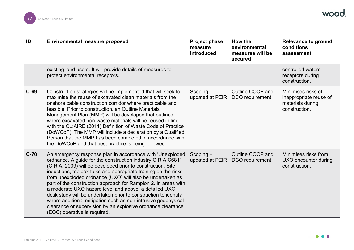| ID     | <b>Environmental measure proposed</b>                                                                                                                                                                                                                                                                                                                                                                                                                                                                                                                                                                                                                                                 | <b>Project phase</b><br>measure<br><b>introduced</b> | How the<br>environmental<br>measures will be<br>secured | <b>Relevance to ground</b><br>conditions<br>assessment                            |
|--------|---------------------------------------------------------------------------------------------------------------------------------------------------------------------------------------------------------------------------------------------------------------------------------------------------------------------------------------------------------------------------------------------------------------------------------------------------------------------------------------------------------------------------------------------------------------------------------------------------------------------------------------------------------------------------------------|------------------------------------------------------|---------------------------------------------------------|-----------------------------------------------------------------------------------|
|        | existing land users. It will provide details of measures to<br>protect environmental receptors.                                                                                                                                                                                                                                                                                                                                                                                                                                                                                                                                                                                       |                                                      |                                                         | controlled waters<br>receptors during<br>construction.                            |
| $C-69$ | Construction strategies will be implemented that will seek to<br>maximise the reuse of excavated clean materials from the<br>onshore cable construction corridor where practicable and<br>feasible. Prior to construction, an Outline Materials<br>Management Plan (MMP) will be developed that outlines<br>where excavated non-waste materials will be reused in line<br>with the CL:AIRE (2011) Definition of Waste Code of Practice<br>(DoWCoP). The MMP will include a declaration by a Qualified<br>Person that the MMP has been completed in accordance with<br>the DoWCoP and that best practice is being followed.                                                            | $Scoping -$<br>updated at PEIR                       | Outline COCP and<br>DCO requirement                     | Minimises risks of<br>inappropriate reuse of<br>materials during<br>construction. |
| $C-70$ | An emergency response plan in accordance with 'Unexploded<br>ordnance, A guide for the construction industry CIRIA C681'<br>(CIRIA, 2009) will be developed prior to construction. Site<br>inductions, toolbox talks and appropriate training on the risks<br>from unexploded ordnance (UXO) will also be undertaken as<br>part of the construction approach for Rampion 2. In areas with<br>a moderate UXO hazard level and above, a detailed UXO<br>desk study will be undertaken prior to construction to identify<br>where additional mitigation such as non-intrusive geophysical<br>clearance or supervision by an explosive ordnance clearance<br>(EOC) operative is required. | $Scoping -$<br>updated at PEIR                       | Outline COCP and<br>DCO requirement                     | Minimises risks from<br>UXO encounter during<br>construction.                     |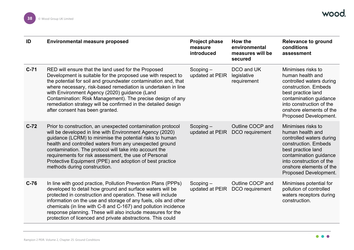| ID     | <b>Environmental measure proposed</b>                                                                                                                                                                                                                                                                                                                                                                                                                                     | <b>Project phase</b><br>measure<br>introduced | How the<br>environmental<br>measures will be<br>secured | <b>Relevance to ground</b><br>conditions<br>assessment                                                                                                                                                                     |
|--------|---------------------------------------------------------------------------------------------------------------------------------------------------------------------------------------------------------------------------------------------------------------------------------------------------------------------------------------------------------------------------------------------------------------------------------------------------------------------------|-----------------------------------------------|---------------------------------------------------------|----------------------------------------------------------------------------------------------------------------------------------------------------------------------------------------------------------------------------|
| $C-71$ | RED will ensure that the land used for the Proposed<br>Development is suitable for the proposed use with respect to<br>the potential for soil and groundwater contamination and, that<br>where necessary, risk-based remediation is undertaken in line<br>with Environment Agency (2020) guidance (Land<br>Contamination: Risk Management). The precise design of any<br>remediation strategy will be confirmed in the detailed design<br>after consent has been granted. | $Scoping -$<br>updated at PEIR                | DCO and UK<br>legislative<br>requirement                | Minimises risks to<br>human health and<br>controlled waters during<br>construction. Embeds<br>best practice land<br>contamination guidance<br>into construction of the<br>onshore elements of the<br>Proposed Development. |
| $C-72$ | Prior to construction, an unexpected contamination protocol<br>will be developed in line with Environment Agency (2020)<br>guidance (LCRM) to minimise the potential risks to human<br>health and controlled waters from any unexpected ground<br>contamination. The protocol will take into account the<br>requirements for risk assessment, the use of Personal<br>Protective Equipment (PPE) and adoption of best practice<br>methods during construction.             | $Scoping -$<br>updated at PEIR                | Outline COCP and<br>DCO requirement                     | Minimises risks to<br>human health and<br>controlled waters during<br>construction. Embeds<br>best practice land<br>contamination guidance<br>into construction of the<br>onshore elements of the<br>Proposed Development. |
| $C-76$ | In line with good practice, Pollution Prevention Plans (PPPs)<br>developed to detail how ground and surface waters will be<br>protected in construction and operation. These will include<br>information on the use and storage of any fuels, oils and other<br>chemicals (in line with C-8 and C-167) and pollution incidence<br>response planning. These will also include measures for the<br>protection of licenced and private abstractions. This could              | $Scoping -$<br>updated at PEIR                | Outline COCP and<br>DCO requirement                     | Minimises potential for<br>pollution of controlled<br>waters receptors during<br>construction.                                                                                                                             |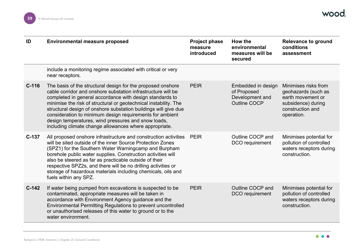| ID      | <b>Environmental measure proposed</b>                                                                                                                                                                                                                                                                                                                                                                                                                                                                       | <b>Project phase</b><br>measure<br>introduced | How the<br>environmental<br>measures will be<br>secured                     | <b>Relevance to ground</b><br>conditions<br>assessment                                                                   |
|---------|-------------------------------------------------------------------------------------------------------------------------------------------------------------------------------------------------------------------------------------------------------------------------------------------------------------------------------------------------------------------------------------------------------------------------------------------------------------------------------------------------------------|-----------------------------------------------|-----------------------------------------------------------------------------|--------------------------------------------------------------------------------------------------------------------------|
|         | include a monitoring regime associated with critical or very<br>near receptors.                                                                                                                                                                                                                                                                                                                                                                                                                             |                                               |                                                                             |                                                                                                                          |
| $C-116$ | The basis of the structural design for the proposed onshore<br>cable corridor and onshore substation infrastructure will be<br>completed in general accordance with design standards to<br>minimise the risk of structural or geotechnical instability. The<br>structural design of onshore substation buildings will give due<br>consideration to minimum design requirements for ambient<br>design temperatures, wind pressures and snow loads,<br>including climate change allowances where appropriate. | <b>PEIR</b>                                   | Embedded in design<br>of Proposed<br>Development and<br><b>Outline COCP</b> | Minimises risks from<br>geohazards (such as<br>earth movement or<br>subsidence) during<br>construction and<br>operation. |
| $C-137$ | All proposed onshore infrastructure and construction activities PEIR<br>will be sited outside of the inner Source Protection Zones<br>(SPZ1) for the Southern Water Warningcamp and Burpham<br>borehole public water supplies. Construction activities will<br>also be steered as far as practicable outside of their<br>respective SPZ2s, and there will be no drilling activities or<br>storage of hazardous materials including chemicals, oils and<br>fuels within any SPZ.                             |                                               | Outline COCP and<br>DCO requirement                                         | Minimises potential for<br>pollution of controlled<br>waters receptors during<br>construction.                           |
| $C-142$ | If water being pumped from excavations is suspected to be<br>contaminated, appropriate measures will be taken in<br>accordance with Environment Agency guidance and the<br>Environmental Permitting Regulations to prevent uncontrolled<br>or unauthorised releases of this water to ground or to the<br>water environment.                                                                                                                                                                                 | <b>PEIR</b>                                   | Outline COCP and<br>DCO requirement                                         | Minimises potential for<br>pollution of controlled<br>waters receptors during<br>construction.                           |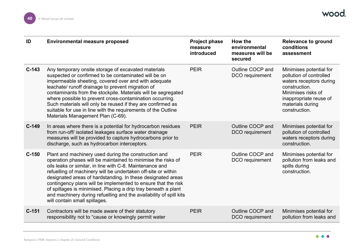| ID      | <b>Environmental measure proposed</b>                                                                                                                                                                                                                                                                                                                                                                                                                                                                                                                      | <b>Project phase</b><br>measure<br>introduced | How the<br>environmental<br>measures will be<br>secured | <b>Relevance to ground</b><br>conditions<br>assessment                                                                                                                              |
|---------|------------------------------------------------------------------------------------------------------------------------------------------------------------------------------------------------------------------------------------------------------------------------------------------------------------------------------------------------------------------------------------------------------------------------------------------------------------------------------------------------------------------------------------------------------------|-----------------------------------------------|---------------------------------------------------------|-------------------------------------------------------------------------------------------------------------------------------------------------------------------------------------|
| $C-143$ | Any temporary onsite storage of excavated materials<br>suspected or confirmed to be contaminated will be on<br>impermeable sheeting, covered over and with adequate<br>leachate/ runoff drainage to prevent migration of<br>contaminants from the stockpile. Materials will be segregated<br>where possible to prevent cross-contamination occurring.<br>Such materials will only be reused if they are confirmed as<br>suitable for use in line with the requirements of the Outline<br>Materials Management Plan (C-69).                                 | <b>PEIR</b>                                   | Outline COCP and<br>DCO requirement                     | Minimises potential for<br>pollution of controlled<br>waters receptors during<br>construction.<br>Minimises risks of<br>inappropriate reuse of<br>materials during<br>construction. |
| $C-149$ | In areas where there is a potential for hydrocarbon residues<br>from run-off/ isolated leakages surface water drainage<br>measures will be provided to capture hydrocarbons prior to<br>discharge, such as hydrocarbon interceptors.                                                                                                                                                                                                                                                                                                                       | <b>PEIR</b>                                   | Outline COCP and<br>DCO requirement                     | Minimises potential for<br>pollution of controlled<br>waters receptors during<br>construction.                                                                                      |
| $C-150$ | Plant and machinery used during the construction and<br>operation phases will be maintained to minimise the risks of<br>oils leaks or similar, in line with C-8. Maintenance and<br>refuelling of machinery will be undertaken off-site or within<br>designated areas of hardstanding. In these designated areas<br>contingency plans will be implemented to ensure that the risk<br>of spillages is minimised. Placing a drip tray beneath a plant<br>and machinery during refuelling and the availability of spill kits<br>will contain small spillages. | <b>PEIR</b>                                   | Outline COCP and<br>DCO requirement                     | Minimises potential for<br>pollution from leaks and<br>spills during<br>construction.                                                                                               |
| $C-151$ | Contractors will be made aware of their statutory<br>responsibility not to "cause or knowingly permit water                                                                                                                                                                                                                                                                                                                                                                                                                                                | <b>PEIR</b>                                   | Outline COCP and<br>DCO requirement                     | Minimises potential for<br>pollution from leaks and                                                                                                                                 |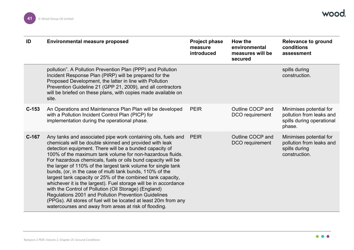| ID      | <b>Environmental measure proposed</b>                                                                                                                                                                                                                                                                                                                                                                                                                                                                                                                                                                                                                                                                                                                                                                                          | <b>Project phase</b><br>measure<br>introduced | How the<br>environmental<br>measures will be<br>secured | <b>Relevance to ground</b><br>conditions<br>assessment                                     |
|---------|--------------------------------------------------------------------------------------------------------------------------------------------------------------------------------------------------------------------------------------------------------------------------------------------------------------------------------------------------------------------------------------------------------------------------------------------------------------------------------------------------------------------------------------------------------------------------------------------------------------------------------------------------------------------------------------------------------------------------------------------------------------------------------------------------------------------------------|-----------------------------------------------|---------------------------------------------------------|--------------------------------------------------------------------------------------------|
|         | pollution". A Pollution Prevention Plan (PPP) and Pollution<br>Incident Response Plan (PIRP) will be prepared for the<br>Proposed Development, the latter in line with Pollution<br>Prevention Guideline 21 (GPP 21, 2009), and all contractors<br>will be briefed on these plans, with copies made available on<br>site.                                                                                                                                                                                                                                                                                                                                                                                                                                                                                                      |                                               |                                                         | spills during<br>construction.                                                             |
| $C-153$ | An Operations and Maintenance Plan Plan will be developed<br>with a Pollution Incident Control Plan (PICP) for<br>implementation during the operational phase.                                                                                                                                                                                                                                                                                                                                                                                                                                                                                                                                                                                                                                                                 | <b>PEIR</b>                                   | Outline COCP and<br>DCO requirement                     | Minimises potential for<br>pollution from leaks and<br>spills during operational<br>phase. |
| $C-167$ | Any tanks and associated pipe work containing oils, fuels and<br>chemicals will be double skinned and provided with leak<br>detection equipment. There will be a bunded capacity of<br>100% of the maximum tank volume for non-hazardous fluids.<br>For hazardous chemicals, fuels or oils bund capacity will be<br>the larger of 110% of the largest tank volume for single tank<br>bunds, (or, in the case of multi tank bunds, 110% of the<br>largest tank capacity or 25% of the combined tank capacity,<br>whichever it is the largest). Fuel storage will be in accordance<br>with the Control of Pollution (Oil Storage) (England)<br>Regulations 2001 and Pollution Prevention Guidelines<br>(PPGs). All stores of fuel will be located at least 20m from any<br>watercourses and away from areas at risk of flooding. | <b>PEIR</b>                                   | Outline COCP and<br>DCO requirement                     | Minimises potential for<br>pollution from leaks and<br>spills during<br>construction.      |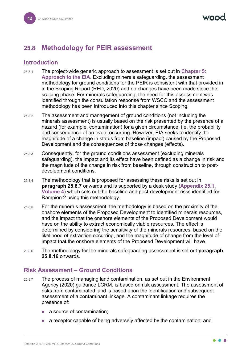# **25.8 Methodology for PEIR assessment**

## **Introduction**

- 25.8.1 The project-wide generic approach to assessment is set out in **Chapter 5: Approach to the EIA**. Excluding minerals safeguarding, the assessment methodology for ground conditions for the PEIR is consistent with that provided in in the Scoping Report (RED, 2020) and no changes have been made since the scoping phase. For minerals safeguarding, the need for this assessment was identified through the consultation response from WSCC and the assessment methodology has been introduced into this chapter since Scoping.
- 25.8.2 The assessment and management of ground conditions (not including the minerals assessment) is usually based on the risk presented by the presence of a hazard (for example, contamination) for a given circumstance, i.e. the probability and consequence of an event occurring. However, EIA seeks to identify the magnitude of a change in status from baseline (impact) caused by the Proposed Development and the consequences of those changes (effects).
- 25.8.3 Consequently, for the ground conditions assessment (excluding minerals safeguarding), the impact and its effect have been defined as a change in risk and the magnitude of the change in risk from baseline, through construction to postdevelopment conditions.
- 25.8.4 The methodology that is proposed for assessing these risks is set out in **paragraph [25.8.7](#page-42-0)** onwards and is supported by a desk study (**Appendix 25.1, Volume 4**) which sets out the baseline and post-development risks identified for Rampion 2 using this methodology.
- 25.8.5 For the minerals assessment, the methodology is based on the proximity of the onshore elements of the Proposed Development to identified minerals resources, and the impact that the onshore elements of the Proposed Development would have on the ability to extract economically viable resources. The effect is determined by considering the sensitivity of the minerals resources, based on the likelihood of extraction occurring, and the magnitude of change from the level of impact that the onshore elements of the Proposed Development will have.
- 25.8.6 The methodology for the minerals safeguarding assessment is set out **paragraph [25.8.16](#page-51-0)** onwards.

## **Risk Assessment – Ground Conditions**

- <span id="page-42-0"></span>25.8.7 The process of managing land contamination, as set out in the Environment Agency (2020) guidance LCRM, is based on risk assessment. The assessment of risks from contaminated land is based upon the identification and subsequent assessment of a contaminant linkage. A contaminant linkage requires the presence of:
	- a source of contamination;
	- a receptor capable of being adversely affected by the contamination; and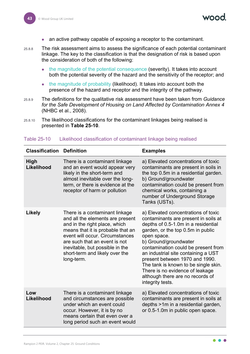- an active pathway capable of exposing a receptor to the contaminant.
- 25.8.8 The risk assessment aims to assess the significance of each potential contaminant linkage. The key to the classification is that the designation of risk is based upon the consideration of both of the following:
	- the magnitude of the potential consequence (severity). It takes into account both the potential severity of the hazard and the sensitivity of the receptor; and
	- the magnitude of probability (likelihood). It takes into account both the presence of the hazard and receptor and the integrity of the pathway.
- 25.8.9 The definitions for the qualitative risk assessment have been taken from *Guidance for the Safe Development of Housing on Land Affected by Contamination Annex 4* (NHBC et al., 2008).
- 25.8.10 The likelihood classifications for the contaminant linkages being realised is presented in **[Table 25-10](#page-43-0)**.

| <b>Classification</b>     | <b>Definition</b>                                                                                                                                                                                                                                                                               | <b>Examples</b>                                                                                                                                                                                                                                                                                                                                                                                                                                    |
|---------------------------|-------------------------------------------------------------------------------------------------------------------------------------------------------------------------------------------------------------------------------------------------------------------------------------------------|----------------------------------------------------------------------------------------------------------------------------------------------------------------------------------------------------------------------------------------------------------------------------------------------------------------------------------------------------------------------------------------------------------------------------------------------------|
| <b>High</b><br>Likelihood | There is a contaminant linkage<br>and an event would appear very<br>likely in the short-term and<br>almost inevitable over the long-<br>term, or there is evidence at the<br>receptor of harm or pollution                                                                                      | a) Elevated concentrations of toxic<br>contaminants are present in soils in<br>the top 0.5m in a residential garden.<br>b) Ground/groundwater<br>contamination could be present from<br>chemical works, containing a<br>number of Underground Storage<br>Tanks (USTs).                                                                                                                                                                             |
| <b>Likely</b>             | There is a contaminant linkage<br>and all the elements are present<br>and in the right place, which<br>means that it is probable that an<br>event will occur. Circumstances<br>are such that an event is not<br>inevitable, but possible in the<br>short-term and likely over the<br>long-term. | a) Elevated concentrations of toxic<br>contaminants are present in soils at<br>depths of 0.5-1.0m in a residential<br>garden, or the top 0.5m in public<br>open space.<br>b) Ground/groundwater<br>contamination could be present from<br>an industrial site containing a UST<br>present between 1970 and 1990.<br>The tank is known to be single skin.<br>There is no evidence of leakage<br>although there are no records of<br>integrity tests. |
| Low<br>Likelihood         | There is a contaminant linkage<br>and circumstances are possible<br>under which an event could<br>occur. However, it is by no<br>means certain that even over a<br>long period such an event would                                                                                              | a) Elevated concentrations of toxic<br>contaminants are present in soils at<br>depths >1m in a residential garden,<br>or 0.5-1.0m in public open space.                                                                                                                                                                                                                                                                                            |

#### <span id="page-43-0"></span>Table 25-10 Likelihood classification of contaminant linkage being realised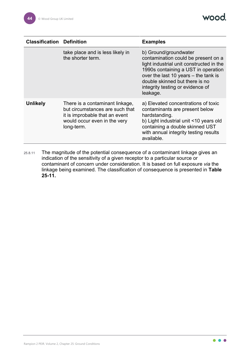wood.

| <b>Classification</b> | <b>Definition</b>                                                                                                                                  | <b>Examples</b>                                                                                                                                                                                                                                                           |
|-----------------------|----------------------------------------------------------------------------------------------------------------------------------------------------|---------------------------------------------------------------------------------------------------------------------------------------------------------------------------------------------------------------------------------------------------------------------------|
|                       | take place and is less likely in<br>the shorter term.                                                                                              | b) Ground/groundwater<br>contamination could be present on a<br>light industrial unit constructed in the<br>1990s containing a UST in operation<br>over the last 10 years - the tank is<br>double skinned but there is no<br>integrity testing or evidence of<br>leakage. |
| <b>Unlikely</b>       | There is a contaminant linkage,<br>but circumstances are such that<br>it is improbable that an event<br>would occur even in the very<br>long-term. | a) Elevated concentrations of toxic<br>contaminants are present below<br>hardstanding.<br>b) Light industrial unit <10 years old<br>containing a double skinned UST<br>with annual integrity testing results<br>available.                                                |

25.8.11 The magnitude of the potential consequence of a contaminant linkage gives an indication of the sensitivity of a given receptor to a particular source or contaminant of concern under consideration. It is based on full exposure *via* the linkage being examined. The classification of consequence is presented in **[Table](#page-45-0) [25-11.](#page-45-0)**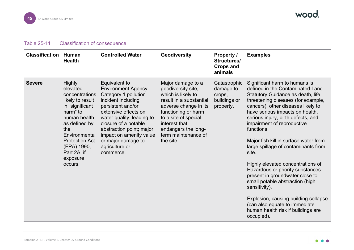## Table 25-11 Classification of consequence

<span id="page-45-0"></span>

| <b>Classification</b> | <b>Human</b><br><b>Health</b>                                                                                                                                                                                                         | <b>Controlled Water</b>                                                                                                                                                                                                                                                                                       | Geodiversity                                                                                                                                                                                                                                 | <b>Property /</b><br><b>Structures/</b><br><b>Crops and</b><br>animals | <b>Examples</b>                                                                                                                                                                                                                                                                                                                                                                                                                                                                                                                                                                                                                                                                               |
|-----------------------|---------------------------------------------------------------------------------------------------------------------------------------------------------------------------------------------------------------------------------------|---------------------------------------------------------------------------------------------------------------------------------------------------------------------------------------------------------------------------------------------------------------------------------------------------------------|----------------------------------------------------------------------------------------------------------------------------------------------------------------------------------------------------------------------------------------------|------------------------------------------------------------------------|-----------------------------------------------------------------------------------------------------------------------------------------------------------------------------------------------------------------------------------------------------------------------------------------------------------------------------------------------------------------------------------------------------------------------------------------------------------------------------------------------------------------------------------------------------------------------------------------------------------------------------------------------------------------------------------------------|
| <b>Severe</b>         | <b>Highly</b><br>elevated<br>concentrations<br>likely to result<br>in "significant<br>harm" to<br>human health<br>as defined by<br>the<br>Environmental<br><b>Protection Act</b><br>(EPA) 1990,<br>Part 2A, if<br>exposure<br>occurs. | <b>Equivalent to</b><br><b>Environment Agency</b><br>Category 1 pollution<br>incident including<br>persistent and/or<br>extensive effects on<br>water quality; leading to<br>closure of a potable<br>abstraction point; major<br>impact on amenity value<br>or major damage to<br>agriculture or<br>commerce. | Major damage to a<br>geodiversity site,<br>which is likely to<br>result in a substantial<br>adverse change in its<br>functioning or harm<br>to a site of special<br>interest that<br>endangers the long-<br>term maintenance of<br>the site. | Catastrophic<br>damage to<br>crops,<br>buildings or<br>property.       | Significant harm to humans is<br>defined in the Contaminated Land<br>Statutory Guidance as death, life<br>threatening diseases (for example,<br>cancers), other diseases likely to<br>have serious impacts on health,<br>serious injury, birth defects, and<br>impairment of reproductive<br>functions.<br>Major fish kill in surface water from<br>large spillage of contaminants from<br>site.<br>Highly elevated concentrations of<br>Hazardous or priority substances<br>present in groundwater close to<br>small potable abstraction (high<br>sensitivity).<br>Explosion, causing building collapse<br>(can also equate to immediate<br>human health risk if buildings are<br>occupied). |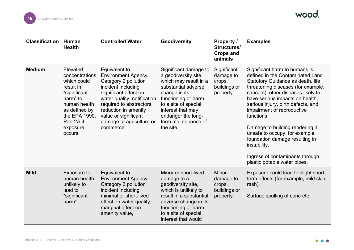| <b>Classification</b> | Human<br><b>Health</b>                                                                                                                                                    | <b>Controlled Water</b>                                                                                                                                                                                                                                               | Geodiversity                                                                                                                                                                                                                                 | <b>Property /</b><br>Structures/<br><b>Crops and</b><br>animals  | <b>Examples</b>                                                                                                                                                                                                                                                                                                                                                                                                                                                                                   |
|-----------------------|---------------------------------------------------------------------------------------------------------------------------------------------------------------------------|-----------------------------------------------------------------------------------------------------------------------------------------------------------------------------------------------------------------------------------------------------------------------|----------------------------------------------------------------------------------------------------------------------------------------------------------------------------------------------------------------------------------------------|------------------------------------------------------------------|---------------------------------------------------------------------------------------------------------------------------------------------------------------------------------------------------------------------------------------------------------------------------------------------------------------------------------------------------------------------------------------------------------------------------------------------------------------------------------------------------|
| <b>Medium</b>         | Elevated<br>concentrations<br>which could<br>result in<br>"significant<br>harm" to<br>human health<br>as defined by<br>the EPA 1990,<br>Part 2A if<br>exposure<br>occurs. | Equivalent to<br><b>Environment Agency</b><br>Category 2 pollution<br>incident including<br>significant effect on<br>water quality; notification<br>required to abstractors;<br>reduction in amenity<br>value or significant<br>damage to agriculture or<br>commerce. | Significant damage to<br>a geodiversity site,<br>which may result in a<br>substantial adverse<br>change in its<br>functioning or harm<br>to a site of special<br>interest that may<br>endanger the long-<br>term maintenance of<br>the site. | Significant<br>damage to<br>crops,<br>buildings or<br>property.  | Significant harm to humans is<br>defined in the Contaminated Land<br>Statutory Guidance as death, life<br>threatening diseases (for example,<br>cancers), other diseases likely to<br>have serious impacts on health,<br>serious injury, birth defects, and<br>impairment of reproductive<br>functions.<br>Damage to building rendering it<br>unsafe to occupy, for example,<br>foundation damage resulting in<br>instability.<br>Ingress of contaminants through<br>plastic potable water pipes. |
| <b>Mild</b>           | Exposure to<br>human health<br>unlikely to<br>lead to<br>"significant<br>harm".                                                                                           | Equivalent to<br><b>Environment Agency</b><br>Category 3 pollution<br>incident including<br>minimal or short-lived<br>effect on water quality;<br>marginal effect on<br>amenity value,                                                                                | Minor or short-lived<br>damage to a<br>geodiversity site,<br>which is unlikely to<br>result in a substantial<br>adverse change in its<br>functioning or harm<br>to a site of special<br>interest that would                                  | <b>Minor</b><br>damage to<br>crops,<br>buildings or<br>property. | Exposure could lead to slight short-<br>term effects (for example, mild skin<br>rash).<br>Surface spalling of concrete.                                                                                                                                                                                                                                                                                                                                                                           |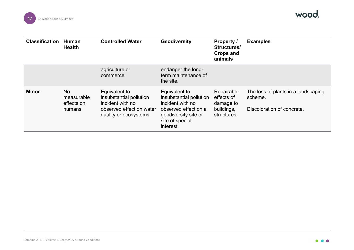

| <b>Classification</b> | Human<br><b>Health</b>                          | <b>Controlled Water</b>                                                                                            | Geodiversity                                                                                                                                 | <b>Property /</b><br>Structures/<br><b>Crops and</b><br>animals   | <b>Examples</b>                                                              |
|-----------------------|-------------------------------------------------|--------------------------------------------------------------------------------------------------------------------|----------------------------------------------------------------------------------------------------------------------------------------------|-------------------------------------------------------------------|------------------------------------------------------------------------------|
|                       |                                                 | agriculture or<br>commerce.                                                                                        | endanger the long-<br>term maintenance of<br>the site.                                                                                       |                                                                   |                                                                              |
| <b>Minor</b>          | <b>No</b><br>measurable<br>effects on<br>humans | Equivalent to<br>insubstantial pollution<br>incident with no<br>observed effect on water<br>quality or ecosystems. | Equivalent to<br>insubstantial pollution<br>incident with no<br>observed effect on a<br>geodiversity site or<br>site of special<br>interest. | Repairable<br>effects of<br>damage to<br>buildings,<br>structures | The loss of plants in a landscaping<br>scheme.<br>Discoloration of concrete. |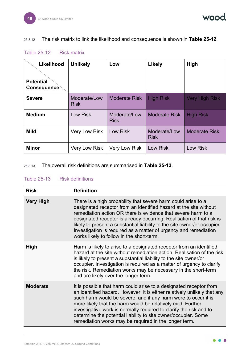wood.

## 25.8.12 The risk matrix to link the likelihood and consequence is shown in **[Table 25-12](#page-48-0)**.

<span id="page-48-0"></span>

|  |  | <b>Table 25-12</b> |  | <b>Risk matrix</b> |
|--|--|--------------------|--|--------------------|
|--|--|--------------------|--|--------------------|

| Likelihood<br><b>Potential</b><br>Consequence | <b>Unlikely</b>             | Low                         | <b>Likely</b>               | High                  |
|-----------------------------------------------|-----------------------------|-----------------------------|-----------------------------|-----------------------|
| <b>Severe</b>                                 | Moderate/Low<br><b>Risk</b> | <b>Moderate Risk</b>        | <b>High Risk</b>            | <b>Very High Risk</b> |
| <b>Medium</b>                                 | <b>Low Risk</b>             | Moderate/Low<br><b>Risk</b> | <b>Moderate Risk</b>        | <b>High Risk</b>      |
| <b>Mild</b>                                   | Very Low Risk               | <b>Low Risk</b>             | Moderate/Low<br><b>Risk</b> | <b>Moderate Risk</b>  |
| <b>Minor</b>                                  | <b>Very Low Risk</b>        | <b>Very Low Risk</b>        | Low Risk                    | <b>Low Risk</b>       |

25.8.13 The overall risk definitions are summarised in **[Table 25-13](#page-48-1)**.

| <b>Risk</b>      | <b>Definition</b>                                                                                                                                                                                                                                                                                                                                                                                                                                                                |
|------------------|----------------------------------------------------------------------------------------------------------------------------------------------------------------------------------------------------------------------------------------------------------------------------------------------------------------------------------------------------------------------------------------------------------------------------------------------------------------------------------|
| <b>Very High</b> | There is a high probability that severe harm could arise to a<br>designated receptor from an identified hazard at the site without<br>remediation action OR there is evidence that severe harm to a<br>designated receptor is already occurring. Realisation of that risk is<br>likely to present a substantial liability to the site owner/or occupier.<br>Investigation is required as a matter of urgency and remediation<br>works likely to follow in the short-term.        |
| <b>High</b>      | Harm is likely to arise to a designated receptor from an identified<br>hazard at the site without remediation action. Realisation of the risk<br>is likely to present a substantial liability to the site owner/or<br>occupier. Investigation is required as a matter of urgency to clarify<br>the risk. Remediation works may be necessary in the short-term<br>and are likely over the longer term.                                                                            |
| <b>Moderate</b>  | It is possible that harm could arise to a designated receptor from<br>an identified hazard. However, it is either relatively unlikely that any<br>such harm would be severe, and if any harm were to occur it is<br>more likely that the harm would be relatively mild. Further<br>investigative work is normally required to clarify the risk and to<br>determine the potential liability to site owner/occupier. Some<br>remediation works may be required in the longer term. |

#### <span id="page-48-1"></span>Table 25-13 Risk definitions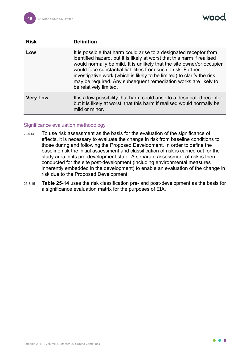vood

| <b>Risk</b>     | <b>Definition</b>                                                                                                                                                                                                                                                                                                                                                                                                                                              |
|-----------------|----------------------------------------------------------------------------------------------------------------------------------------------------------------------------------------------------------------------------------------------------------------------------------------------------------------------------------------------------------------------------------------------------------------------------------------------------------------|
| Low             | It is possible that harm could arise to a designated receptor from<br>identified hazard, but it is likely at worst that this harm if realised<br>would normally be mild. It is unlikely that the site owner/or occupier<br>would face substantial liabilities from such a risk. Further<br>investigative work (which is likely to be limited) to clarify the risk<br>may be required. Any subsequent remediation works are likely to<br>be relatively limited. |
| <b>Very Low</b> | It is a low possibility that harm could arise to a designated receptor,<br>but it is likely at worst, that this harm if realised would normally be<br>mild or minor.                                                                                                                                                                                                                                                                                           |

#### Significance evaluation methodology

- 25.8.14 To use risk assessment as the basis for the evaluation of the significance of effects, it is necessary to evaluate the change in risk from baseline conditions to those during and following the Proposed Development. In order to define the baseline risk the initial assessment and classification of risk is carried out for the study area in its pre-development state. A separate assessment of risk is then conducted for the site post-development (including environmental measures inherently embedded in the development) to enable an evaluation of the change in risk due to the Proposed Development.
- 25.8.15 **[Table 25-14](#page-50-0)** uses the risk classification pre- and post-development as the basis for a significance evaluation matrix for the purposes of EIA.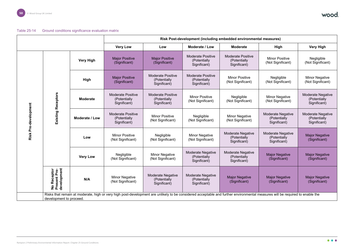



<span id="page-50-0"></span>

|                                            |                                                   |                       | Risk Post-development (including embedded environmental measures)                                                                                                            |                                                           |                                                           |                                                          |                                                           |                                                          |  |
|--------------------------------------------|---------------------------------------------------|-----------------------|------------------------------------------------------------------------------------------------------------------------------------------------------------------------------|-----------------------------------------------------------|-----------------------------------------------------------|----------------------------------------------------------|-----------------------------------------------------------|----------------------------------------------------------|--|
|                                            |                                                   |                       | <b>Very Low</b>                                                                                                                                                              | Low                                                       | <b>Moderate / Low</b>                                     | <b>Moderate</b>                                          | High                                                      | <b>Very High</b>                                         |  |
| Existing Receptors<br>Risk Pre-development |                                                   | <b>Very High</b>      | <b>Major Positive</b><br>(Significant)                                                                                                                                       | <b>Major Positive</b><br>(Significant)                    | <b>Moderate Positive</b><br>(Potentially<br>Significant)  | <b>Moderate Positive</b><br>(Potentially<br>Significant) | <b>Minor Positive</b><br>(Not Significant)                | Negligible<br>(Not Significant)                          |  |
|                                            |                                                   | <b>High</b>           | <b>Major Positive</b><br>(Significant)                                                                                                                                       | <b>Moderate Positive</b><br>(Potentially<br>Significant)  | <b>Moderate Positive</b><br>(Potentially<br>Significant)  | <b>Minor Positive</b><br>(Not Significant)               | Negligible<br>(Not Significant)                           | <b>Minor Negative</b><br>(Not Significant)               |  |
|                                            |                                                   | <b>Moderate</b>       | <b>Moderate Positive</b><br>(Potentially<br>Significant)                                                                                                                     | <b>Moderate Positive</b><br>(Potentially)<br>Significant) | <b>Minor Positive</b><br>(Not Significant)                | Negligible<br>(Not Significant)                          | <b>Minor Negative</b><br>(Not Significant)                | <b>Moderate Negative</b><br>(Potentially<br>Significant) |  |
|                                            |                                                   | <b>Moderate / Low</b> | <b>Moderate Positive</b><br>(Potentially<br>Significant)                                                                                                                     | <b>Minor Positive</b><br>(Not Significant)                | Negligible<br>(Not Significant)                           | <b>Minor Negative</b><br>(Not Significant)               | <b>Moderate Negative</b><br>(Potentially)<br>Significant) | <b>Moderate Negative</b><br>(Potentially<br>Significant) |  |
|                                            |                                                   | Low                   | <b>Minor Positive</b><br>(Not Significant)                                                                                                                                   | Negligible<br>(Not Significant)                           | <b>Minor Negative</b><br>(Not Significant)                | <b>Moderate Negative</b><br>(Potentially<br>Significant) | <b>Moderate Negative</b><br>(Potentially)<br>Significant) | <b>Major Negative</b><br>(Significant)                   |  |
|                                            |                                                   | <b>Very Low</b>       | Negligible<br>(Not Significant)                                                                                                                                              | <b>Minor Negative</b><br>(Not Significant)                | <b>Moderate Negative</b><br>(Potentially<br>Significant)  | <b>Moderate Negative</b><br>(Potentially<br>Significant) | <b>Major Negative</b><br>(Significant)                    | <b>Major Negative</b><br>(Significant)                   |  |
|                                            | No Receptor<br>Present Pre-<br>development<br>N/A |                       | <b>Minor Negative</b><br>(Not Significant)                                                                                                                                   | <b>Moderate Negative</b><br>(Potentially<br>Significant)  | <b>Moderate Negative</b><br>(Potentially)<br>Significant) | <b>Major Negative</b><br>(Significant)                   | <b>Major Negative</b><br>(Significant)                    | <b>Major Negative</b><br>(Significant)                   |  |
|                                            | development to proceed.                           |                       | Risks that remain at moderate, high or very high post-development are unlikely to be considered acceptable and further environmental measures will be required to enable the |                                                           |                                                           |                                                          |                                                           |                                                          |  |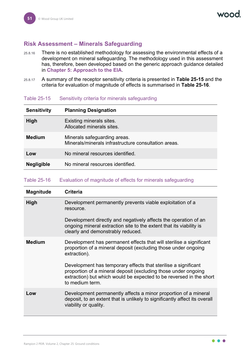# **Risk Assessment – Minerals Safeguarding**

- <span id="page-51-0"></span>25.8.16 There is no established methodology for assessing the environmental effects of a development on mineral safeguarding. The methodology used in this assessment has, therefore, been developed based on the generic approach guidance detailed in **Chapter 5: Approach to the EIA**.
- 25.8.17 A summary of the receptor sensitivity criteria is presented in **[Table 25-15](#page-51-1)** and the criteria for evaluation of magnitude of effects is summarised in **[Table 25-16](#page-51-2)**.

| <b>Sensitivity</b> | <b>Planning Designation</b>                                                          |
|--------------------|--------------------------------------------------------------------------------------|
| <b>High</b>        | Existing minerals sites.<br>Allocated minerals sites.                                |
| <b>Medium</b>      | Minerals safeguarding areas.<br>Minerals/minerals infrastructure consultation areas. |
| Low                | No mineral resources identified.                                                     |
| <b>Negligible</b>  | No mineral resources identified.                                                     |

## <span id="page-51-1"></span>Table 25-15 Sensitivity criteria for minerals safeguarding

## <span id="page-51-2"></span>Table 25-16 Evaluation of magnitude of effects for minerals safeguarding

| <b>Magnitude</b> | <b>Criteria</b>                                                                                                                                                                                                            |  |  |  |
|------------------|----------------------------------------------------------------------------------------------------------------------------------------------------------------------------------------------------------------------------|--|--|--|
| <b>High</b>      | Development permanently prevents viable exploitation of a<br>resource.                                                                                                                                                     |  |  |  |
|                  | Development directly and negatively affects the operation of an<br>ongoing mineral extraction site to the extent that its viability is<br>clearly and demonstrably reduced.                                                |  |  |  |
| <b>Medium</b>    | Development has permanent effects that will sterilise a significant<br>proportion of a mineral deposit (excluding those under ongoing<br>extraction).                                                                      |  |  |  |
|                  | Development has temporary effects that sterilise a significant<br>proportion of a mineral deposit (excluding those under ongoing<br>extraction) but which would be expected to be reversed in the short<br>to medium term. |  |  |  |
| Low              | Development permanently affects a minor proportion of a mineral<br>deposit, to an extent that is unlikely to significantly affect its overall<br>viability or quality.                                                     |  |  |  |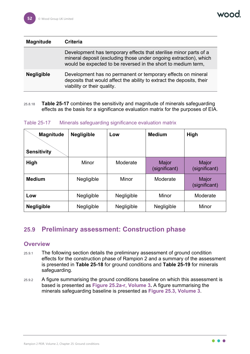| <b>Magnitude</b>  | Criteria                                                                                                                                                                                                |
|-------------------|---------------------------------------------------------------------------------------------------------------------------------------------------------------------------------------------------------|
|                   | Development has temporary effects that sterilise minor parts of a<br>mineral deposit (excluding those under ongoing extraction), which<br>would be expected to be reversed in the short to medium term, |
| <b>Negligible</b> | Development has no permanent or temporary effects on mineral<br>deposits that would affect the ability to extract the deposits, their<br>viability or their quality.                                    |

25.8.18 **[Table 25-17](#page-52-0)** combines the sensitivity and magnitude of minerals safeguarding effects as the basis for a significance evaluation matrix for the purposes of EIA.

<span id="page-52-1"></span><span id="page-52-0"></span>Table 25-17 Minerals safeguarding significance evaluation matrix

| <b>Magnitude</b><br><b>Sensitivity</b> | <b>Negligible</b> | Low        | <b>Medium</b>          | <b>High</b>                   |
|----------------------------------------|-------------------|------------|------------------------|-------------------------------|
| High                                   | Minor             | Moderate   | Major<br>(significant) | <b>Major</b><br>(significant) |
| <b>Medium</b>                          | Negligible        | Minor      | Moderate               | Major<br>(significant)        |
| Low                                    | Negligible        | Negligible | Minor                  | Moderate                      |
| <b>Negligible</b>                      | Negligible        | Negligible | Negligible             | Minor                         |

## **25.9 Preliminary assessment: Construction phase**

### **Overview**

- 25.9.1 The following section details the preliminary assessment of ground condition effects for the construction phase of Rampion 2 and a summary of the assessment is presented in **[Table 25-18](#page-63-0)** for ground conditions and **[Table 25-19](#page-69-0)** for minerals safeguarding.
- 25.9.2 A figure summarising the ground conditions baseline on which this assessment is based is presented as **Figure 25.2a-r, Volume 3.** A figure summarising the minerals safeguarding baseline is presented as **Figure 25.3, Volume 3**.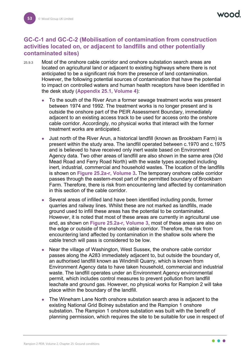## **GC-C-1 and GC-C-2 (Mobilisation of contamination from construction activities located on, or adjacent to landfills and other potentially contaminated sites)**

- 25.9.3 Most of the onshore cable corridor and onshore substation search areas are located on agricultural land or adjacent to existing highways where there is not anticipated to be a significant risk from the presence of land contamination. However, the following potential sources of contamination that have the potential to impact on controlled waters and human health receptors have been identified in the desk study (**Appendix 25.1, Volume 4**):
	- To the south of the River Arun a former sewage treatment works was present between 1974 and 1992. The treatment works is no longer present and is outside the onshore part of the PEIR Assessment Boundary, immediately adjacent to an existing access track to be used for access onto the onshore cable corridor. Accordingly, no physical works that interact with the former treatment works are anticipated.
	- Just north of the River Arun, a historical landfill (known as Brookbarn Farm) is present within the study area. The landfill operated between c.1970 and c.1975 and is believed to have received only inert waste based on Environment Agency data. Two other areas of landfill are also shown in the same area (Old Mead Road and Ferry Road North) with the waste types accepted including inert, industrial, commercial and household wastes. The location of the landfills is shown on **Figure 25.2a-r, Volume 3.** The temporary onshore cable corridor passes through the eastern-most part of the permitted boundary of Brookbarn Farm. Therefore, there is risk from encountering land affected by contamination in this section of the cable corridor.
	- Several areas of infilled land have been identified including ponds, former quarries and railway lines. Whilst these are not marked as landfills, made ground used to infill these areas has the potential to be contaminated. However, it is noted that most of these areas are currently in agricultural use and, as shown on **Figure 25.2a-r, Volume 3**, most of these areas are also on the edge or outside of the onshore cable corridor. Therefore, the risk from encountering land affected by contamination in the shallow soils where the cable trench will pass is considered to be low.
	- Near the village of Washington, West Sussex, the onshore cable corridor passes along the A283 immediately adjacent to, but outside the boundary of, an authorised landfill known as Windmill Quarry, which is known from Environment Agency data to have taken household, commercial and industrial waste. The landfill operates under an Environment Agency environmental permit, which includes control measures to prevent pollution from landfill leachate and ground gas. However, no physical works for Rampion 2 will take place within the boundary of the landfill.
	- The Wineham Lane North onshore substation search area is adjacent to the existing National Grid Bolney substation and the Rampion 1 onshore substation. The Rampion 1 onshore substation was built with the benefit of planning permission, which requires the site to be suitable for use in respect of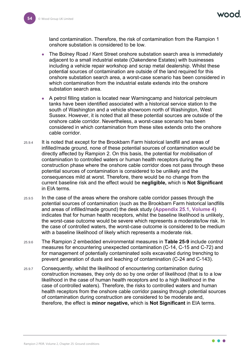VOOC

land contamination. Therefore, the risk of contamination from the Rampion 1 onshore substation is considered to be low.

- The Bolney Road / Kent Street onshore substation search area is immediately adjacent to a small industrial estate (Oakendene Estates) with businesses including a vehicle repair workshop and scrap metal dealership. Whilst these potential sources of contamination are outside of the land required for this onshore substation search area, a worst-case scenario has been considered in which contamination from the industrial estate extends into the onshore substation search area.
- A petrol filling station is located near Warningcamp and historical petroleum tanks have been identified associated with a historical service station to the south of Washington and a vehicle showroom north of Washington, West Sussex. However, it is noted that all these potential sources are outside of the onshore cable corridor. Nevertheless, a worst-case scenario has been considered in which contamination from these sites extends onto the onshore cable corridor.
- 25.9.4 It is noted that except for the Brookbarn Farm historical landfill and areas of infilled/made ground, none of these potential sources of contamination would be directly affected by Rampion 2. On this basis, the potential for mobilisation of contamination to controlled waters or human health receptors during the construction phase where the onshore cable corridor does not pass through these potential sources of contamination is considered to be unlikely and the consequences mild at worst. Therefore, there would be no change from the current baseline risk and the effect would be **negligible,** which is **Not Significant** in EIA terms.
- 25.9.5 In the case of the areas where the onshore cable corridor passes through the potential sources of contamination (such as the Brookbarn Farm historical landfills and areas of infilled/made ground) the desk study (**Appendix 25.1, Volume 4**) indicates that for human health receptors, whilst the baseline likelihood is unlikely, the worst-case outcome would be severe which represents a moderate/low risk. In the case of controlled waters, the worst-case outcome is considered to be medium with a baseline likelihood of likely which represents a moderate risk.
- 25.9.6 The Rampion 2 embedded environmental measures in **[Table 25-9](#page-34-0)** include control measures for encountering unexpected contamination (C-14, C-15 and C-72) and for management of potentially contaminated soils excavated during trenching to prevent generation of dusts and leaching of contamination (C-24 and C-143).
- 25.9.7 Consequently, whilst the likelihood of encountering contamination during construction increases, they only do so by one order of likelihood (that is to a low likelihood in the case of human health receptors and to a high likelihood in the case of controlled waters). Therefore, the risks to controlled waters and human health receptors from the onshore cable corridor passing through potential sources of contamination during construction are considered to be moderate and, therefore, the effect is **minor negative,** which is **Not Significant** in EIA terms.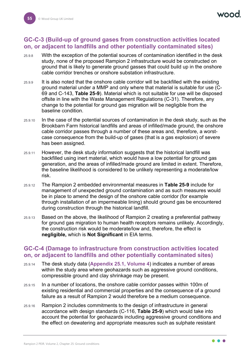## **GC-C-3 (Build-up of ground gases from construction activities located on, or adjacent to landfills and other potentially contaminated sites)**

- 25.9.8 With the exception of the potential sources of contamination identified in the desk study, none of the proposed Rampion 2 infrastructure would be constructed on ground that is likely to generate ground gasses that could build up in the onshore cable corridor trenches or onshore substation infrastructure.
- 25.9.9 It is also noted that the onshore cable corridor will be backfilled with the existing ground material under a MMP and only where that material is suitable for use (C-69 and C-143, **[Table 25-9](#page-34-0)**). Material which is not suitable for use will be disposed offsite in line with the Waste Management Regulations (C-31). Therefore, any change to the potential for ground gas migration will be negligible from the baseline condition.
- 25.9.10 In the case of the potential sources of contamination in the desk study, such as the Brookbarn Farm historical landfills and areas of infilled/made ground, the onshore cable corridor passes through a number of these areas and, therefore, a worstcase consequence from the build-up of gases (that is a gas explosion) of severe has been assigned.
- 25.9.11 However, the desk study information suggests that the historical landfill was backfilled using inert material, which would have a low potential for ground gas generation, and the areas of infilled/made ground are limited in extent. Therefore, the baseline likelihood is considered to be unlikely representing a moderate/low risk.
- 25.9.12 The Rampion 2 embedded environmental measures in **[Table 25-9](#page-34-0)** include for management of unexpected ground contamination and as such measures would be in place to amend the design of the onshore cable corridor (for example through installation of an impermeable lining) should ground gas be encountered during construction through the historical landfill.
- 25.9.13 Based on the above, the likelihood of Rampion 2 creating a preferential pathway for ground gas migration to human health receptors remains unlikely. Accordingly, the construction risk would be moderate/low and, therefore, the effect is **negligible,** which is **Not Significant** in EIA terms.

## **GC-C-4 (Damage to infrastructure from construction activities located on, or adjacent to landfills and other potentially contaminated sites)**

- 25.9.14 The desk study data (**Appendix 25.1, Volume 4**) indicates a number of areas within the study area where geohazards such as aggressive ground conditions, compressible ground and clay shrinkage may be present.
- 25.9.15 In a number of locations, the onshore cable corridor passes within 100m of existing residential and commercial properties and the consequence of a ground failure as a result of Rampion 2 would therefore be a medium consequence.
- 25.9.16 Rampion 2 includes commitments to the design of infrastructure in general accordance with design standards (C-116, **[Table 25-9](#page-34-0)**) which would take into account the potential for geohazards including aggressive ground conditions and the effect on dewatering and appropriate measures such as sulphate resistant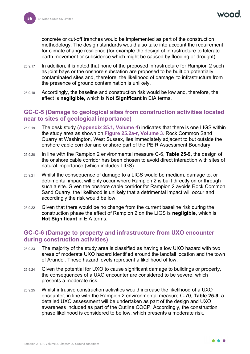concrete or cut-off trenches would be implemented as part of the construction methodology. The design standards would also take into account the requirement for climate change resilience (for example the design of infrastructure to tolerate earth movement or subsidence which might be caused by flooding or drought).

- 25.9.17 In addition, it is noted that none of the proposed infrastructure for Rampion 2 such as joint bays or the onshore substation are proposed to be built on potentially contaminated sites and, therefore, the likelihood of damage to infrastructure from the presence of ground contamination is unlikely.
- 25.9.18 Accordingly, the baseline and construction risk would be low and, therefore, the effect is **negligible,** which is **Not Significant** in EIA terms.

## **GC-C-5 (Damage to geological sites from construction activities located near to sites of geological importance)**

- 25.9.19 The desk study (**Appendix 25.1, Volume 4**) indicates that there is one LIGS within the study area as shown on **Figure 25.2a-r, Volume 3**. Rock Common Sand Quarry at Washington, West Sussex, lies immediately adjacent to but outside the onshore cable corridor and onshore part of the PEIR Assessment Boundary.
- 25.9.20 In line with the Rampion 2 environmental measure C-6, **[Table 25-9](#page-34-0)**, the design of the onshore cable corridor has been chosen to avoid direct interaction with sites of natural importance (which includes LIGS).
- 25.9.21 Whilst the consequence of damage to a LIGS would be medium, damage to, or detrimental impact will only occur where Rampion 2 is built directly on or through such a site. Given the onshore cable corridor for Rampion 2 avoids Rock Common Sand Quarry, the likelihood is unlikely that a detrimental impact will occur and accordingly the risk would be low.
- 25.9.22 Given that there would be no change from the current baseline risk during the construction phase the effect of Rampion 2 on the LIGS is **negligible,** which is **Not Significant** in EIA terms.

## **GC-C-6 (Damage to property and infrastructure from UXO encounter during construction activities)**

- 25.9.23 The majority of the study area is classified as having a low UXO hazard with two areas of moderate UXO hazard identified around the landfall location and the town of Arundel. These hazard levels represent a likelihood of low.
- 25.9.24 Given the potential for UXO to cause significant damage to buildings or property, the consequences of a UXO encounter are considered to be severe, which presents a moderate risk.
- 25.9.25 Whilst intrusive construction activities would increase the likelihood of a UXO encounter, in line with the Rampion 2 environmental measure C-70, **[Table 25-9](#page-34-0)**, a detailed UXO assessment will be undertaken as part of the design and UXO awareness included as part of the Outline COCP. Accordingly, the construction phase likelihood is considered to be low, which presents a moderate risk.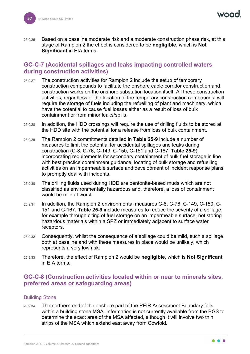25.9.26 Based on a baseline moderate risk and a moderate construction phase risk, at this stage of Rampion 2 the effect is considered to be **negligible,** which is **Not Significant** in EIA terms.

## **GC-C-7 (Accidental spillages and leaks impacting controlled waters during construction activities)**

- 25.9.27 The construction activities for Rampion 2 include the setup of temporary construction compounds to facilitate the onshore cable corridor construction and construction works on the onshore substation location itself. All these construction activities, regardless of the location of the temporary construction compounds, will require the storage of fuels including the refuelling of plant and machinery, which have the potential to cause fuel losses either as a result of loss of bulk containment or from minor leaks/spills.
- 25.9.28 In addition, the HDD crossings will require the use of drilling fluids to be stored at the HDD site with the potential for a release from loss of bulk containment.
- 25.9.29 The Rampion 2 commitments detailed in **[Table 25-9](#page-34-0)** include a number of measures to limit the potential for accidental spillages and leaks during construction (C-8, C-76, C-149, C-150, C-151 and C-167, **[Table 25-9](#page-34-0)**), incorporating requirements for secondary containment of bulk fuel storage in line with best practice containment guidance, locating of bulk storage and refuelling activities on an impermeable surface and development of incident response plans to promptly deal with incidents.
- 25.9.30 The drilling fluids used during HDD are bentonite-based muds which are not classified as environmentally hazardous and, therefore, a loss of containment would be mild at worst.
- 25.9.31 In addition, the Rampion 2 environmental measures C-8, C-76, C-149, C-150, C-151 and C-167, **[Table 25-9](#page-34-0)** include measures to reduce the severity of a spillage, for example through citing of fuel storage on an impermeable surface, not storing hazardous materials within a SPZ or immediately adjacent to surface water receptors.
- 25.9.32 Consequently, whilst the consequence of a spillage could be mild, such a spillage both at baseline and with these measures in place would be unlikely, which represents a very low risk.
- 25.9.33 Therefore, the effect of Rampion 2 would be **negligible**, which is **Not Significant** in EIA terms.

## **GC-C-8 (Construction activities located within or near to minerals sites, preferred areas or safeguarding areas)**

#### Building Stone

25.9.34 The northern end of the onshore part of the PEIR Assessment Boundary falls within a building stone MSA. Information is not currently available from the BGS to determine the exact area of the MSA affected, although it will involve two thin strips of the MSA which extend east away from Cowfold.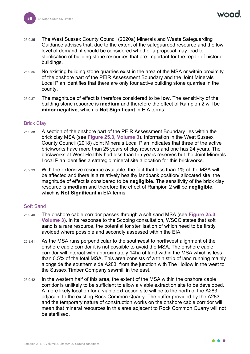- 25.9.35 The West Sussex County Council (2020a) Minerals and Waste Safeguarding Guidance advises that, due to the extent of the safeguarded resource and the low level of demand, it should be considered whether a proposal may lead to sterilisation of building stone resources that are important for the repair of historic buildings.
- 25.9.36 No existing building stone quarries exist in the area of the MSA or within proximity of the onshore part of the PEIR Assessment Boundary and the Joint Minerals Local Plan identifies that there are only four active building stone quarries in the county.
- 25.9.37 The magnitude of effect is therefore considered to be **low**. The sensitivity of the building stone resource is **medium** and therefore the effect of Rampion 2 will be **minor negative**, which is **Not Significant** in EIA terms.

#### Brick Clay

- 25.9.38 A section of the onshore part of the PEIR Assessment Boundary lies within the brick clay MSA (see **Figure 25.3, Volume 3**). Information in the West Sussex County Council (2018) Joint Minerals Local Plan indicates that three of the active brickworks have more than 25 years of clay reserves and one has 24 years. The brickworks at West Hoathly had less than ten years reserves but the Joint Minerals Local Plan identifies a strategic mineral site allocation for this brickworks.
- 25.9.39 With the extensive resource available, the fact that less than 1% of the MSA will be affected and there is a relatively healthy landbank position/ allocated site, the magnitude of effect is considered to be **negligible.** The sensitivity of the brick clay resource is **medium** and therefore the effect of Rampion 2 will be **negligible**, which is **Not Significant** in EIA terms.

#### Soft Sand

- 25.9.40 The onshore cable corridor passes through a soft sand MSA (see **Figure 25.3, Volume 3**). In its response to the Scoping consultation, WSCC states that soft sand is a rare resource, the potential for sterilisation of which need to be firstly avoided where possible and secondly assessed within the EIA.
- 25.9.41 As the MSA runs perpendicular to the southwest to northwest alignment of the onshore cable corridor it is not possible to avoid the MSA. The onshore cable corridor will interact with approximately 14ha of land within the MSA which is less than 0.5% of the total MSA. This area consists of a thin strip of land running mainly alongside the southern side A283, from the junction with The Hollow in the west to the Sussex Timber Company sawmill in the east.
- 25.9.42 In the western half of this area, the extent of the MSA within the onshore cable corridor is unlikely to be sufficient to allow a viable extraction site to be developed. A more likely location for a viable extraction site will be to the north of the A283, adjacent to the existing Rock Common Quarry. The buffer provided by the A283 and the temporary nature of construction works on the onshore cable corridor will mean that mineral resources in this area adjacent to Rock Common Quarry will not be sterilised.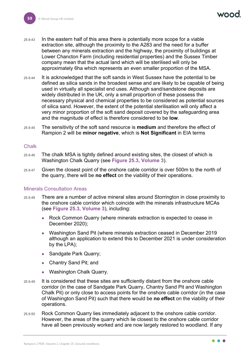- 25.9.43 In the eastern half of this area there is potentially more scope for a viable extraction site, although the proximity to the A283 and the need for a buffer between any minerals extraction and the highway, the proximity of buildings at Lower Chancton Farm (including residential properties) and the Sussex Timber company mean that the actual land which will be sterilised will only be approximately 6ha which represents an even smaller proportion of the MSA.
- 25.9.44 It is acknowledged that the soft sands in West Sussex have the potential to be defined as silica sands in the broadest sense and are likely to be capable of being used in virtually all specialist end uses. Although sand/sandstone deposits are widely distributed in the UK, only a small proportion of these possess the necessary physical and chemical properties to be considered as potential sources of silica sand. However, the extent of the potential sterilisation will only affect a very minor proportion of the soft sand deposit covered by the safeguarding area and the magnitude of effect is therefore considered to be **low**.
- 25.9.45 The sensitivity of the soft sand resource is **medium** and therefore the effect of Rampion 2 will be **minor negative**, which is **Not Significant** in EIA terms

#### **Chalk**

- 25.9.46 The chalk MSA is tightly defined around existing sites, the closest of which is Washington Chalk Quarry (see **Figure 25.3, Volume 3**).
- 25.9.47 Given the closest point of the onshore cable corridor is over 500m to the north of the quarry, there will be **no effect** on the viability of their operations.

#### Minerals Consultation Areas

- 25.9.48 There are a number of active mineral sites around Storrington in close proximity to the onshore cable corridor which coincide with the minerals infrastructure MCAs (see **Figure 25.3, Volume 3**), including:
	- Rock Common Quarry (where minerals extraction is expected to cease in December 2020);
	- Washington Sand Pit (where minerals extraction ceased in December 2019 although an application to extend this to December 2021 is under consideration by the LPA);
	- Sandgate Park Quarry;
	- Chantry Sand Pit; and
	- Washington Chalk Quarry.
- 25.9.49 It is considered that these sites are sufficiently distant from the onshore cable corridor (in the case of Sandgate Park Quarry, Chantry Sand Pit and Washington Chalk Pit) or only close to access points for the onshore cable corridor (in the case of Washington Sand Pit) such that there would be **no effect** on the viability of their operations.
- 25.9.50 Rock Common Quarry lies immediately adjacent to the onshore cable corridor. However, the areas of the quarry which lie closest to the onshore cable corridor have all been previously worked and are now largely restored to woodland. If any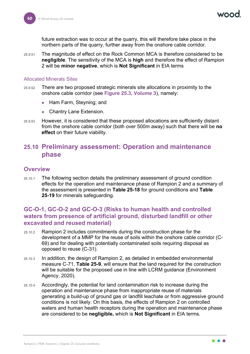future extraction was to occur at the quarry, this will therefore take place in the northern parts of the quarry, further away from the onshore cable corridor.

25.9.51 The magnitude of effect on the Rock Common MCA is therefore considered to be **negligible**. The sensitivity of the MCA is **high** and therefore the effect of Rampion 2 will be **minor negative**, which is **Not Significant** in EIA terms

#### Allocated Minerals Sites

- 25.9.52 There are two proposed strategic minerals site allocations in proximity to the onshore cable corridor (see **Figure 25.3, Volume 3**), namely:
	- Ham Farm, Steyning; and
	- Chantry Lane Extension.
- 25.9.53 However, it is considered that these proposed allocations are sufficiently distant from the onshore cable corridor (both over 500m away) such that there will be **no effect** on their future viability.

## **25.10 Preliminary assessment: Operation and maintenance phase**

#### **Overview**

25.10.1 The following section details the preliminary assessment of ground condition effects for the operation and maintenance phase of Rampion 2 and a summary of the assessment is presented in **[Table 25-18](#page-63-0)** for ground conditions and **[Table](#page-69-0) [25-19](#page-69-0)** for minerals safeguarding.

## **GC-O-1, GC-O-2 and GC-O-3 (Risks to human health and controlled waters from presence of artificial ground, disturbed landfill or other excavated and reused material)**

- 25.10.2 Rampion 2 includes commitments during the construction phase for the development of a MMP for the reuse of soils within the onshore cable corridor (C-69) and for dealing with potentially contaminated soils requiring disposal as opposed to reuse (C-31).
- 25.10.3 In addition, the design of Rampion 2, as detailed in embedded environmental measure C-71, **[Table 25-9](#page-34-0)**, will ensure that the land required for the construction will be suitable for the proposed use in line with LCRM guidance (Environment Agency, 2020).
- 25.10.4 Accordingly, the potential for land contamination risk to increase during the operation and maintenance phase from inappropriate reuse of materials generating a build-up of ground gas or landfill leachate or from aggressive ground conditions is not likely. On this basis, the effects of Rampion 2 on controlled waters and human health receptors during the operation and maintenance phase are considered to be **negligible,** which is **Not Significant** in EIA terms.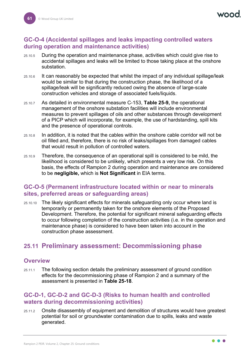## **GC-O-4 (Accidental spillages and leaks impacting controlled waters during operation and maintenance activities)**

- 25.10.5 During the operation and maintenance phase, activities which could give rise to accidental spillages and leaks will be limited to those taking place at the onshore substation.
- 25.10.6 It can reasonably be expected that whilst the impact of any individual spillage/leak would be similar to that during the construction phase, the likelihood of a spillage/leak will be significantly reduced owing the absence of large-scale construction vehicles and storage of associated fuels/liquids.
- 25.10.7 As detailed in environmental measure C-153, **[Table 25-9,](#page-34-0)** the operational management of the onshore substation facilities will include environmental measures to prevent spillages of oils and other substances through development of a PICP which will incorporate, for example, the use of hardstanding, spill kits and the presence of operational controls.
- 25.10.8 In addition, it is noted that the cables within the onshore cable corridor will not be oil filled and, therefore, there is no risk of leaks/spillages from damaged cables that would result in pollution of controlled waters.
- 25.10.9 Therefore, the consequence of an operational spill is considered to be mild, the likelihood is considered to be unlikely, which presents a very low risk. On this basis, the effects of Rampion 2 during operation and maintenance are considered to be **negligible,** which is **Not Significant** in EIA terms.

## **GC-O-5 (Permanent infrastructure located within or near to minerals sites, preferred areas or safeguarding areas)**

25.10.10 The likely significant effects for minerals safeguarding only occur where land is temporarily or permanently taken for the onshore elements of the Proposed Development. Therefore, the potential for significant mineral safeguarding effects to occur following completion of the construction activities (i.e. in the operation and maintenance phase) is considered to have been taken into account in the construction phase assessment.

# **25.11 Preliminary assessment: Decommissioning phase**

### **Overview**

25.11.1 The following section details the preliminary assessment of ground condition effects for the decommissioning phase of Rampion 2 and a summary of the assessment is presented in **[Table 25-18](#page-63-0)**.

## **GC-D-1, GC-D-2 and GC-D-3 (Risks to human health and controlled waters during decommissioning activities)**

25.11.2 Onsite disassembly of equipment and demolition of structures would have greatest potential for soil or groundwater contamination due to spills, leaks and waste generated.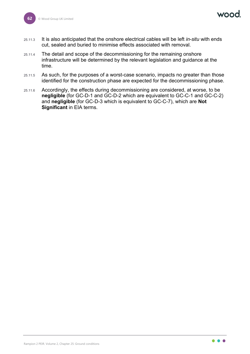**NOO** 

- 25.11.3 It is also anticipated that the onshore electrical cables will be left *in-situ* with ends cut, sealed and buried to minimise effects associated with removal.
- 25.11.4 The detail and scope of the decommissioning for the remaining onshore infrastructure will be determined by the relevant legislation and guidance at the time.
- 25.11.5 As such, for the purposes of a worst-case scenario, impacts no greater than those identified for the construction phase are expected for the decommissioning phase.
- 25.11.6 Accordingly, the effects during decommissioning are considered, at worse, to be **negligible** (for GC-D-1 and GC-D-2 which are equivalent to GC-C-1 and GC-C-2) and **negligible** (for GC-D-3 which is equivalent to GC-C-7), which are **Not Significant** in EIA terms.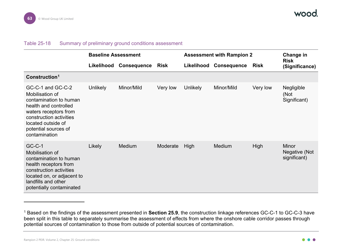### <span id="page-63-1"></span>Table 25-18 Summary of preliminary ground conditions assessment

|                                                                                                                                                                                                            | <b>Baseline Assessment</b> |                    |          | <b>Assessment with Rampion 2</b> |                    |             | Change in                                     |
|------------------------------------------------------------------------------------------------------------------------------------------------------------------------------------------------------------|----------------------------|--------------------|----------|----------------------------------|--------------------|-------------|-----------------------------------------------|
|                                                                                                                                                                                                            | Likelihood                 | <b>Consequence</b> | Risk     | Likelihood                       | <b>Consequence</b> | <b>Risk</b> | <b>Risk</b><br>(Significance)                 |
| Construction <sup>1</sup>                                                                                                                                                                                  |                            |                    |          |                                  |                    |             |                                               |
| GC-C-1 and GC-C-2<br>Mobilisation of<br>contamination to human<br>health and controlled<br>waters receptors from<br>construction activities<br>located outside of<br>potential sources of<br>contamination | <b>Unlikely</b>            | Minor/Mild         | Very low | <b>Unlikely</b>                  | Minor/Mild         | Very low    | Negligible<br>(Not<br>Significant)            |
| $GC-C-1$<br>Mobilisation of<br>contamination to human<br>health receptors from<br>construction activities<br>located on, or adjacent to<br>landfills and other<br>potentially contaminated                 | Likely                     | Medium             | Moderate | High                             | Medium             | High        | <b>Minor</b><br>Negative (Not<br>significant) |

<span id="page-63-0"></span><sup>1</sup> Based on the findings of the assessment presented in **Section [25.9](#page-52-1)**, the construction linkage references GC-C-1 to GC-C-3 have been split in this table to separately summarise the assessment of effects from where the onshore cable corridor passes through potential sources of contamination to those from outside of potential sources of contamination.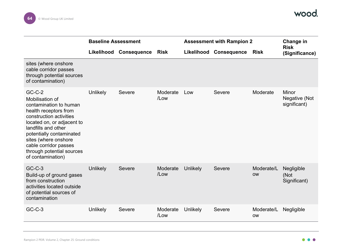

|                                                                                                                                                                                                                                                                                               | <b>Baseline Assessment</b> |                        |                     |                 | <b>Assessment with Rampion 2</b> |                         |                                        |
|-----------------------------------------------------------------------------------------------------------------------------------------------------------------------------------------------------------------------------------------------------------------------------------------------|----------------------------|------------------------|---------------------|-----------------|----------------------------------|-------------------------|----------------------------------------|
|                                                                                                                                                                                                                                                                                               |                            | Likelihood Consequence | <b>Risk</b>         | Likelihood      | <b>Consequence</b>               | <b>Risk</b>             | <b>Risk</b><br>(Significance)          |
| sites (where onshore<br>cable corridor passes<br>through potential sources<br>of contamination)                                                                                                                                                                                               |                            |                        |                     |                 |                                  |                         |                                        |
| $GC-C-2$<br>Mobilisation of<br>contamination to human<br>health receptors from<br>construction activities<br>located on, or adjacent to<br>landfills and other<br>potentially contaminated<br>sites (where onshore<br>cable corridor passes<br>through potential sources<br>of contamination) | Unlikely                   | Severe                 | Moderate<br>$/$ Low | Low             | Severe                           | Moderate                | Minor<br>Negative (Not<br>significant) |
| $GC-C-3$<br>Build-up of ground gases<br>from construction<br>activities located outside<br>of potential sources of<br>contamination                                                                                                                                                           | <b>Unlikely</b>            | <b>Severe</b>          | Moderate<br>/Low    | <b>Unlikely</b> | Severe                           | Moderate/L<br><b>OW</b> | Negligible<br>(Not<br>Significant)     |
| $GC-C-3$                                                                                                                                                                                                                                                                                      | <b>Unlikely</b>            | Severe                 | Moderate<br>/Low    | <b>Unlikely</b> | Severe                           | Moderate/L<br><b>OW</b> | Negligible                             |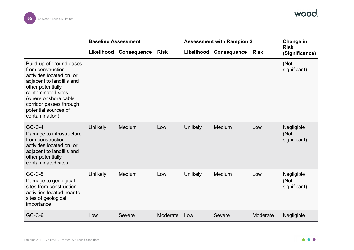

|                                                                                                                                                                                                                                                 | <b>Baseline Assessment</b> |                        |             | <b>Assessment with Rampion 2</b> |                        |             | Change in                          |
|-------------------------------------------------------------------------------------------------------------------------------------------------------------------------------------------------------------------------------------------------|----------------------------|------------------------|-------------|----------------------------------|------------------------|-------------|------------------------------------|
|                                                                                                                                                                                                                                                 |                            | Likelihood Consequence | <b>Risk</b> |                                  | Likelihood Consequence | <b>Risk</b> | <b>Risk</b><br>(Significance)      |
| Build-up of ground gases<br>from construction<br>activities located on, or<br>adjacent to landfills and<br>other potentially<br>contaminated sites<br>(where onshore cable<br>corridor passes through<br>potential sources of<br>contamination) |                            |                        |             |                                  |                        |             | (Not<br>significant)               |
| $GC-C-4$<br>Damage to infrastructure<br>from construction<br>activities located on, or<br>adjacent to landfills and<br>other potentially<br>contaminated sites                                                                                  | <b>Unlikely</b>            | Medium                 | Low         | <b>Unlikely</b>                  | Medium                 | Low         | Negligible<br>(Not<br>significant) |
| $GC-C-5$<br>Damage to geological<br>sites from construction<br>activities located near to<br>sites of geological<br>importance                                                                                                                  | <b>Unlikely</b>            | Medium                 | Low         | <b>Unlikely</b>                  | Medium                 | Low         | Negligible<br>(Not<br>significant) |
| $GC-C-6$                                                                                                                                                                                                                                        | Low                        | <b>Severe</b>          | Moderate    | Low                              | <b>Severe</b>          | Moderate    | Negligible                         |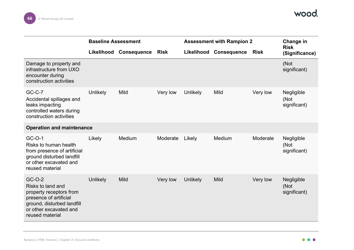

|                                                                                                                                                             | <b>Baseline Assessment</b> |                        |             | <b>Assessment with Rampion 2</b> |                    |             | Change in                          |
|-------------------------------------------------------------------------------------------------------------------------------------------------------------|----------------------------|------------------------|-------------|----------------------------------|--------------------|-------------|------------------------------------|
|                                                                                                                                                             |                            | Likelihood Consequence | <b>Risk</b> | Likelihood                       | <b>Consequence</b> | <b>Risk</b> | <b>Risk</b><br>(Significance)      |
| Damage to property and<br>infrastructure from UXO<br>encounter during<br>construction activities                                                            |                            |                        |             |                                  |                    |             | (Not<br>significant)               |
| $GC-C-7$<br>Accidental spillages and<br>leaks impacting<br>controlled waters during<br>construction activities                                              | Unlikely                   | <b>Mild</b>            | Very low    | Unlikely                         | Mild               | Very low    | Negligible<br>(Not<br>significant) |
| <b>Operation and maintenance</b>                                                                                                                            |                            |                        |             |                                  |                    |             |                                    |
| GC-O-1<br>Risks to human health<br>from presence of artificial<br>ground disturbed landfill<br>or other excavated and<br>reused material                    | Likely                     | Medium                 | Moderate    | Likely                           | Medium             | Moderate    | Negligible<br>(Not<br>significant) |
| GC-O-2<br>Risks to land and<br>property receptors from<br>presence of artificial<br>ground, disturbed landfill<br>or other excavated and<br>reused material | <b>Unlikely</b>            | <b>Mild</b>            | Very low    | Unlikely                         | Mild               | Very low    | Negligible<br>(Not<br>significant) |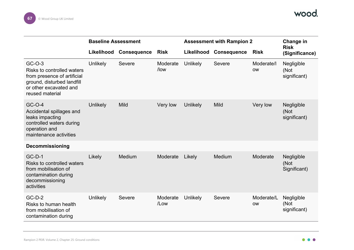

|                                                                                                                                                | <b>Baseline Assessment</b> |                    |                  | <b>Assessment with Rampion 2</b> |                    |                         | Change in                          |
|------------------------------------------------------------------------------------------------------------------------------------------------|----------------------------|--------------------|------------------|----------------------------------|--------------------|-------------------------|------------------------------------|
|                                                                                                                                                | Likelihood                 | <b>Consequence</b> | <b>Risk</b>      | Likelihood                       | <b>Consequence</b> | <b>Risk</b>             | <b>Risk</b><br>(Significance)      |
| GC-O-3<br>Risks to controlled waters<br>from presence of artificial<br>ground, disturbed landfill<br>or other excavated and<br>reused material | Unlikely                   | <b>Severe</b>      | Moderate<br>/low | <b>Unlikely</b>                  | Severe             | Moderate/I<br><b>OW</b> | Negligible<br>(Not<br>significant) |
| $GC-O-4$<br>Accidental spillages and<br>leaks impacting<br>controlled waters during<br>operation and<br>maintenance activities                 | <b>Unlikely</b>            | <b>Mild</b>        | Very low         | <b>Unlikely</b>                  | Mild               | Very low                | Negligible<br>(Not<br>significant) |
| <b>Decommissioning</b>                                                                                                                         |                            |                    |                  |                                  |                    |                         |                                    |
| $GC-D-1$<br>Risks to controlled waters<br>from mobilisation of<br>contamination during<br>decommissioning<br>activities                        | Likely                     | Medium             | Moderate         | Likely                           | Medium             | Moderate                | Negligible<br>(Not<br>Significant) |
| $GC-D-2$<br>Risks to human health<br>from mobilisation of<br>contamination during                                                              | Unlikely                   | <b>Severe</b>      | Moderate<br>/Low | <b>Unlikely</b>                  | Severe             | Moderate/L<br><b>OW</b> | Negligible<br>(Not<br>significant) |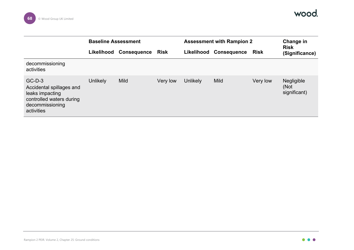

|                                                                                                                      | <b>Baseline Assessment</b> |                    |             | <b>Assessment with Rampion 2</b> |                        |             | Change in                          |
|----------------------------------------------------------------------------------------------------------------------|----------------------------|--------------------|-------------|----------------------------------|------------------------|-------------|------------------------------------|
|                                                                                                                      | Likelihood                 | <b>Consequence</b> | <b>Risk</b> |                                  | Likelihood Consequence | <b>Risk</b> | <b>Risk</b><br>(Significance)      |
| decommissioning<br>activities                                                                                        |                            |                    |             |                                  |                        |             |                                    |
| $GC-D-3$<br>Accidental spillages and<br>leaks impacting<br>controlled waters during<br>decommissioning<br>activities | <b>Unlikely</b>            | <b>Mild</b>        | Very low    | <b>Unlikely</b>                  | Mild                   | Very low    | Negligible<br>(Not<br>significant) |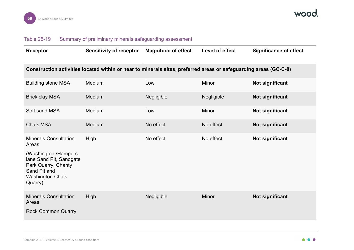

## Table 25-19 Summary of preliminary minerals safeguarding assessment

<span id="page-69-0"></span>

| <b>Receptor</b>                                                                                                                                                       | <b>Sensitivity of receptor</b> | <b>Magnitude of effect</b> | Level of effect | <b>Significance of effect</b> |  |  |  |
|-----------------------------------------------------------------------------------------------------------------------------------------------------------------------|--------------------------------|----------------------------|-----------------|-------------------------------|--|--|--|
| Construction activities located within or near to minerals sites, preferred areas or safeguarding areas (GC-C-8)                                                      |                                |                            |                 |                               |  |  |  |
| <b>Building stone MSA</b>                                                                                                                                             | Medium                         | Low                        | Minor           | Not significant               |  |  |  |
| <b>Brick clay MSA</b>                                                                                                                                                 | Medium                         | Negligible                 | Negligible      | Not significant               |  |  |  |
| Soft sand MSA                                                                                                                                                         | Medium                         | Low                        | Minor           | <b>Not significant</b>        |  |  |  |
| <b>Chalk MSA</b>                                                                                                                                                      | Medium                         | No effect                  | No effect       | Not significant               |  |  |  |
| <b>Minerals Consultation</b><br>Areas<br>(Washington /Hampers<br>lane Sand Pit, Sandgate<br>Park Quarry, Chanty<br>Sand Pit and<br><b>Washington Chalk</b><br>Quarry) | High                           | No effect                  | No effect       | <b>Not significant</b>        |  |  |  |
| <b>Minerals Consultation</b><br>Areas<br><b>Rock Common Quarry</b>                                                                                                    | High                           | Negligible                 | <b>Minor</b>    | Not significant               |  |  |  |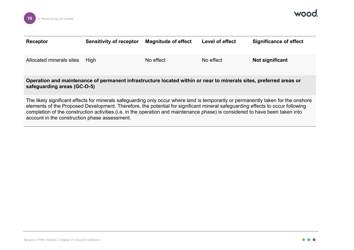

| Receptor                                                                                                                                          | <b>Sensitivity of receptor</b> | <b>Magnitude of effect</b> | <b>Level of effect</b> | <b>Significance of effect</b> |  |  |  |
|---------------------------------------------------------------------------------------------------------------------------------------------------|--------------------------------|----------------------------|------------------------|-------------------------------|--|--|--|
| Allocated minerals sites                                                                                                                          | <b>High</b>                    | No effect                  | No effect              | Not significant               |  |  |  |
| Operation and maintenance of permanent infrastructure located within or near to minerals sites, preferred areas or<br>safeguarding areas (GC-O-5) |                                |                            |                        |                               |  |  |  |

The likely significant effects for minerals safeguarding only occur where land is temporarily or permanently taken for the onshore elements of the Proposed Development. Therefore, the potential for significant mineral safeguarding effects to occur following completion of the construction activities (i.e. in the operation and maintenance phase) is considered to have been taken into account in the construction phase assessment.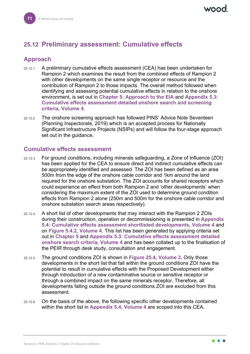# **25.12 Preliminary assessment: Cumulative effects**

## **Approach**

- 25.12.1 A preliminary cumulative effects assessment (CEA) has been undertaken for Rampion 2 which examines the result from the combined effects of Rampion 2 with other developments on the same single receptor or resource and the contribution of Rampion 2 to those impacts. The overall method followed when identifying and assessing potential cumulative effects in relation to the onshore environment, is set out in **Chapter 5: Approach to the EIA** and **Appendix 5.3: Cumulative effects assessment detailed onshore search and screening criteria, Volume 4**.
- 25.12.2 The onshore screening approach has followed PINS' Advice Note Seventeen (Planning Inspectorate, 2019) which is an accepted process for Nationally Significant Infrastructure Projects (NSIPs) and will follow the four-stage approach set out in the guidance.

## **Cumulative effects assessment**

- 25.12.3 For ground conditions, including minerals safeguarding, a Zone of Influence (ZOI) has been applied for the CEA to ensure direct and indirect cumulative effects can be appropriately identified and assessed. The ZOI has been defined as an area 500m from the edge of the onshore cable corridor and 1km around the land required for the onshore substation. The ZOI accounts for shared receptors which could experience an effect from both Rampion 2 and 'other developments' when considering the maximum extent of the ZOI used to determine ground condition effects from Rampion 2 alone (250m and 500m for the onshore cable corridor and onshore substation search areas respectively).
- 25.12.4 A short list of other developments that may interact with the Rampion 2 ZOIs during their construction, operation or decommissioning is presented in **Appendix 5.4: Cumulative effects assessment shortlisted developments, Volume 4** and on **Figure 5.4.2, Volume 4**. This list has been generated by applying criteria set out in **Chapter 5** and **Appendix 5.3: Cumulative effects assessment detailed onshore search criteria, Volume 4** and has been collated up to the finalisation of the PEIR through desk study, consultation and engagement.
- 25.12.5 The ground conditions ZOI is shown in **Figure 25.4, Volume 3**. Only those developments in the short list that fall within the ground conditions ZOI have the potential to result in cumulative effects with the Proposed Development either through introduction of a new contaminative source or sensitive receptor or through a combined impact on the same minerals receptor. Therefore, all developments falling outside the ground conditions ZOI are excluded from this assessment.
- 25.12.6 On the basis of the above, the following specific other developments contained within the short list in **Appendix 5.4, Volume 4** are scoped into this CEA.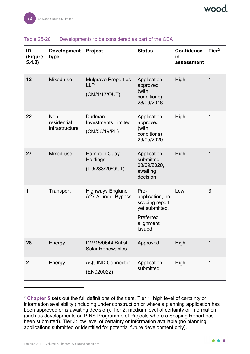

| ID<br>(Figure<br>5.4.2) | <b>Development</b><br>type            | <b>Project</b>                                            | <b>Status</b>                                                                                   | <b>Confidence</b><br>in<br>assessment | Tier <sup>2</sup> |
|-------------------------|---------------------------------------|-----------------------------------------------------------|-------------------------------------------------------------------------------------------------|---------------------------------------|-------------------|
| 12                      | Mixed use                             | <b>Mulgrave Properties</b><br><b>LLP</b><br>(CM/1/17/OUT) | Application<br>approved<br>(with<br>conditions)<br>28/09/2018                                   | High                                  | 1                 |
| 22                      | Non-<br>residential<br>infrastructure | Dudman<br><b>Investments Limited</b><br>(CM/56/19/PL)     | Application<br>approved<br>(with<br>conditions)<br>29/05/2020                                   | High                                  | 1                 |
| 27                      | Mixed-use                             | <b>Hampton Quay</b><br>Holdings<br>(LU/238/20/OUT)        | Application<br>submitted<br>03/09/2020,<br>awaiting<br>decision                                 | High                                  | 1                 |
| 1                       | Transport                             | <b>Highways England</b><br><b>A27 Arundel Bypass</b>      | Pre-<br>application, no<br>scoping report<br>yet submitted.<br>Preferred<br>alignment<br>issued | Low                                   | 3                 |
| 28                      | Energy                                | DM/15/0644 British<br><b>Solar Renewables</b>             | Approved                                                                                        | High                                  | 1                 |
| $\boldsymbol{2}$        | Energy                                | <b>AQUIND Connector</b><br>(EN020022)                     | Application<br>submitted,                                                                       | High                                  | 1                 |

### <span id="page-72-1"></span>Table 25-20 Developments to be considered as part of the CEA

<span id="page-72-0"></span><sup>2</sup> **Chapter 5** sets out the full definitions of the tiers. Tier 1: high level of certainty or information availability (including under construction or where a planning application has been approved or is awaiting decision). Tier 2: medium level of certainty or information (such as developments on PINS Programme of Projects where a Scoping Report has been submitted). Tier 3: low level of certainty or information available (no planning applications submitted or identified for potential future development only).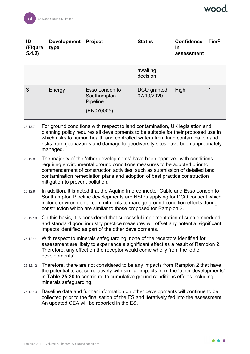| ID<br>(Figure<br>5.4.2) | <b>Development</b><br>type | <b>Project</b>                                          | <b>Status</b>             | <b>Confidence</b><br>in<br>assessment | Tier <sup>2</sup> |
|-------------------------|----------------------------|---------------------------------------------------------|---------------------------|---------------------------------------|-------------------|
|                         |                            |                                                         | awaiting<br>decision      |                                       |                   |
| 3                       | Energy                     | Esso London to<br>Southampton<br>Pipeline<br>(EN070005) | DCO granted<br>07/10/2020 | High                                  | 1                 |

- 25.12.7 For ground conditions with respect to land contamination, UK legislation and planning policy requires all developments to be suitable for their proposed use in which risks to human health and controlled waters from land contamination and risks from geohazards and damage to geodiversity sites have been appropriately managed.
- 25.12.8 The majority of the 'other developments' have been approved with conditions requiring environmental ground conditions measures to be adopted prior to commencement of construction activities, such as submission of detailed land contamination remediation plans and adoption of best practice construction mitigation to prevent pollution.
- 25.12.9 In addition, it is noted that the Aquind Interconnector Cable and Esso London to Southampton Pipeline developments are NSIPs applying for DCO consent which include environmental commitments to manage ground condition effects during construction which are similar to those proposed for Rampion 2.
- 25.12.10 On this basis, it is considered that successful implementation of such embedded and standard good industry practice measures will offset any potential significant impacts identified as part of the other developments.
- 25.12.11 With respect to minerals safeguarding, none of the receptors identified for assessment are likely to experience a significant effect as a result of Rampion 2. Therefore, any effect on the receptor would come wholly from the 'other developments'.
- 25.12.12 Therefore, there are not considered to be any impacts from Rampion 2 that have the potential to act cumulatively with similar impacts from the 'other developments' in **[Table 25-20](#page-72-1)** to contribute to cumulative ground conditions effects including minerals safeguarding.
- 25.12.13 Baseline data and further information on other developments will continue to be collected prior to the finalisation of the ES and iteratively fed into the assessment. An updated CEA will be reported in the ES.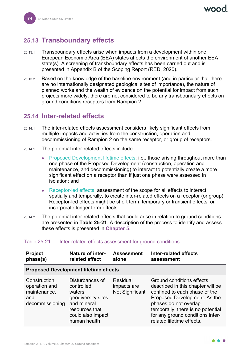# **25.13 Transboundary effects**

- 25.13.1 Transboundary effects arise when impacts from a development within one European Economic Area (EEA) states affects the environment of another EEA state(s). A screening of transboundary effects has been carried out and is presented in Appendix B of the Scoping Report (RED, 2020).
- 25.13.2 Based on the knowledge of the baseline environment (and in particular that there are no internationally designated geological sites of importance), the nature of planned works and the wealth of evidence on the potential for impact from such projects more widely, there are not considered to be any transboundary effects on ground conditions receptors from Rampion 2.

## **25.14 Inter-related effects**

- 25.14.1 The inter-related effects assessment considers likely significant effects from multiple impacts and activities from the construction, operation and decommissioning of Rampion 2 on the same receptor, or group of receptors.
- 25.14.1 The potential inter-related effects include:
	- Proposed Development lifetime effects: i.e., those arising throughout more than one phase of the Proposed Development (construction, operation and maintenance, and decommissioning) to interact to potentially create a more significant effect on a receptor than if just one phase were assessed in isolation; and
	- Receptor-led effects: assessment of the scope for all effects to interact, spatially and temporally, to create inter-related effects on a receptor (or group). Receptor-led effects might be short term, temporary or transient effects, or incorporate longer term effects.
- 25.14.2 The potential inter-related effects that could arise in relation to ground conditions are presented in **[Table 25-21](#page-74-0)**. A description of the process to identify and assess these effects is presented in **Chapter 5**.

| <b>Project</b><br>phase(s)                                               | <b>Nature of inter-</b><br>related effect                                                                                            | <b>Assessment</b><br>alone                 | Inter-related effects<br>assessment                                                                                                                                                                                                                            |
|--------------------------------------------------------------------------|--------------------------------------------------------------------------------------------------------------------------------------|--------------------------------------------|----------------------------------------------------------------------------------------------------------------------------------------------------------------------------------------------------------------------------------------------------------------|
|                                                                          | <b>Proposed Development lifetime effects</b>                                                                                         |                                            |                                                                                                                                                                                                                                                                |
| Construction,<br>operation and<br>maintenance,<br>and<br>decommissioning | Disturbances of<br>controlled<br>waters,<br>geodiversity sites<br>and mineral<br>resources that<br>could also impact<br>human health | Residual<br>impacts are<br>Not Significant | Ground conditions effects<br>described in this chapter will be<br>confined to each phase of the<br>Proposed Development. As the<br>phases do not overlap<br>temporally, there is no potential<br>for any ground conditions inter-<br>related lifetime effects. |

### <span id="page-74-0"></span>Table 25-21 Inter-related effects assessment for ground conditions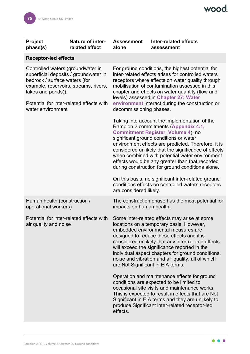| <b>Project</b><br>phase(s)                                                                                                                                                                                                                  | Nature of inter-<br>related effect | <b>Assessment</b><br>alone                                                                                                                                                                                                                                                                                                                                                                                                                                                                                                                                                                                                                                                                                                                                                                                                                     | <b>Inter-related effects</b><br>assessment                                                                                                                                                                                                                                                                                                                                                    |  |
|---------------------------------------------------------------------------------------------------------------------------------------------------------------------------------------------------------------------------------------------|------------------------------------|------------------------------------------------------------------------------------------------------------------------------------------------------------------------------------------------------------------------------------------------------------------------------------------------------------------------------------------------------------------------------------------------------------------------------------------------------------------------------------------------------------------------------------------------------------------------------------------------------------------------------------------------------------------------------------------------------------------------------------------------------------------------------------------------------------------------------------------------|-----------------------------------------------------------------------------------------------------------------------------------------------------------------------------------------------------------------------------------------------------------------------------------------------------------------------------------------------------------------------------------------------|--|
| <b>Receptor-led effects</b>                                                                                                                                                                                                                 |                                    |                                                                                                                                                                                                                                                                                                                                                                                                                                                                                                                                                                                                                                                                                                                                                                                                                                                |                                                                                                                                                                                                                                                                                                                                                                                               |  |
| Controlled waters (groundwater in<br>superficial deposits / groundwater in<br>bedrock / surface waters (for<br>example, reservoirs, streams, rivers,<br>lakes and ponds)).<br>Potential for inter-related effects with<br>water environment |                                    | For ground conditions, the highest potential for<br>inter-related effects arises for controlled waters<br>receptors where effects on water quality through<br>mobilisation of contamination assessed in this<br>chapter and effects on water quantity (flow and<br>levels) assessed in Chapter 27: Water<br>environment interact during the construction or<br>decommissioning phases.<br>Taking into account the implementation of the<br>Rampion 2 commitments (Appendix 4.1,<br><b>Commitment Register, Volume 4), no</b><br>significant ground conditions or water<br>environment effects are predicted. Therefore, it is<br>considered unlikely that the significance of effects<br>when combined with potential water environment<br>effects would be any greater than that recorded<br>during construction for ground conditions alone. |                                                                                                                                                                                                                                                                                                                                                                                               |  |
|                                                                                                                                                                                                                                             |                                    | are considered likely.                                                                                                                                                                                                                                                                                                                                                                                                                                                                                                                                                                                                                                                                                                                                                                                                                         | On this basis, no significant inter-related ground<br>conditions effects on controlled waters receptors                                                                                                                                                                                                                                                                                       |  |
| Human health (construction /<br>operational workers)                                                                                                                                                                                        |                                    | impacts on human health.                                                                                                                                                                                                                                                                                                                                                                                                                                                                                                                                                                                                                                                                                                                                                                                                                       | The construction phase has the most potential for                                                                                                                                                                                                                                                                                                                                             |  |
| Potential for inter-related effects with<br>air quality and noise                                                                                                                                                                           |                                    | are Not Significant in EIA terms.                                                                                                                                                                                                                                                                                                                                                                                                                                                                                                                                                                                                                                                                                                                                                                                                              | Some inter-related effects may arise at some<br>locations on a temporary basis. However,<br>embedded environmental measures are<br>designed to reduce these effects and it is<br>considered unlikely that any inter-related effects<br>will exceed the significance reported in the<br>individual aspect chapters for ground conditions,<br>noise and vibration and air quality, all of which |  |
|                                                                                                                                                                                                                                             |                                    | effects.                                                                                                                                                                                                                                                                                                                                                                                                                                                                                                                                                                                                                                                                                                                                                                                                                                       | Operation and maintenance effects for ground<br>conditions are expected to be limited to<br>occasional site visits and maintenance works.<br>This is expected to result in effects that are Not<br>Significant in EIA terms and they are unlikely to<br>produce Significant inter-related receptor-led                                                                                        |  |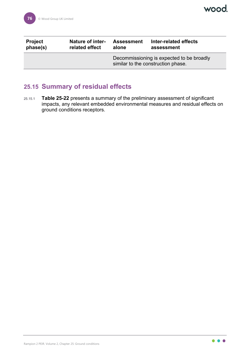| <b>Project</b> | <b>Nature of inter-</b> | <b>Assessment</b>                                                               | Inter-related effects |
|----------------|-------------------------|---------------------------------------------------------------------------------|-----------------------|
| phase(s)       | related effect          | alone                                                                           | assessment            |
|                |                         | Decommissioning is expected to be broadly<br>similar to the construction phase. |                       |

# **25.15 Summary of residual effects**

25.15.1 **[Table 25-22](#page-77-0)** presents a summary of the preliminary assessment of significant impacts, any relevant embedded environmental measures and residual effects on ground conditions receptors.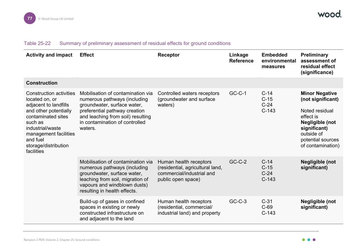### Table 25-22 Summary of preliminary assessment of residual effects for ground conditions

<span id="page-77-0"></span>

| <b>Activity and impact</b>                                                                                                                                                                                                         | <b>Effect</b>                                                                                                                                                                                                       | <b>Receptor</b>                                                                                               | Linkage<br><b>Reference</b> | <b>Embedded</b><br>environmental<br>measures | Preliminary<br>assessment of<br>residual effect<br>(significance)                                                                                                    |
|------------------------------------------------------------------------------------------------------------------------------------------------------------------------------------------------------------------------------------|---------------------------------------------------------------------------------------------------------------------------------------------------------------------------------------------------------------------|---------------------------------------------------------------------------------------------------------------|-----------------------------|----------------------------------------------|----------------------------------------------------------------------------------------------------------------------------------------------------------------------|
| <b>Construction</b>                                                                                                                                                                                                                |                                                                                                                                                                                                                     |                                                                                                               |                             |                                              |                                                                                                                                                                      |
| <b>Construction activities</b><br>located on, or<br>adjacent to landfills<br>and other potentially<br>contaminated sites<br>such as<br>industrial/waste<br>management facilities<br>and fuel<br>storage/distribution<br>facilities | Mobilisation of contamination via<br>numerous pathways (including<br>groundwater, surface water,<br>preferential pathway creation<br>and leaching from soil) resulting<br>in contamination of controlled<br>waters. | Controlled waters receptors<br>(groundwater and surface<br>waters)                                            | <b>GC-C-1</b>               | $C-14$<br>$C-15$<br>$C-24$<br>$C-143$        | <b>Minor Negative</b><br>(not significant)<br>Noted residual<br>effect is<br>Negligible (not<br>significant)<br>outside of<br>potential sources<br>of contamination) |
|                                                                                                                                                                                                                                    | Mobilisation of contamination via<br>numerous pathways (including<br>groundwater, surface water,<br>leaching from soil, migration of<br>vapours and windblown dusts)<br>resulting in health effects.                | Human health receptors<br>(residential, agricultural land,<br>commercial/industrial and<br>public open space) | $GC-C-2$                    | $C-14$<br>$C-15$<br>$C-24$<br>$C-143$        | Negligible (not<br>significant)                                                                                                                                      |
|                                                                                                                                                                                                                                    | Build-up of gases in confined<br>spaces in existing or newly<br>constructed infrastructure on<br>and adjacent to the land                                                                                           | Human health receptors<br>(residential, commercial/<br>industrial land) and property                          | $GC-C-3$                    | $C-31$<br>$C-69$<br>$C-143$                  | Negligible (not<br>significant)                                                                                                                                      |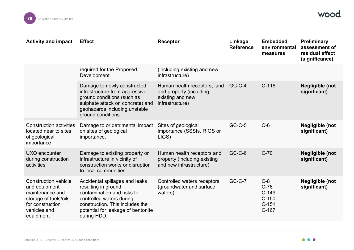

| <b>Activity and impact</b>                                                                                                                | <b>Effect</b>                                                                                                                                                                                           | <b>Receptor</b>                                                                                | Linkage<br><b>Reference</b> | <b>Embedded</b><br>environmental<br>measures                | Preliminary<br>assessment of<br>residual effect<br>(significance) |
|-------------------------------------------------------------------------------------------------------------------------------------------|---------------------------------------------------------------------------------------------------------------------------------------------------------------------------------------------------------|------------------------------------------------------------------------------------------------|-----------------------------|-------------------------------------------------------------|-------------------------------------------------------------------|
|                                                                                                                                           | required for the Proposed<br>Development.                                                                                                                                                               | (including existing and new<br>infrastructure)                                                 |                             |                                                             |                                                                   |
|                                                                                                                                           | Damage to newly constructed<br>infrastructure from aggressive<br>ground conditions (such as<br>sulphate attack on concrete) and<br>geohazards including unstable<br>ground conditions.                  | Human health receptors, land<br>and property (including<br>existing and new<br>infrastructure) | GC-C-4                      | $C-116$                                                     | Negligible (not<br>significant)                                   |
| <b>Construction activities</b><br>located near to sites<br>of geological<br>importance                                                    | Damage to or detrimental impact<br>on sites of geological<br>importance.                                                                                                                                | Sites of geological<br>importance (SSSIs, RIGS or<br>LIGS)                                     | <b>GC-C-5</b>               | $C-6$                                                       | <b>Negligible (not</b><br>significant)                            |
| UXO encounter<br>during construction<br>activities                                                                                        | Damage to existing property or<br>infrastructure in vicinity of<br>construction works or disruption<br>to local communities.                                                                            | Human health receptors and<br>property (including existing<br>and new infrastructure)          | GC-C-6                      | $C-70$                                                      | <b>Negligible (not</b><br>significant)                            |
| <b>Construction vehicle</b><br>and equipment<br>maintenance and<br>storage of fuels/oils<br>for construction<br>vehicles and<br>equipment | Accidental spillages and leaks<br>resulting in ground<br>contamination and risks to<br>controlled waters during<br>construction. This includes the<br>potential for leakage of bentonite<br>during HDD. | Controlled waters receptors<br>(groundwater and surface<br>waters)                             | <b>GC-C-7</b>               | $C-8$<br>$C-76$<br>$C-149$<br>$C-150$<br>$C-151$<br>$C-167$ | Negligible (not<br>significant)                                   |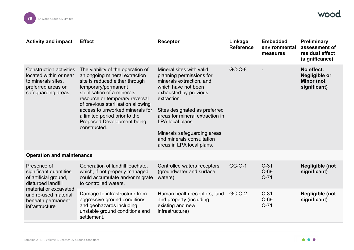

| <b>Activity and impact</b>                                                                                                  | <b>Effect</b>                                                                                                                                                                                                                                                                                                                                               | <b>Receptor</b>                                                                                                                                                                                                                                                                                                                  | Linkage<br><b>Reference</b> | <b>Embedded</b><br>environmental<br>measures | <b>Preliminary</b><br>assessment of<br>residual effect<br>(significance) |
|-----------------------------------------------------------------------------------------------------------------------------|-------------------------------------------------------------------------------------------------------------------------------------------------------------------------------------------------------------------------------------------------------------------------------------------------------------------------------------------------------------|----------------------------------------------------------------------------------------------------------------------------------------------------------------------------------------------------------------------------------------------------------------------------------------------------------------------------------|-----------------------------|----------------------------------------------|--------------------------------------------------------------------------|
| <b>Construction activities</b><br>located within or near<br>to minerals sites,<br>preferred areas or<br>safeguarding areas. | The viability of the operation of<br>an ongoing mineral extraction<br>site is reduced either through<br>temporary/permanent<br>sterilisation of a minerals<br>resource or temporary reversal<br>of previous sterilisation allowing<br>access to unworked minerals for<br>a limited period prior to the<br><b>Proposed Development being</b><br>constructed. | Mineral sites with valid<br>planning permissions for<br>minerals extraction, and<br>which have not been<br>exhausted by previous<br>extraction.<br>Sites designated as preferred<br>areas for mineral extraction in<br>LPA local plans.<br>Minerals safeguarding areas<br>and minerals consultation<br>areas in LPA local plans. | $GC-C-8$                    |                                              | No effect,<br><b>Negligible or</b><br><b>Minor (not</b><br>significant)  |
| <b>Operation and maintenance</b>                                                                                            |                                                                                                                                                                                                                                                                                                                                                             |                                                                                                                                                                                                                                                                                                                                  |                             |                                              |                                                                          |
| Presence of<br>significant quantities<br>of artificial ground,<br>disturbed landfill<br>material or excavated               | Generation of landfill leachate,<br>which, if not properly managed,<br>could accumulate and/or migrate<br>to controlled waters.                                                                                                                                                                                                                             | Controlled waters receptors<br>(groundwater and surface)<br>waters)                                                                                                                                                                                                                                                              | GC-O-1                      | $C-31$<br>$C-69$<br>$C-71$                   | Negligible (not<br>significant)                                          |
| and re-used material<br>beneath permanent<br>infrastructure                                                                 | Damage to infrastructure from<br>aggressive ground conditions<br>and geohazards including<br>unstable ground conditions and<br>settlement.                                                                                                                                                                                                                  | Human health receptors, land<br>and property (including<br>existing and new<br>infrastructure)                                                                                                                                                                                                                                   | GC-O-2                      | $C-31$<br>$C-69$<br>$C-71$                   | Negligible (not<br>significant)                                          |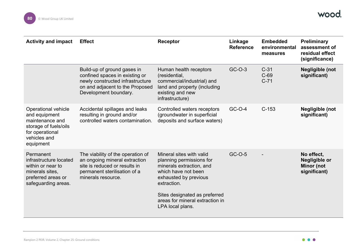

| <b>Activity and impact</b>                                                                                                              | <b>Effect</b>                                                                                                                                                 | <b>Receptor</b>                                                                                                                                                                                                                         | Linkage<br><b>Reference</b> | <b>Embedded</b><br>environmental<br>measures | Preliminary<br>assessment of<br>residual effect<br>(significance) |
|-----------------------------------------------------------------------------------------------------------------------------------------|---------------------------------------------------------------------------------------------------------------------------------------------------------------|-----------------------------------------------------------------------------------------------------------------------------------------------------------------------------------------------------------------------------------------|-----------------------------|----------------------------------------------|-------------------------------------------------------------------|
|                                                                                                                                         | Build-up of ground gases in<br>confined spaces in existing or<br>newly constructed infrastructure<br>on and adjacent to the Proposed<br>Development boundary. | Human health receptors<br>(residential,<br>commercial/industrial) and<br>land and property (including<br>existing and new<br>infrastructure)                                                                                            | GC-O-3                      | $C-31$<br>$C-69$<br>$C-71$                   | Negligible (not<br>significant)                                   |
| <b>Operational vehicle</b><br>and equipment<br>maintenance and<br>storage of fuels/oils<br>for operational<br>vehicles and<br>equipment | Accidental spillages and leaks<br>resulting in ground and/or<br>controlled waters contamination.                                                              | Controlled waters receptors<br>(groundwater in superficial<br>deposits and surface waters)                                                                                                                                              | GC-O-4                      | $C-153$                                      | Negligible (not<br>significant)                                   |
| Permanent<br>infrastructure located<br>within or near to<br>minerals sites,<br>preferred areas or<br>safeguarding areas.                | The viability of the operation of<br>an ongoing mineral extraction<br>site is reduced or results in<br>permanent sterilisation of a<br>minerals resource.     | Mineral sites with valid<br>planning permissions for<br>minerals extraction, and<br>which have not been<br>exhausted by previous<br>extraction.<br>Sites designated as preferred<br>areas for mineral extraction in<br>LPA local plans. | GC-O-5                      |                                              | No effect,<br>Negligible or<br><b>Minor (not</b><br>significant)  |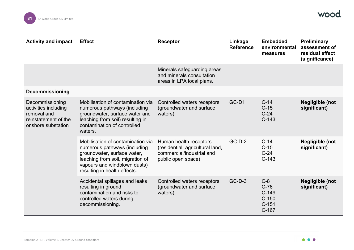

| <b>Activity and impact</b>                                                                           | <b>Effect</b>                                                                                                                                                                                        | <b>Receptor</b>                                                                                               | Linkage<br><b>Reference</b> | <b>Embedded</b><br>environmental<br>measures                | <b>Preliminary</b><br>assessment of<br>residual effect<br>(significance) |
|------------------------------------------------------------------------------------------------------|------------------------------------------------------------------------------------------------------------------------------------------------------------------------------------------------------|---------------------------------------------------------------------------------------------------------------|-----------------------------|-------------------------------------------------------------|--------------------------------------------------------------------------|
|                                                                                                      |                                                                                                                                                                                                      | Minerals safeguarding areas<br>and minerals consultation<br>areas in LPA local plans.                         |                             |                                                             |                                                                          |
| <b>Decommissioning</b>                                                                               |                                                                                                                                                                                                      |                                                                                                               |                             |                                                             |                                                                          |
| Decommissioning<br>activities including<br>removal and<br>reinstatement of the<br>onshore substation | Mobilisation of contamination via<br>numerous pathways (including<br>groundwater, surface water and<br>leaching from soil) resulting in<br>contamination of controlled<br>waters.                    | Controlled waters receptors<br>(groundwater and surface<br>waters)                                            | GC-D1                       | $C-14$<br>$C-15$<br>$C-24$<br>$C-143$                       | Negligible (not<br>significant)                                          |
|                                                                                                      | Mobilisation of contamination via<br>numerous pathways (including<br>groundwater, surface water,<br>leaching from soil, migration of<br>vapours and windblown dusts)<br>resulting in health effects. | Human health receptors<br>(residential, agricultural land,<br>commercial/industrial and<br>public open space) | $GC-D-2$                    | $C-14$<br>$C-15$<br>$C-24$<br>$C-143$                       | Negligible (not<br>significant)                                          |
|                                                                                                      | Accidental spillages and leaks<br>resulting in ground<br>contamination and risks to<br>controlled waters during<br>decommissioning.                                                                  | Controlled waters receptors<br>(groundwater and surface<br>waters)                                            | $GC-D-3$                    | $C-8$<br>$C-76$<br>$C-149$<br>$C-150$<br>$C-151$<br>$C-167$ | <b>Negligible (not</b><br>significant)                                   |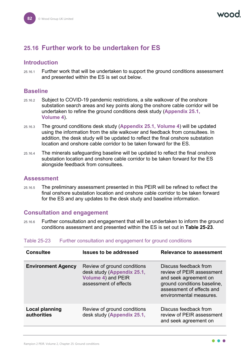## **25.16 Further work to be undertaken for ES**

## **Introduction**

25.16.1 Further work that will be undertaken to support the ground conditions assessment and presented within the ES is set out below.

## **Baseline**

- 25.16.2 Subject to COVID-19 pandemic restrictions, a site walkover of the onshore substation search areas and key points along the onshore cable corridor will be undertaken to refine the ground conditions desk study (**Appendix 25.1, Volume 4**).
- 25.16.3 The ground conditions desk study (**Appendix 25.1, Volume 4**) will be updated using the information from the site walkover and feedback from consultees. In addition, the desk study will be updated to reflect the final onshore substation location and onshore cable corridor to be taken forward for the ES.
- 25.16.4 The minerals safeguarding baseline will be updated to reflect the final onshore substation location and onshore cable corridor to be taken forward for the ES alongside feedback from consultees.

## **Assessment**

25.16.5 The preliminary assessment presented in this PEIR will be refined to reflect the final onshore substation location and onshore cable corridor to be taken forward for the ES and any updates to the desk study and baseline information.

## **Consultation and engagement**

25.16.6 Further consultation and engagement that will be undertaken to inform the ground conditions assessment and presented within the ES is set out in **[Table 25-23](#page-82-0)**.

| <b>Consultee</b>                     | <b>Issues to be addressed</b>                                                                            | <b>Relevance to assessment</b>                                                                                                                                     |
|--------------------------------------|----------------------------------------------------------------------------------------------------------|--------------------------------------------------------------------------------------------------------------------------------------------------------------------|
| <b>Environment Agency</b>            | Review of ground conditions<br>desk study (Appendix 25.1,<br>Volume 4) and PEIR<br>assessment of effects | Discuss feedback from<br>review of PEIR assessment<br>and seek agreement on<br>ground conditions baseline,<br>assessment of effects and<br>environmental measures. |
| <b>Local planning</b><br>authorities | Review of ground conditions<br>desk study (Appendix 25.1,                                                | Discuss feedback from<br>review of PEIR assessment<br>and seek agreement on                                                                                        |

### <span id="page-82-0"></span>Table 25-23 Further consultation and engagement for ground conditions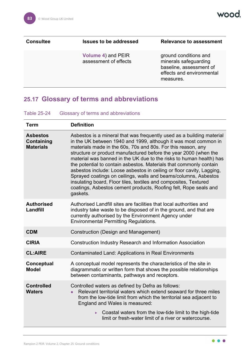| <b>Consultee</b> | <b>Issues to be addressed</b>               | <b>Relevance to assessment</b>                                                                                      |
|------------------|---------------------------------------------|---------------------------------------------------------------------------------------------------------------------|
|                  | Volume 4) and PEIR<br>assessment of effects | ground conditions and<br>minerals safeguarding<br>baseline, assessment of<br>effects and environmental<br>measures. |

# **25.17 Glossary of terms and abbreviations**

### Table 25-24 Glossary of terms and abbreviations

| <b>Term</b>                                       | <b>Definition</b>                                                                                                                                                                                                                                                                                                                                                                                                                                                                                                                                                                                                                                                                                                         |
|---------------------------------------------------|---------------------------------------------------------------------------------------------------------------------------------------------------------------------------------------------------------------------------------------------------------------------------------------------------------------------------------------------------------------------------------------------------------------------------------------------------------------------------------------------------------------------------------------------------------------------------------------------------------------------------------------------------------------------------------------------------------------------------|
| <b>Asbestos</b><br>Containing<br><b>Materials</b> | Asbestos is a mineral that was frequently used as a building material<br>in the UK between 1940 and 1999, although it was most common in<br>materials made in the 60s, 70s and 80s. For this reason, any<br>structure or product manufactured before the year 2000 (when the<br>material was banned in the UK due to the risks to human health) has<br>the potential to contain asbestos. Materials that commonly contain<br>asbestos include: Loose asbestos in ceiling or floor cavity, Lagging,<br>Sprayed coatings on ceilings, walls and beams/columns, Asbestos<br>insulating board, Floor tiles, textiles and composites, Textured<br>coatings, Asbestos cement products, Roofing felt, Rope seals and<br>gaskets. |
| <b>Authorised</b><br>Landfill                     | Authorised Landfill sites are facilities that local authorities and<br>industry take waste to be disposed of in the ground, and that are<br>currently authorised by the Environment Agency under<br><b>Environmental Permitting Regulations.</b>                                                                                                                                                                                                                                                                                                                                                                                                                                                                          |
| <b>CDM</b>                                        | <b>Construction (Design and Management)</b>                                                                                                                                                                                                                                                                                                                                                                                                                                                                                                                                                                                                                                                                               |
| <b>CIRIA</b>                                      | <b>Construction Industry Research and Information Association</b>                                                                                                                                                                                                                                                                                                                                                                                                                                                                                                                                                                                                                                                         |
| <b>CL:AIRE</b>                                    | <b>Contaminated Land: Applications in Real Environments</b>                                                                                                                                                                                                                                                                                                                                                                                                                                                                                                                                                                                                                                                               |
| Conceptual<br><b>Model</b>                        | A conceptual model represents the characteristics of the site in<br>diagrammatic or written form that shows the possible relationships<br>between contaminants, pathways and receptors.                                                                                                                                                                                                                                                                                                                                                                                                                                                                                                                                   |
| <b>Controlled</b><br><b>Waters</b>                | Controlled waters as defined by Defra as follows:<br>Relevant territorial waters which extend seaward for three miles<br>from the low-tide limit from which the territorial sea adjacent to<br>England and Wales is measured:<br>Coastal waters from the low-tide limit to the high-tide<br>limit or fresh-water limit of a river or watercourse.                                                                                                                                                                                                                                                                                                                                                                         |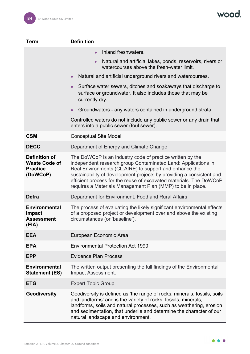| <b>Term</b>                                                                 | <b>Definition</b>                                                                                                                                                                                                                                                                                                                                                                                |
|-----------------------------------------------------------------------------|--------------------------------------------------------------------------------------------------------------------------------------------------------------------------------------------------------------------------------------------------------------------------------------------------------------------------------------------------------------------------------------------------|
|                                                                             | Inland freshwaters.<br>ь                                                                                                                                                                                                                                                                                                                                                                         |
|                                                                             | Natural and artificial lakes, ponds, reservoirs, rivers or<br>$\blacktriangleright$<br>watercourses above the fresh-water limit.                                                                                                                                                                                                                                                                 |
|                                                                             | Natural and artificial underground rivers and watercourses.<br>$\bullet$                                                                                                                                                                                                                                                                                                                         |
|                                                                             | Surface water sewers, ditches and soakaways that discharge to<br>$\bullet$<br>surface or groundwater. It also includes those that may be<br>currently dry.                                                                                                                                                                                                                                       |
|                                                                             | Groundwaters - any waters contained in underground strata.<br>$\bullet$                                                                                                                                                                                                                                                                                                                          |
|                                                                             | Controlled waters do not include any public sewer or any drain that<br>enters into a public sewer (foul sewer).                                                                                                                                                                                                                                                                                  |
| <b>CSM</b>                                                                  | <b>Conceptual Site Model</b>                                                                                                                                                                                                                                                                                                                                                                     |
| <b>DECC</b>                                                                 | Department of Energy and Climate Change                                                                                                                                                                                                                                                                                                                                                          |
| <b>Definition of</b><br><b>Waste Code of</b><br><b>Practice</b><br>(DoWCoP) | The DoWCoP is an industry code of practice written by the<br>independent research group Contaminated Land: Applications in<br>Real Environments (CL:AIRE) to support and enhance the<br>sustainability of development projects by providing a consistent and<br>efficient process for the reuse of excavated materials. The DoWCoP<br>requires a Materials Management Plan (MMP) to be in place. |
| <b>Defra</b>                                                                | Department for Environment, Food and Rural Affairs                                                                                                                                                                                                                                                                                                                                               |
| <b>Environmental</b><br><b>Impact</b><br><b>Assessment</b><br>(EIA)         | The process of evaluating the likely significant environmental effects<br>of a proposed project or development over and above the existing<br>circumstances (or 'baseline').                                                                                                                                                                                                                     |
| <b>EEA</b>                                                                  | European Economic Area                                                                                                                                                                                                                                                                                                                                                                           |
| <b>EPA</b>                                                                  | <b>Environmental Protection Act 1990</b>                                                                                                                                                                                                                                                                                                                                                         |
| <b>EPP</b>                                                                  | <b>Evidence Plan Process</b>                                                                                                                                                                                                                                                                                                                                                                     |
| <b>Environmental</b><br><b>Statement (ES)</b>                               | The written output presenting the full findings of the Environmental<br>Impact Assessment.                                                                                                                                                                                                                                                                                                       |
| <b>ETG</b>                                                                  | <b>Expert Topic Group</b>                                                                                                                                                                                                                                                                                                                                                                        |
| Geodiversity                                                                | Geodiversity is defined as 'the range of rocks, minerals, fossils, soils<br>and landforms' and is the variety of rocks, fossils, minerals,<br>landforms, soils and natural processes, such as weathering, erosion<br>and sedimentation, that underlie and determine the character of our<br>natural landscape and environment.                                                                   |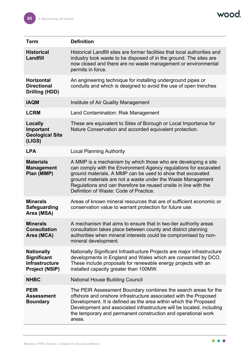wood.

| <b>Term</b>                                                                               | <b>Definition</b>                                                                                                                                                                                                                                                                                                                                                           |
|-------------------------------------------------------------------------------------------|-----------------------------------------------------------------------------------------------------------------------------------------------------------------------------------------------------------------------------------------------------------------------------------------------------------------------------------------------------------------------------|
| <b>Historical</b><br>Landfill                                                             | Historical Landfill sites are former facilities that local authorities and<br>industry took waste to be disposed of in the ground. The sites are<br>now closed and there are no waste management or environmental<br>permits in force.                                                                                                                                      |
| <b>Horizontal</b><br><b>Directional</b><br><b>Drilling (HDD)</b>                          | An engineering technique for installing underground pipes or<br>conduits and which is designed to avoid the use of open trenches                                                                                                                                                                                                                                            |
| <b>IAQM</b>                                                                               | Institute of Air Quality Management                                                                                                                                                                                                                                                                                                                                         |
| <b>LCRM</b>                                                                               | Land Contamination: Risk Management                                                                                                                                                                                                                                                                                                                                         |
| <b>Locally</b><br>Important<br><b>Geological Site</b><br>(LIGS)                           | These are equivalent to Sites of Borough or Local Importance for<br>Nature Conservation and accorded equivalent protection.                                                                                                                                                                                                                                                 |
| <b>LPA</b>                                                                                | <b>Local Planning Authority</b>                                                                                                                                                                                                                                                                                                                                             |
| <b>Materials</b><br><b>Management</b><br>Plan (MMP)                                       | A MMP is a mechanism by which those who are developing a site<br>can comply with the Environment Agency regulations for excavated<br>ground materials. A MMP can be used to show that excavated<br>ground materials are not a waste under the Waste Management<br>Regulations and can therefore be reused onsite in line with the<br>Definition of Waste: Code of Practice. |
| <b>Minerals</b><br><b>Safeguarding</b><br>Area (MSA)                                      | Areas of known mineral resources that are of sufficient economic or<br>conservation value to warrant protection for future use.                                                                                                                                                                                                                                             |
| <b>Minerals</b><br><b>Consultation</b><br>Area (MCA)                                      | A mechanism that aims to ensure that in two-tier authority areas<br>consultation takes place between county and district planning<br>authorities when mineral interests could be compromised by non-<br>mineral development.                                                                                                                                                |
| <b>Nationally</b><br><b>Significant</b><br><b>Infrastructure</b><br><b>Project (NSIP)</b> | Nationally Significant Infrastructure Projects are major infrastructure<br>developments in England and Wales which are consented by DCO.<br>These include proposals for renewable energy projects with an<br>installed capacity greater than 100MW.                                                                                                                         |
| <b>NHBC</b>                                                                               | <b>National House Building Council</b>                                                                                                                                                                                                                                                                                                                                      |
| <b>PEIR</b><br><b>Assessment</b><br><b>Boundary</b>                                       | The PEIR Assessment Boundary combines the search areas for the<br>offshore and onshore infrastructure associated with the Proposed<br>Development. It is defined as the area within which the Proposed<br>Development and associated infrastructure will be located, including<br>the temporary and permanent construction and operational work<br>areas.                   |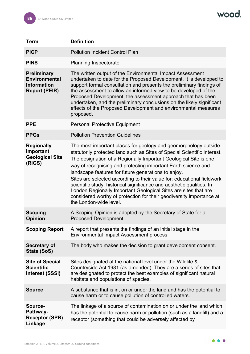| <b>Term</b>                                                                              | <b>Definition</b>                                                                                                                                                                                                                                                                                                                                                                                                                                                                                                                                                                                                                                               |
|------------------------------------------------------------------------------------------|-----------------------------------------------------------------------------------------------------------------------------------------------------------------------------------------------------------------------------------------------------------------------------------------------------------------------------------------------------------------------------------------------------------------------------------------------------------------------------------------------------------------------------------------------------------------------------------------------------------------------------------------------------------------|
| <b>PICP</b>                                                                              | <b>Pollution Incident Control Plan</b>                                                                                                                                                                                                                                                                                                                                                                                                                                                                                                                                                                                                                          |
| <b>PINS</b>                                                                              | <b>Planning Inspectorate</b>                                                                                                                                                                                                                                                                                                                                                                                                                                                                                                                                                                                                                                    |
| <b>Preliminary</b><br><b>Environmental</b><br><b>Information</b><br><b>Report (PEIR)</b> | The written output of the Environmental Impact Assessment<br>undertaken to date for the Proposed Development. It is developed to<br>support formal consultation and presents the preliminary findings of<br>the assessment to allow an informed view to be developed of the<br>Proposed Development, the assessment approach that has been<br>undertaken, and the preliminary conclusions on the likely significant<br>effects of the Proposed Development and environmental measures<br>proposed.                                                                                                                                                              |
| <b>PPE</b>                                                                               | <b>Personal Protective Equipment</b>                                                                                                                                                                                                                                                                                                                                                                                                                                                                                                                                                                                                                            |
| <b>PPGs</b>                                                                              | <b>Pollution Prevention Guidelines</b>                                                                                                                                                                                                                                                                                                                                                                                                                                                                                                                                                                                                                          |
| <b>Regionally</b><br>Important<br><b>Geological Site</b><br>(RIGS)                       | The most important places for geology and geomorphology outside<br>statutorily protected land such as Sites of Special Scientific Interest.<br>The designation of a Regionally Important Geological Site is one<br>way of recognising and protecting important Earth science and<br>landscape features for future generations to enjoy.<br>Sites are selected according to their value for: educational fieldwork<br>scientific study, historical significance and aesthetic qualities. In<br>London Regionally Important Geological Sites are sites that are<br>considered worthy of protection for their geodiversity importance at<br>the London-wide level. |
| <b>Scoping</b><br><b>Opinion</b>                                                         | A Scoping Opinion is adopted by the Secretary of State for a<br>Proposed Development.                                                                                                                                                                                                                                                                                                                                                                                                                                                                                                                                                                           |
| <b>Scoping Report</b>                                                                    | A report that presents the findings of an initial stage in the<br>Environmental Impact Assessment process.                                                                                                                                                                                                                                                                                                                                                                                                                                                                                                                                                      |
| Secretary of<br>State (SoS)                                                              | The body who makes the decision to grant development consent.                                                                                                                                                                                                                                                                                                                                                                                                                                                                                                                                                                                                   |
| <b>Site of Special</b><br><b>Scientific</b><br><b>Interest (SSSI)</b>                    | Sites designated at the national level under the Wildlife &<br>Countryside Act 1981 (as amended). They are a series of sites that<br>are designated to protect the best examples of significant natural<br>habitats and populations of species.                                                                                                                                                                                                                                                                                                                                                                                                                 |
| <b>Source</b>                                                                            | A substance that is in, on or under the land and has the potential to<br>cause harm or to cause pollution of controlled waters.                                                                                                                                                                                                                                                                                                                                                                                                                                                                                                                                 |
| Source-<br>Pathway-<br><b>Receptor (SPR)</b><br>Linkage                                  | The linkage of a source of contamination on or under the land which<br>has the potential to cause harm or pollution (such as a landfill) and a<br>receptor (something that could be adversely affected by                                                                                                                                                                                                                                                                                                                                                                                                                                                       |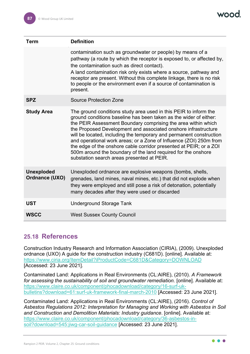| Term                                | <b>Definition</b>                                                                                                                                                                                                                                                                                                                                                                                                                                                                                                                                                                                          |
|-------------------------------------|------------------------------------------------------------------------------------------------------------------------------------------------------------------------------------------------------------------------------------------------------------------------------------------------------------------------------------------------------------------------------------------------------------------------------------------------------------------------------------------------------------------------------------------------------------------------------------------------------------|
|                                     | contamination such as groundwater or people) by means of a<br>pathway (a route by which the receptor is exposed to, or affected by,<br>the contamination such as direct contact).<br>A land contamination risk only exists where a source, pathway and<br>receptor are present. Without this complete linkage, there is no risk<br>to people or the environment even if a source of contamination is<br>present.                                                                                                                                                                                           |
| <b>SPZ</b>                          | <b>Source Protection Zone</b>                                                                                                                                                                                                                                                                                                                                                                                                                                                                                                                                                                              |
| <b>Study Area</b>                   | The ground conditions study area used in this PEIR to inform the<br>ground conditions baseline has been taken as the wider of either:<br>the PEIR Assessment Boundary comprising the area within which<br>the Proposed Development and associated onshore infrastructure<br>will be located, including the temporary and permanent construction<br>and operational work areas; or a Zone of Influence (ZOI) 250m from<br>the edge of the onshore cable corridor presented at PEIR; or a ZOI<br>500m around the boundary of the land required for the onshore<br>substation search areas presented at PEIR. |
| <b>Unexploded</b><br>Ordnance (UXO) | Unexploded ordnance are explosive weapons (bombs, shells,<br>grenades, land mines, naval mines, etc.) that did not explode when<br>they were employed and still pose a risk of detonation, potentially<br>many decades after they were used or discarded                                                                                                                                                                                                                                                                                                                                                   |
| <b>UST</b>                          | <b>Underground Storage Tank</b>                                                                                                                                                                                                                                                                                                                                                                                                                                                                                                                                                                            |
| <b>WSCC</b>                         | <b>West Sussex County Council</b>                                                                                                                                                                                                                                                                                                                                                                                                                                                                                                                                                                          |

## **25.18 References**

Construction Industry Research and Information Association (CIRIA), (2009). Unexploded ordnance (UXO) A guide for the construction industry (C681D). [online]. Available at: <https://www.ciria.org/ItemDetail?iProductCode=C681D&Category=DOWNLOAD> [Accessed: 23 June 2021].

Contaminated Land: Applications in Real Environments (CL:AIRE), (2010). *A Framework for assessing the sustainability of soil and groundwater remediation.* [online]. Available at: [https://www.claire.co.uk/component/phocadownload/category/16-surf-uk](https://www.claire.co.uk/component/phocadownload/category/16-surf-uk-bulletins?download=61:surf-uk-framework-final-march-2010)[bulletins?download=61:surf-uk-framework-final-march-2010](https://www.claire.co.uk/component/phocadownload/category/16-surf-uk-bulletins?download=61:surf-uk-framework-final-march-2010) [Accessed: 23 June 2021].

Contaminated Land: Applications in Real Environments (CL:AIRE), (2016). *Control of Asbestos Regulations 2012: Interpretation for Managing and Working with Asbestos in Soil and Construction and Demolition Materials: Industry guidance*. [online]. Available at: [https://www.claire.co.uk/component/phocadownload/category/36-asbestos-in](https://www.claire.co.uk/component/phocadownload/category/36-asbestos-in-soil?download=545:jiwg-car-soil-guidance)[soil?download=545:jiwg-car-soil-guidance](https://www.claire.co.uk/component/phocadownload/category/36-asbestos-in-soil?download=545:jiwg-car-soil-guidance) [Accessed: 23 June 2021].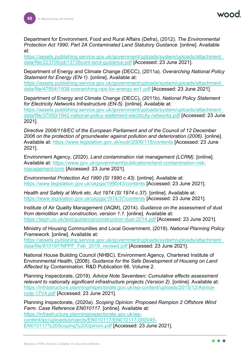Department for Environment, Food and Rural Affairs (Defra), (2012). *The Environmental Protection Act 1990: Part 2A Contaminated Land Statutory Guidance.* [online]. Available at:

[https://assets.publishing.service.gov.uk/government/uploads/system/uploads/attachment\\_](https://assets.publishing.service.gov.uk/government/uploads/system/uploads/attachment_data/file/223705/pb13735cont-land-guidance.pdf) [data/file/223705/pb13735cont-land-guidance.pdf](https://assets.publishing.service.gov.uk/government/uploads/system/uploads/attachment_data/file/223705/pb13735cont-land-guidance.pdf) [Accessed: 23 June 2021].

Department of Energy and Climate Change (DECC), (2011a). *Overarching National Policy Statement for Energy (EN-1).* [online]. Available at:

[https://assets.publishing.service.gov.uk/government/uploads/system/uploads/attachment\\_](https://assets.publishing.service.gov.uk/government/uploads/system/uploads/attachment_data/file/47854/1938-overarching-nps-for-energy-en1.pdf) [data/file/47854/1938-overarching-nps-for-energy-en1.pdf](https://assets.publishing.service.gov.uk/government/uploads/system/uploads/attachment_data/file/47854/1938-overarching-nps-for-energy-en1.pdf) [Accessed: 23 June 2021].

Department of Energy and Climate Change (DECC), (2011b). *National Policy Statement for Electricity Networks Infrastructure (EN-5).* [online]. Available at: [https://assets.publishing.service.gov.uk/government/uploads/system/uploads/attachment\\_](https://assets.publishing.service.gov.uk/government/uploads/system/uploads/attachment_data/file/37050/1942-national-policy-statement-electricity-networks.pdf) [data/file/37050/1942-national-policy-statement-electricity-networks.pdf](https://assets.publishing.service.gov.uk/government/uploads/system/uploads/attachment_data/file/37050/1942-national-policy-statement-electricity-networks.pdf) [Accessed: 23 June 2021].

*Directive 2006/118/EC of the European Parliament and of the Council of 12 December 2006 on the protection of groundwater against pollution and deterioration (2006).* [online]. Available at:<https://www.legislation.gov.uk/eudr/2006/118/contents> [Accessed: 23 June 2021].

Environment Agency, (2020). *Land contamination risk management (LCRM).* [online]. Available at: [https://www.gov.uk/government/publications/land-contamination-risk](https://www.gov.uk/government/publications/land-contamination-risk-management-lcrm)[management-lcrm](https://www.gov.uk/government/publications/land-contamination-risk-management-lcrm) [Accessed: 23 June 2021].

*Environmental Protection Act 1990 (SI 1990 c.43).* [online]. Available at: <https://www.legislation.gov.uk/ukpga/1990/43/contents> [Accessed: 23 June 2021].

*Health and Safety at Work etc. Act 1974 (SI 1974 c.37).* [online]. Available at: <https://www.legislation.gov.uk/ukpga/1974/37/contents> [Accessed: 23 June 2021].

Institute of Air Quality Management (IAQM), (2014). *Guidance on the assessment of dust from demolition and construction, version 1.1*. [online]. Available at: <https://iaqm.co.uk/text/guidance/construction-dust-2014.pdf> [Accessed: 23 June 2021].

Ministry of Housing Communities and Local Government, (2019). *National Planning Policy Framework*. [online]. Available at:

[https://assets.publishing.service.gov.uk/government/uploads/system/uploads/attachment\\_](https://assets.publishing.service.gov.uk/government/uploads/system/uploads/attachment_data/file/810197/NPPF_Feb_2019_revised.pdf) [data/file/810197/NPPF\\_Feb\\_2019\\_revised.pdf](https://assets.publishing.service.gov.uk/government/uploads/system/uploads/attachment_data/file/810197/NPPF_Feb_2019_revised.pdf) [Accessed: 23 June 2021].

National House Building Council (NHBC), Environment Agency, Chartered Institute of Environmental Health, (2008). *Guidance for the Safe Development of Housing on Land Affected by Contamination*. R&D Publication 66. Volume 2.

Planning Inspectorate, (2019). *Advice Note Seventeen: Cumulative effects assessment relevant to nationally significant infrastructure projects (Version 2).* [online]. Available at: [https://infrastructure.planninginspectorate.gov.uk/wp-content/uploads/2015/12/Advice](https://infrastructure.planninginspectorate.gov.uk/wp-content/uploads/2015/12/Advice-note-17V4.pdf)[note-17V4.pdf](https://infrastructure.planninginspectorate.gov.uk/wp-content/uploads/2015/12/Advice-note-17V4.pdf) [Accessed: 23 June 2021].

Planning Inspectorate, (2020a). *Scoping Opinion: Proposed Rampion 2 Offshore Wind Farm. Case Reference EN010117.* [online]. Available at: [https://infrastructure.planninginspectorate.gov.uk/wp](https://infrastructure.planninginspectorate.gov.uk/wp-content/ipc/uploads/projects/EN010117/EN010117-000045-EN010117%20Scoping%20Opinion.pdf)[content/ipc/uploads/projects/EN010117/EN010117-000045-](https://infrastructure.planninginspectorate.gov.uk/wp-content/ipc/uploads/projects/EN010117/EN010117-000045-EN010117%20Scoping%20Opinion.pdf) [EN010117%20Scoping%20Opinion.pdf](https://infrastructure.planninginspectorate.gov.uk/wp-content/ipc/uploads/projects/EN010117/EN010117-000045-EN010117%20Scoping%20Opinion.pdf) [Accessed: 23 June 2021].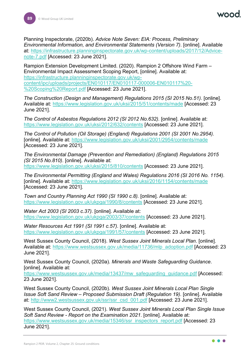Planning Inspectorate, (2020b). *Advice Note Seven: EIA: Process, Preliminary Environmental Information, and Environmental Statements (Version 7)*. [online]. Available at: [https://infrastructure.planninginspectorate.gov.uk/wp-content/uploads/2017/12/Advice](https://infrastructure.planninginspectorate.gov.uk/wp-content/uploads/2017/12/Advice-note-7.pdf)[note-7.pdf](https://infrastructure.planninginspectorate.gov.uk/wp-content/uploads/2017/12/Advice-note-7.pdf) [Accessed: 23 June 2021].

Rampion Extension Development Limited. (2020). Rampion 2 Offshore Wind Farm – Environmental Impact Assessment Scoping Report, [online]. Available at: [https://infrastructure.planninginspectorate.gov.uk/wp](https://infrastructure.planninginspectorate.gov.uk/wp-content/ipc/uploads/projects/EN010117/EN010117-000006-EN010117%20-%20Scoping%20Report.pdf)[content/ipc/uploads/projects/EN010117/EN010117-000006-EN010117%20-](https://infrastructure.planninginspectorate.gov.uk/wp-content/ipc/uploads/projects/EN010117/EN010117-000006-EN010117%20-%20Scoping%20Report.pdf) [%20Scoping%20Report.pdf](https://infrastructure.planninginspectorate.gov.uk/wp-content/ipc/uploads/projects/EN010117/EN010117-000006-EN010117%20-%20Scoping%20Report.pdf) [Accessed: 23 June 2021].

*The Construction (Design and Management) Regulations 2015 (SI 2015 No.51).* [online]. Available at:<https://www.legislation.gov.uk/uksi/2015/51/contents/made> [Accessed: 23 June 2021].

*The Control of Asbestos Regulations 2012 (SI 2012 No.632).* [online]. Available at: <https://www.legislation.gov.uk/uksi/2012/632/contents> [Accessed: 23 June 2021].

*The Control of Pollution (Oil Storage) (England) Regulations 2001 (SI 2001 No.2954).* [online]. Available at:<https://www.legislation.gov.uk/uksi/2001/2954/contents/made> [Accessed: 23 June 2021].

*The Environmental Damage (Prevention and Remediation) (England) Regulations 2015 (SI 2015 No.810)*. [online]. Available at: <https://www.legislation.gov.uk/uksi/2015/810/contents> [Accessed: 23 June 2021].

*The Environmental Permitting (England and Wales) Regulations 2016 (SI 2016 No. 1154).*  [online]. Available at:<https://www.legislation.gov.uk/uksi/2016/1154/contents/made> [Accessed: 23 June 2021].

*Town and Country Planning Act 1990 (SI 1990 c.8).* [online]. Available at: <https://www.legislation.gov.uk/ukpga/1990/8/contents> [Accessed: 23 June 2021].

*Water Act 2003 (SI 2003 c.37).* [online]. Available at: <https://www.legislation.gov.uk/ukpga/2003/37/contents> [Accessed: 23 June 2021].

*Water Resources Act 1991 (SI 1991 c.57).* [online]. Available at: <https://www.legislation.gov.uk/ukpga/1991/57/contents> [Accessed: 23 June 2021].

West Sussex County Council, (2018). *West Sussex Joint Minerals Local Plan*. [online]. Available at: [https://www.westsussex.gov.uk/media/11736/mlp\\_adoption.pdf](https://www.westsussex.gov.uk/media/11736/mlp_adoption.pdf) [Accessed: 23 June 2021].

West Sussex County Council, (2020a). *Minerals and Waste Safeguarding Guidance*. [online]. Available at:

[https://www.westsussex.gov.uk/media/13437/mw\\_safeguarding\\_guidance.pdf](https://www.westsussex.gov.uk/media/13437/mw_safeguarding_guidance.pdf) [Accessed: 23 June 2021].

West Sussex County Council, (2020b). *West Sussex Joint Minerals Local Plan Single Issue Soft Sand Review – Proposed Submission Draft (Regulation 19)*. [online]. Available at: [http://www2.westsussex.gov.uk/ssr/ssr\\_csd\\_001.pdf](http://www2.westsussex.gov.uk/ssr/ssr_csd_001.pdf) [Accessed: 23 June 2021].

West Sussex County Council, (2021). *West Sussex Joint Minerals Local Plan Single Issue Soft Sand Review - Report on the Examination 2021*. [online]. Available at: [https://www.westsussex.gov.uk/media/15346/ssr\\_inspectors\\_report.pdf](https://www.westsussex.gov.uk/media/15346/ssr_inspectors_report.pdf) [Accessed: 23 June 2021].